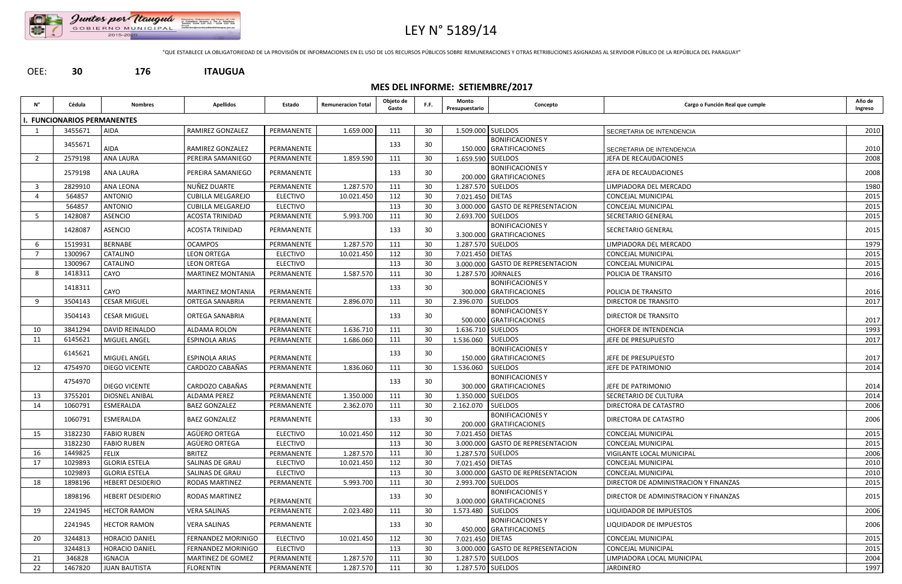

# LEY N° 5189/14

"QUE ESTABLECE LA OBLIGATORIEDAD DE LA PROVISIÓN DE INFORMACIONES EN EL USO DE LOS RECURSOS PÚBLICOS SOBRE REMUNERACIONES Y OTRAS RETRIBUCIONES ASIGNADAS AL SERVIDOR PÚBLICO DE LA REPÚBLICA DEL PARAGUAY"

OEE: **30 176 ITAUGUA**

## **MES DEL INFORME: SETIEMBRE/2017**

| N°             | Cédula                            | <b>Nombres</b>          | <b>Apellidos</b>         | Estado          | <b>Remuneracion Total</b> | Objeto de<br>Gasto | F.F. | Monto<br>Presupuestario | Concepto                                             | Cargo o Función Real que cumple       | Año de<br>Ingreso |
|----------------|-----------------------------------|-------------------------|--------------------------|-----------------|---------------------------|--------------------|------|-------------------------|------------------------------------------------------|---------------------------------------|-------------------|
|                | <b>. FUNCIONARIOS PERMANENTES</b> |                         |                          |                 |                           |                    |      |                         |                                                      |                                       |                   |
| 1              | 3455671                           | <b>AIDA</b>             | RAMIREZ GONZALEZ         | PERMANENTE      | 1.659.000                 | 111                | 30   | 1.509.000 SUELDOS       |                                                      | SECRETARIA DE INTENDENCIA             | 2010              |
|                | 3455671                           |                         |                          |                 |                           | 133                | 30   |                         | <b>BONIFICACIONES Y</b>                              |                                       |                   |
|                |                                   | <b>AIDA</b>             | RAMIREZ GONZALEZ         | PERMANENTE      |                           |                    |      |                         | 150.000 GRATIFICACIONES                              | SECRETARIA DE INTENDENCIA             | 2010              |
| $\overline{2}$ | 2579198                           | <b>ANA LAURA</b>        | PEREIRA SAMANIEGO        | PERMANENTE      | 1.859.590                 | 111                | 30   | 1.659.590 SUELDOS       |                                                      | JEFA DE RECAUDACIONES                 | 2008              |
|                | 2579198                           | <b>ANA LAURA</b>        | PEREIRA SAMANIEGO        | PERMANENTE      |                           | 133                | 30   |                         | <b>BONIFICACIONES Y</b><br>200.000 GRATIFICACIONES   | JEFA DE RECAUDACIONES                 | 2008              |
| $\overline{3}$ | 2829910                           | <b>ANA LEONA</b>        | NUÑEZ DUARTE             | PERMANENTE      | 1.287.570                 | 111                | 30   | 1.287.570 SUELDOS       |                                                      | LIMPIADORA DEL MERCADO                | 1980              |
| 4              | 564857                            | <b>ANTONIO</b>          | <b>CUBILLA MELGAREJO</b> | <b>ELECTIVO</b> | 10.021.450                | 112                | 30   | 7.021.450 DIETAS        |                                                      | CONCEJAL MUNICIPAL                    | 2015              |
|                | 564857                            | <b>ANTONIO</b>          | <b>CUBILLA MELGAREJO</b> | <b>ELECTIVO</b> |                           | 113                | 30   |                         | 3.000.000 GASTO DE REPRESENTACION                    | CONCEJAL MUNICIPAL                    | 2015              |
| 5              | 1428087                           | ASENCIO                 | ACOSTA TRINIDAD          | PERMANENTE      | 5.993.700                 | 111                | 30   | 2.693.700 SUELDOS       |                                                      | SECRETARIO GENERAL                    | 2015              |
|                | 1428087                           | <b>ASENCIO</b>          | <b>ACOSTA TRINIDAD</b>   | PERMANENTE      |                           | 133                | 30   |                         | <b>BONIFICACIONES Y</b><br>3.300.000 GRATIFICACIONES | SECRETARIO GENERAL                    | 2015              |
| -6             | 1519931                           | <b>BERNABE</b>          | <b>OCAMPOS</b>           | PERMANENTE      | 1.287.570                 | 111                | 30   | 1.287.570 SUELDOS       |                                                      | LIMPIADORA DEL MERCADO                | 1979              |
| $\overline{7}$ | 1300967                           | CATALINO                | <b>LEON ORTEGA</b>       | <b>ELECTIVO</b> | 10.021.450                | 112                | 30   | 7.021.450 DIETAS        |                                                      | <b>CONCEJAL MUNICIPAL</b>             | 2015              |
|                | 1300967                           | CATALINO                | <b>LEON ORTEGA</b>       | <b>ELECTIVO</b> |                           | 113                | 30   |                         | 3.000.000 GASTO DE REPRESENTACION                    | CONCEJAL MUNICIPAL                    | 2015              |
| 8              | 1418311                           | CAYO                    | <b>MARTINEZ MONTANIA</b> | PERMANENTE      | 1.587.570                 | 111                | 30   |                         | 1.287.570 JORNALES                                   | POLICIA DE TRANSITO                   | 2016              |
|                | 1418311                           | CAYO                    | <b>MARTINEZ MONTANIA</b> | PERMANENTE      |                           | 133                | 30   |                         | <b>BONIFICACIONES Y</b><br>300.000 GRATIFICACIONES   | POLICIA DE TRANSITO                   | 2016              |
| 9              | 3504143                           | <b>CESAR MIGUEL</b>     | ORTEGA SANABRIA          | PERMANENTE      | 2.896.070                 | 111                | 30   | 2.396.070               | <b>SUELDOS</b>                                       | DIRECTOR DE TRANSITO                  | 2017              |
|                | 3504143                           | <b>CESAR MIGUEL</b>     | ORTEGA SANABRIA          | PERMANENTE      |                           | 133                | 30   |                         | <b>BONIFICACIONES Y</b><br>500.000 GRATIFICACIONES   | DIRECTOR DE TRANSITO                  | 2017              |
| 10             | 3841294                           | DAVID REINALDO          | ALDAMA ROLON             | PERMANENTE      | 1.636.710                 | 111                | 30   | 1.636.710 SUELDOS       |                                                      | <b>CHOFER DE INTENDENCIA</b>          | 1993              |
| 11             | 6145621                           | MIGUEL ANGEL            | <b>ESPINOLA ARIAS</b>    | PERMANENTE      | 1.686.060                 | 111                | 30   | 1.536.060 SUELDOS       |                                                      | JEFE DE PRESUPUESTO                   | 2017              |
|                | 6145621                           |                         |                          |                 |                           | 133                | 30   |                         | <b>BONIFICACIONES Y</b>                              |                                       |                   |
|                |                                   | MIGUEL ANGEL            | <b>ESPINOLA ARIAS</b>    | PERMANENTE      |                           |                    |      |                         | 150.000 GRATIFICACIONES                              | JEFE DE PRESUPUESTO                   | 2017              |
| 12             | 4754970                           | <b>DIEGO VICENTE</b>    | CARDOZO CABAÑAS          | PERMANENTE      | 1.836.060                 | 111                | 30   | 1.536.060               | <b>SUELDOS</b>                                       | JEFE DE PATRIMONIO                    | 2014              |
|                | 4754970                           | DIEGO VICENTE           | CARDOZO CABAÑAS          | PERMANENTE      |                           | 133                | 30   |                         | <b>BONIFICACIONES Y</b><br>300.000 GRATIFICACIONES   | JEFE DE PATRIMONIO                    | 2014              |
| 13             | 3755201                           | DIOSNEL ANIBAL          | ALDAMA PEREZ             | PERMANENTE      | 1.350.000                 | 111                | 30   | 1.350.000 SUELDOS       |                                                      | SECRETARIO DE CULTURA                 | 2014              |
| 14             | 1060791                           | ESMERALDA               | <b>BAEZ GONZALEZ</b>     | PERMANENTE      | 2.362.070                 | 111                | 30   | 2.162.070 SUELDOS       |                                                      | DIRECTORA DE CATASTRO                 | 2006              |
|                | 1060791                           | ESMERALDA               | <b>BAEZ GONZALEZ</b>     | PERMANENTE      |                           | 133                | 30   |                         | <b>BONIFICACIONES Y</b><br>200.000 GRATIFICACIONES   | DIRECTORA DE CATASTRO                 | 2006              |
| 15             | 3182230                           | <b>FABIO RUBEN</b>      | AGÜERO ORTEGA            | <b>ELECTIVO</b> | 10.021.450                | 112                | 30   | 7.021.450 DIETAS        |                                                      | CONCEJAL MUNICIPAL                    | 2015              |
|                | 3182230                           | <b>FABIO RUBEN</b>      | AGÜERO ORTEGA            | <b>ELECTIVO</b> |                           | 113                | 30   |                         | 3.000.000 GASTO DE REPRESENTACION                    | CONCEJAL MUNICIPAL                    | 2015              |
| 16             | 1449825                           | <b>FELIX</b>            | <b>BRITEZ</b>            | PERMANENTE      | 1.287.570                 | 111                | 30   | 1.287.570 SUELDOS       |                                                      | VIGILANTE LOCAL MUNICIPAL             | 2006              |
| 17             | 1029893                           | <b>GLORIA ESTELA</b>    | SALINAS DE GRAU          | <b>ELECTIVO</b> | 10.021.450                | 112                | 30   | 7.021.450 DIETAS        |                                                      | CONCEJAL MUNICIPAL                    | 2010              |
|                | 1029893                           | <b>GLORIA ESTELA</b>    | SALINAS DE GRAU          | <b>ELECTIVO</b> |                           | 113                | 30   |                         | 3.000.000 GASTO DE REPRESENTACION                    | CONCEJAL MUNICIPAL                    | 2010              |
| 18             | 1898196                           | <b>HEBERT DESIDERIO</b> | <b>RODAS MARTINEZ</b>    | PERMANENTE      | 5.993.700                 | 111                | 30   | 2.993.700 SUELDOS       |                                                      | DIRECTOR DE ADMINISTRACION Y FINANZAS | 2015              |
|                | 1898196                           | <b>HEBERT DESIDERIO</b> | <b>RODAS MARTINEZ</b>    | PERMANENTE      |                           | 133                | 30   |                         | <b>BONIFICACIONES Y</b><br>3.000.000 GRATIFICACIONES | DIRECTOR DE ADMINISTRACION Y FINANZAS | 2015              |
| 19             | 2241945                           | <b>HECTOR RAMON</b>     | <b>VERA SALINAS</b>      | PERMANENTE      | 2.023.480                 | 111                | 30   | 1.573.480   SUELDOS     |                                                      | LIQUIDADOR DE IMPUESTOS               | 2006              |
|                | 2241945                           | <b>HECTOR RAMON</b>     | <b>VERA SALINAS</b>      | PERMANENTE      |                           | 133                | 30   |                         | <b>BONIFICACIONES Y</b><br>450.000 GRATIFICACIONES   | LIQUIDADOR DE IMPUESTOS               | 2006              |
| 20             | 3244813                           | HORACIO DANIEL          | FERNANDEZ MORINIGO       | <b>ELECTIVO</b> | 10.021.450                | 112                | 30   | 7.021.450 DIETAS        |                                                      | CONCEJAL MUNICIPAL                    | 2015              |
|                | 3244813                           | <b>HORACIO DANIEL</b>   | FERNANDEZ MORINIGO       | <b>ELECTIVO</b> |                           | 113                | 30   |                         | 3.000.000 GASTO DE REPRESENTACION                    | CONCEJAL MUNICIPAL                    | 2015              |
| 21             | 346828                            | <b>IGNACIA</b>          | MARTINEZ DE GOMEZ        | PERMANENTE      | 1.287.570                 | 111                | 30   | 1.287.570 SUELDOS       |                                                      | LIMPIADORA LOCAL MUNICIPAL            | 2004              |
| 22             | 1467820                           | <b>JUAN BAUTISTA</b>    | <b>FLORENTIN</b>         | PERMANENTE      | 1.287.570                 | 111                | 30   | 1.287.570 SUELDOS       |                                                      | JARDINERO                             | 1997              |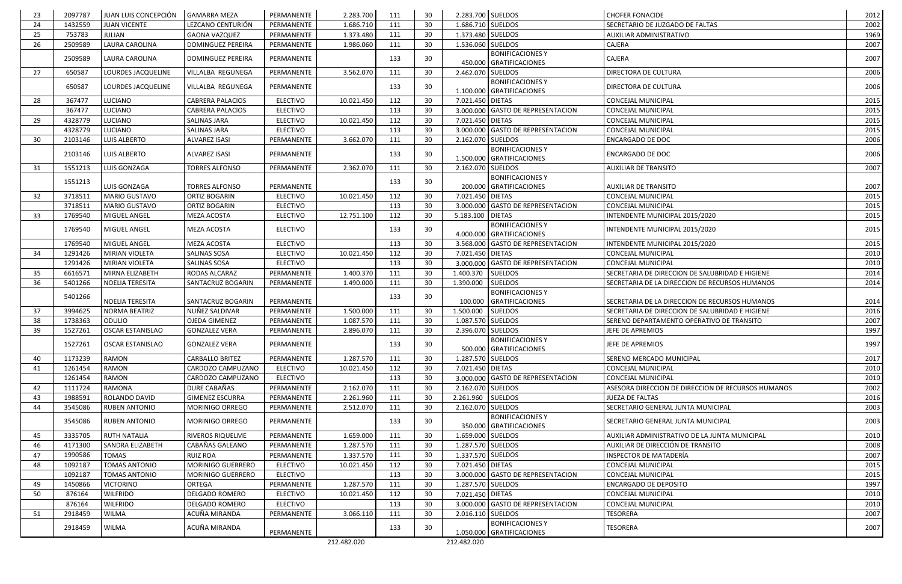| 23 | 2097787 | JUAN LUIS CONCEPCIÓN    | <b>GAMARRA MEZA</b>      | PERMANENTE      | 2.283.700   | 111 | 30 <sup>°</sup> | 2.283.700 SUELDOS |                                                      | <b>CHOFER FONACIDE</b>                             | 2012 |
|----|---------|-------------------------|--------------------------|-----------------|-------------|-----|-----------------|-------------------|------------------------------------------------------|----------------------------------------------------|------|
| 24 | 1432559 | <b>JUAN VICENTE</b>     | LEZCANO CENTURIÓN        | PERMANENTE      | 1.686.710   | 111 | 30              | 1.686.710 SUELDOS |                                                      | SECRETARIO DE JUZGADO DE FALTAS                    | 2002 |
| 25 | 753783  | JULIAN                  | <b>GAONA VAZQUEZ</b>     | PERMANENTE      | 1.373.480   | 111 | 30              | 1.373.480 SUELDOS |                                                      | AUXILIAR ADMINISTRATIVO                            | 1969 |
| 26 | 2509589 | LAURA CAROLINA          | <b>DOMINGUEZ PEREIRA</b> | PERMANENTE      | 1.986.060   | 111 | 30              | 1.536.060 SUELDOS |                                                      | CAJERA                                             | 2007 |
|    | 2509589 | LAURA CAROLINA          | DOMINGUEZ PEREIRA        | PERMANENTE      |             | 133 | 30              |                   | <b>BONIFICACIONES Y</b><br>450.000 GRATIFICACIONES   | CAJERA                                             | 2007 |
| 27 | 650587  | LOURDES JACQUELINE      | VILLALBA REGUNEGA        | PERMANENTE      | 3.562.070   | 111 | 30              | 2.462.070 SUELDOS |                                                      | DIRECTORA DE CULTURA                               | 2006 |
|    | 650587  | LOURDES JACQUELINE      | VILLALBA REGUNEGA        | PERMANENTE      |             | 133 | 30              |                   | <b>BONIFICACIONES Y</b><br>1.100.000 GRATIFICACIONES | DIRECTORA DE CULTURA                               | 2006 |
| 28 | 367477  | LUCIANO                 | <b>CABRERA PALACIOS</b>  | <b>ELECTIVO</b> | 10.021.450  | 112 | 30              | 7.021.450 DIETAS  |                                                      | CONCEJAL MUNICIPAL                                 | 2015 |
|    | 367477  | LUCIANO                 | CABRERA PALACIOS         | <b>ELECTIVO</b> |             | 113 | 30              |                   | 3.000.000 GASTO DE REPRESENTACION                    | <b>CONCEJAL MUNICIPAL</b>                          | 2015 |
| 29 | 4328779 | LUCIANO                 | <b>SALINAS JARA</b>      | <b>ELECTIVO</b> | 10.021.450  | 112 | 30              | 7.021.450 DIETAS  |                                                      | CONCEJAL MUNICIPAL                                 | 2015 |
|    | 4328779 | LUCIANO                 | SALINAS JARA             | <b>ELECTIVO</b> |             | 113 | 30              |                   | 3.000.000 GASTO DE REPRESENTACION                    | CONCEJAL MUNICIPAL                                 | 2015 |
| 30 | 2103146 | LUIS ALBERTO            | <b>ALVAREZ ISASI</b>     | PERMANENTE      | 3.662.070   | 111 | 30              | 2.162.070 SUELDOS |                                                      | <b>ENCARGADO DE DOC</b>                            | 2006 |
|    | 2103146 | <b>LUIS ALBERTO</b>     | <b>ALVAREZ ISASI</b>     | PERMANENTE      |             | 133 | 30              |                   | <b>BONIFICACIONES Y</b><br>1.500.000 GRATIFICACIONES | <b>ENCARGADO DE DOC</b>                            | 2006 |
| 31 | 1551213 | LUIS GONZAGA            | <b>TORRES ALFONSO</b>    | PERMANENTE      | 2.362.070   | 111 | 30              | 2.162.070         | <b>SUELDOS</b>                                       | <b>AUXILIAR DE TRANSITO</b>                        | 2007 |
|    |         |                         |                          |                 |             |     |                 |                   | <b>BONIFICACIONES Y</b>                              |                                                    |      |
|    | 1551213 | LUIS GONZAGA            | <b>TORRES ALFONSO</b>    | PERMANENTE      |             | 133 | 30              |                   | 200.000 GRATIFICACIONES                              | <b>AUXILIAR DE TRANSITO</b>                        | 2007 |
| 32 | 3718511 | <b>MARIO GUSTAVO</b>    | ORTIZ BOGARIN            | <b>ELECTIVO</b> | 10.021.450  | 112 | 30              | 7.021.450 DIETAS  |                                                      | CONCEJAL MUNICIPAL                                 | 2015 |
|    | 3718511 | MARIO GUSTAVO           | ORTIZ BOGARIN            | <b>ELECTIVO</b> |             | 113 | 30              |                   | 3.000.000 GASTO DE REPRESENTACION                    | CONCEJAL MUNICIPAL                                 | 2015 |
| 33 | 1769540 | MIGUEL ANGEL            | MEZA ACOSTA              | <b>ELECTIVO</b> | 12.751.100  | 112 | 30              | 5.183.100         | <b>DIETAS</b>                                        | INTENDENTE MUNICIPAL 2015/2020                     | 2015 |
|    | 1769540 | <b>MIGUEL ANGEL</b>     | MEZA ACOSTA              | <b>ELECTIVO</b> |             | 133 | 30 <sup>°</sup> |                   | <b>BONIFICACIONES Y</b><br>4.000.000 GRATIFICACIONES | INTENDENTE MUNICIPAL 2015/2020                     | 2015 |
|    | 1769540 | MIGUEL ANGEL            | <b>MEZA ACOSTA</b>       | <b>ELECTIVO</b> |             | 113 | 30              |                   | 3.568.000 GASTO DE REPRESENTACION                    | INTENDENTE MUNICIPAL 2015/2020                     | 2015 |
| 34 | 1291426 | MIRIAN VIOLETA          | SALINAS SOSA             | <b>ELECTIVO</b> | 10.021.450  | 112 | 30              | 7.021.450 DIETAS  |                                                      | CONCEJAL MUNICIPAL                                 | 2010 |
|    | 1291426 | MIRIAN VIOLETA          | SALINAS SOSA             | <b>ELECTIVO</b> |             | 113 | 30              |                   | 3.000.000 GASTO DE REPRESENTACION                    | <b>CONCEJAL MUNICIPAL</b>                          | 2010 |
| 35 | 6616571 | MIRNA ELIZABETH         | RODAS ALCARAZ            | PERMANENTE      | 1.400.370   | 111 | 30              | 1.400.370         | <b>SUELDOS</b>                                       | SECRETARIA DE DIRECCION DE SALUBRIDAD E HIGIENE    | 2014 |
| 36 | 5401266 | <b>NOELIA TERESITA</b>  | SANTACRUZ BOGARIN        | PERMANENTE      | 1.490.000   | 111 | 30              | 1.390.000         | SUELDOS                                              | SECRETARIA DE LA DIRECCION DE RECURSOS HUMANOS     | 2014 |
|    |         |                         |                          |                 |             |     |                 |                   | <b>BONIFICACIONES Y</b>                              |                                                    |      |
|    | 5401266 | NOELIA TERESITA         | SANTACRUZ BOGARIN        | PERMANENTE      |             | 133 | 30              | 100.000           | <b>GRATIFICACIONES</b>                               | SECRETARIA DE LA DIRECCION DE RECURSOS HUMANOS     | 2014 |
| 37 | 3994625 | <b>NORMA BEATRIZ</b>    | NUÑEZ SALDIVAR           | PERMANENTE      | 1.500.000   | 111 | 30              | 1.500.000         | SUELDOS                                              | SECRETARIA DE DIRECCION DE SALUBRIDAD E HIGIENE    | 2016 |
| 38 | 1738363 | ODULIO                  | OJEDA GIMENEZ            | PERMANENTE      | 1.087.570   | 111 | 30              | 1.087.570 SUELDOS |                                                      | SERENO DEPARTAMENTO OPERATIVO DE TRANSITO          | 2007 |
| 39 | 1527261 | <b>OSCAR ESTANISLAO</b> | <b>GONZALEZ VERA</b>     | PERMANENTE      | 2.896.070   | 111 | 30              | 2.396.070 SUELDOS |                                                      | JEFE DE APREMIOS                                   | 1997 |
|    | 1527261 | <b>OSCAR ESTANISLAO</b> | <b>GONZALEZ VERA</b>     | PERMANENTE      |             | 133 | 30              |                   | <b>BONIFICACIONESY</b><br>500.000 GRATIFICACIONES    | JEFE DE APREMIOS                                   | 1997 |
| 40 | 1173239 | RAMON                   | <b>CARBALLO BRITEZ</b>   | PERMANENTE      | 1.287.570   | 111 | 30              | 1.287.570 SUELDOS |                                                      | SERENO MERCADO MUNICIPAL                           | 2017 |
| 41 | 1261454 | RAMON                   | CARDOZO CAMPUZANO        | <b>ELECTIVO</b> | 10.021.450  | 112 | 30              | 7.021.450 DIETAS  |                                                      | CONCEJAL MUNICIPAL                                 | 2010 |
|    | 1261454 | RAMON                   | CARDOZO CAMPUZANO        | <b>ELECTIVO</b> |             | 113 | 30              |                   | 3.000.000 GASTO DE REPRESENTACION                    | <b>CONCEJAL MUNICIPAL</b>                          | 2010 |
| 42 | 1111724 | RAMONA                  | DURE CABAÑAS             | PERMANENTE      | 2.162.070   | 111 | 30              | 2.162.070 SUELDOS |                                                      | ASESORA DIRECCION DE DIRECCION DE RECURSOS HUMANOS | 2002 |
| 43 | 1988591 | ROLANDO DAVID           | <b>GIMENEZ ESCURRA</b>   | PERMANENTE      | 2.261.960   | 111 | 30              | 2.261.960 SUELDOS |                                                      | <b>JUEZA DE FALTAS</b>                             | 2016 |
| 44 | 3545086 | <b>RUBEN ANTONIO</b>    | MORINIGO ORREGO          | PERMANENTE      | 2.512.070   | 111 | 30              | 2.162.070 SUELDOS |                                                      | SECRETARIO GENERAL JUNTA MUNICIPAL                 | 2003 |
|    | 3545086 | <b>RUBEN ANTONIO</b>    | <b>MORINIGO ORREGO</b>   | PERMANENTE      |             | 133 | 30              |                   | <b>BONIFICACIONES Y</b><br>350.000 GRATIFICACIONES   | SECRETARIO GENERAL JUNTA MUNICIPAL                 | 2003 |
| 45 | 3335705 | <b>RUTH NATALIA</b>     | RIVEROS RIQUELME         | PERMANENTE      | 1.659.000   | 111 | 30              | 1.659.000 SUELDOS |                                                      | AUXILIAR ADMINISTRATIVO DE LA JUNTA MUNICIPAL      | 2010 |
| 46 | 4171300 | SANDRA ELIZABETH        | CABAÑAS GALEANO          | PERMANENTE      | 1.287.570   | 111 | 30              | 1.287.570 SUELDOS |                                                      | AUXILIAR DE DIRECCIÓN DE TRANSITO                  | 2008 |
| 47 | 1990586 | <b>TOMAS</b>            | <b>RUIZ ROA</b>          | PERMANENTE      | 1.337.570   | 111 | 30              | 1.337.570 SUELDOS |                                                      | INSPECTOR DE MATADERÍA                             | 2007 |
| 48 | 1092187 | <b>TOMAS ANTONIO</b>    | MORINIGO GUERRERO        | <b>ELECTIVO</b> | 10.021.450  | 112 | 30              | 7.021.450 DIETAS  |                                                      | CONCEJAL MUNICIPAL                                 | 2015 |
|    | 1092187 | TOMAS ANTONIO           | MORINIGO GUERRERO        | ELECTIVO        |             | 113 | 30              |                   | 3.000.000 GASTO DE REPRESENTACION                    | CONCEJAL MUNICIPAL                                 | 2015 |
| 49 | 1450866 | <b>VICTORINO</b>        | ORTEGA                   | PERMANENTE      | 1.287.570   | 111 | 30              | 1.287.570 SUELDOS |                                                      | ENCARGADO DE DEPOSITO                              | 1997 |
| 50 | 876164  | <b>WILFRIDO</b>         | DELGADO ROMERO           | <b>ELECTIVO</b> | 10.021.450  | 112 | 30              | 7.021.450 DIETAS  |                                                      | CONCEJAL MUNICIPAL                                 | 2010 |
|    | 876164  | <b>WILFRIDO</b>         | DELGADO ROMERO           | <b>ELECTIVO</b> |             | 113 | 30              |                   | 3.000.000 GASTO DE REPRESENTACION                    | CONCEJAL MUNICIPAL                                 | 2010 |
| 51 | 2918459 | WILMA                   | ACUÑA MIRANDA            | PERMANENTE      | 3.066.110   | 111 | 30              | 2.016.110 SUELDOS |                                                      | <b>TESORERA</b>                                    | 2007 |
|    | 2918459 | <b>WILMA</b>            | ACUÑA MIRANDA            |                 |             | 133 | 30              |                   | <b>BONIFICACIONES Y</b>                              | <b>TESORERA</b>                                    | 2007 |
|    |         |                         |                          | PERMANENTE      |             |     |                 |                   | 1.050.000 GRATIFICACIONES                            |                                                    |      |
|    |         |                         |                          |                 | 212.482.020 |     |                 | 212.482.020       |                                                      |                                                    |      |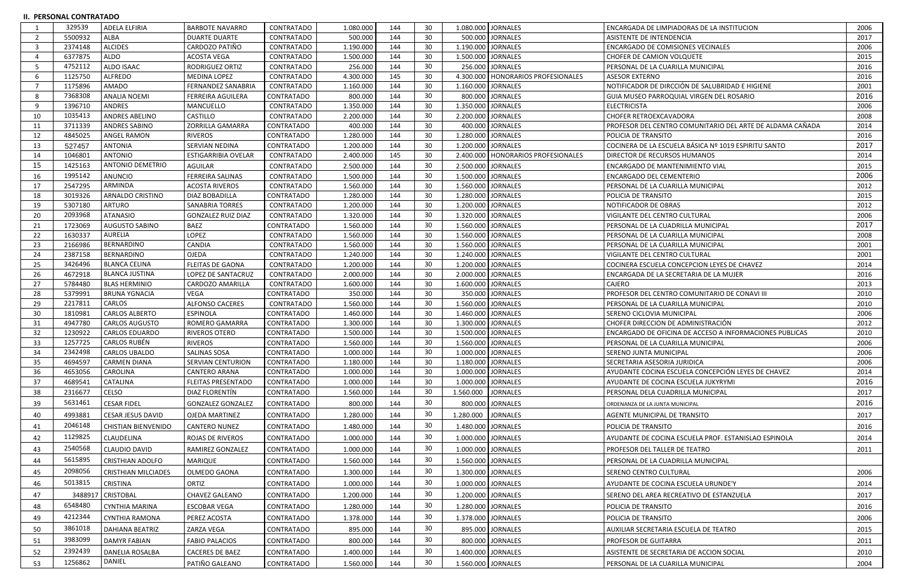#### **II. PERSONAL CONTRATADO**

|    | 329539  | ADELA ELFIRIA              | <b>BARBOTE NAVARRO</b>     | <b>CONTRATADO</b> | 1.080.000 | 144 | 30 | 1.080.000 JORNALES   |                                      | ENCARGADA DE LIMPIADORAS DE LA INSTITUCION                | 2006 |
|----|---------|----------------------------|----------------------------|-------------------|-----------|-----|----|----------------------|--------------------------------------|-----------------------------------------------------------|------|
| -2 | 5500932 | <b>ALBA</b>                | <b>DUARTE DUARTE</b>       | <b>CONTRATADO</b> | 500.000   | 144 | 30 |                      | 500.000 JORNALES                     | <b>ASISTENTE DE INTENDENCIA</b>                           | 2017 |
| -3 | 2374148 | <b>ALCIDES</b>             | CARDOZO PATIÑO             | <b>CONTRATADO</b> | 1.190.000 | 144 | 30 | 1.190.000 JORNALES   |                                      | <b>ENCARGADO DE COMISIONES VECINALES</b>                  | 2006 |
|    | 6377875 | <b>ALDO</b>                | <b>ACOSTA VEGA</b>         | <b>CONTRATADO</b> | 1.500.000 | 144 | 30 | 1.500.000 JORNALES   |                                      | <b>CHOFER DE CAMION VOLQUETE</b>                          | 2015 |
| -5 | 4752112 | ALDO ISAAC                 | RODRIGUEZ ORTIZ            | <b>CONTRATADO</b> | 256.000   | 144 | 30 |                      | 256.000 JORNALES                     | PERSONAL DE LA CUARILLA MUNICIPAL                         | 2016 |
| 6  | 1125750 | <b>ALFREDO</b>             | <b>MEDINA LOPEZ</b>        | CONTRATADO        | 4.300.000 | 145 | 30 |                      | 4.300.000   HONORARIOS PROFESIONALES | <b>ASESOR EXTERNO</b>                                     | 2016 |
|    | 1175896 | <b>AMADO</b>               | FERNANDEZ SANABRIA         | <b>CONTRATADO</b> | 1.160.000 | 144 | 30 | 1.160.000 JORNALES   |                                      | NOTIFICADOR DE DIRCCIÓN DE SALUBRIDAD E HIGIENE           | 2001 |
| 8  | 7368308 | <b>ANALIA NOEMI</b>        | FERREIRA AGUILERA          | CONTRATADO        | 800.000   | 144 | 30 |                      | 800.000 JORNALES                     | <b>GUIA MUSEO PARROQUIAL VIRGEN DEL ROSARIO</b>           | 2016 |
| q  | 1396710 | <b>ANDRES</b>              | MANCUELLO                  | <b>CONTRATADO</b> | 1.350.000 | 144 | 30 | 1.350.000            | <b>JORNALES</b>                      | <b>ELECTRICISTA</b>                                       | 2006 |
| 10 | 1035413 | ANDRES ABELINO             | CASTILLO                   | CONTRATADO        | 2.200.000 | 144 | 30 | 2.200.000   JORNALES |                                      | CHOFER RETROEXCAVADORA                                    | 2008 |
| 11 | 3711339 | ANDRES SABINO              | ZORRILLA GAMARRA           | <b>CONTRATADO</b> | 400.000   | 144 | 30 |                      | 400.000 JORNALES                     | PROFESOR DEL CENTRO COMUNITARIO DEL ARTE DE ALDAMA CAÑADA | 2014 |
| 12 | 4845025 | ANGEL RAMON                | <b>RIVEROS</b>             | <b>CONTRATADO</b> | 1.280.000 | 144 | 30 | 1.280.000 JORNALES   |                                      | POLICIA DE TRANSITO                                       | 2016 |
| 13 | 527457  | <b>ANTONIA</b>             | <b>SERVIAN NEDINA</b>      | <b>CONTRATADO</b> | 1.200.000 | 144 | 30 | 1.200.000 JORNALES   |                                      | COCINERA DE LA ESCUELA BÁSICA Nº 1019 ESPIRITU SANTO      | 2017 |
| 14 | 1046801 | <b>ANTONIO</b>             | <b>ESTIGARRIBIA OVELAR</b> | CONTRATADO        | 2.400.000 | 145 | 30 |                      | 2.400.000   HONORARIOS PROFESIONALES | DIRECTOR DE RECURSOS HUMANOS                              | 2014 |
| 15 | 1425163 | <b>ANTONIO DEMETRIO</b>    | AGUILAR                    | CONTRATADO        | 2.500.000 | 144 | 30 | 2.500.000 JORNALES   |                                      | <b>ENCARGADO DE MANTENIMIENTO VIAL</b>                    | 2015 |
| 16 | 1995142 | <b>ANUNCIO</b>             | FERREIRA SALINAS           | CONTRATADO        | 1.500.000 | 144 | 30 | 1.500.000 JORNALES   |                                      | ENCARGADO DEL CEMENTERIO                                  | 2006 |
| 17 | 2547295 | ARMINDA                    | <b>ACOSTA RIVEROS</b>      | <b>CONTRATADO</b> | 1.560.000 | 144 | 30 | 1.560.000 JORNALES   |                                      | PERSONAL DE LA CUARILLA MUNICIPAL                         | 2012 |
| 18 | 3019326 | ARNALDO CRISTINO           | DIAZ BOBADILLA             | <b>CONTRATADO</b> | 1.280.000 | 144 | 30 | 1.280.000 JORNALES   |                                      | POLICIA DE TRANSITO                                       | 2015 |
| 19 | 5307180 | <b>ARTURO</b>              | <b>SANABRIA TORRES</b>     | <b>CONTRATADO</b> | 1.200.000 | 144 | 30 | 1.200.000 JORNALES   |                                      | NOTIFICADOR DE OBRAS                                      | 2012 |
| 20 | 2093968 | <b>ATANASIO</b>            | <b>GONZALEZ RUIZ DIAZ</b>  | <b>CONTRATADO</b> | 1.320.000 | 144 | 30 | 1.320.000 JORNALES   |                                      | VIGILANTE DEL CENTRO CULTURAL                             | 2006 |
| 21 | 1723069 | <b>AUGUSTO SABINO</b>      | <b>BAEZ</b>                | <b>CONTRATADO</b> | 1.560.000 | 144 | 30 | 1.560.000 JORNALES   |                                      | PERSONAL DE LA CUADRILLA MUNICIPAL                        | 2017 |
| 22 | 1630337 | <b>AURELIA</b>             | LOPEZ                      | <b>CONTRATADO</b> | 1.560.000 | 144 | 30 | 1.560.000 JORNALES   |                                      | PERSONAL DE LA CUARILLA MUNICIPAL                         | 2008 |
| 23 | 2166986 | BERNARDINO                 | CANDIA                     | CONTRATADO        | 1.560.000 | 144 | 30 | 1.560.000 JORNALES   |                                      | PERSONAL DE LA CUARILLA MUNICIPAL                         | 2001 |
| 24 | 2387158 | <b>BERNARDINO</b>          | <b>OJEDA</b>               | <b>CONTRATADO</b> | 1.240.000 | 144 | 30 | 1.240.000 JORNALES   |                                      | VIGILANTE DEL CENTRO CULTURAL                             | 2001 |
| 25 | 3426496 | <b>BLANCA CELINA</b>       | <b>FLEITAS DE GAONA</b>    | <b>CONTRATADO</b> | 1.200.000 | 144 | 30 | 1.200.000 JORNALES   |                                      | COCINERA ESCUELA CONCEPCION LEYES DE CHAVEZ               | 2014 |
| 26 | 4672918 | <b>BLANCA JUSTINA</b>      | LOPEZ DE SANTACRUZ         | <b>CONTRATADO</b> | 2.000.000 | 144 | 30 | 2.000.000            | <b>JORNALES</b>                      | ENCARGADA DE LA SECRETARIA DE LA MUJER                    | 2016 |
| 27 | 5784480 | <b>BLAS HERMINIO</b>       | CARDOZO AMARILLA           | CONTRATADO        | 1.600.000 | 144 | 30 | 1.600.000 JORNALES   |                                      | CAJERO                                                    | 2013 |
| 28 | 5379991 | <b>BRUNA YGNACIA</b>       | <b>VEGA</b>                | CONTRATADO        | 350.000   | 144 | 30 |                      | 350.000 JORNALES                     | PROFESOR DEL CENTRO COMUNITARIO DE CONAVI III             | 2010 |
| 29 | 2217811 | CARLOS                     | <b>ALFONSO CACERES</b>     | <b>CONTRATADO</b> | 1.560.000 | 144 | 30 | 1.560.000 JORNALES   |                                      | PERSONAL DE LA CUARILLA MUNICIPAL                         | 2010 |
| 30 | 1810981 | <b>CARLOS ALBERTO</b>      | <b>ESPINOLA</b>            | CONTRATADO        | 1.460.000 | 144 | 30 | 1.460.000 JORNALES   |                                      | SERENO CICLOVIA MUNICIPAL                                 | 2006 |
| 31 | 4947780 | <b>CARLOS AUGUSTO</b>      | ROMERO GAMARRA             | <b>CONTRATADO</b> | 1.300.000 | 144 | 30 | 1.300.000            | <b>JORNALES</b>                      | CHOFER DIRECCION DE ADMINISTRACIÓN                        | 2012 |
| 32 | 1230922 | <b>CARLOS EDUARDO</b>      | <b>RIVEROS OTERO</b>       | <b>CONTRATADO</b> | 1.500.000 | 144 | 30 | 1.500.000 JORNALES   |                                      | ENCARGADO DE OFICINA DE ACCESO A INFORMACIONES PUBLICAS   | 2010 |
| 33 | 1257725 | <b>CARLOS RUBÉN</b>        | <b>RIVEROS</b>             | CONTRATADO        | 1.560.000 | 144 | 30 | 1.560.000 JORNALES   |                                      | PERSONAL DE LA CUARILLA MUNICIPAL                         | 2006 |
| 34 | 2342498 | <b>CARLOS UBALDO</b>       | <b>SALINAS SOSA</b>        | <b>CONTRATADO</b> | 1.000.000 | 144 | 30 | 1.000.000 JORNALES   |                                      | SERENO JUNTA MUNICIPAL                                    | 2006 |
| 35 | 4694597 | <b>CARMEN DIANA</b>        | <b>SERVIAN CENTURION</b>   | <b>CONTRATADO</b> | 1.180.000 | 144 | 30 | 1.180.000 JORNALES   |                                      | SECRETARIA ASESORIA JURIDICA                              | 2006 |
| 36 | 4653056 | CAROLINA                   | <b>CANTERO ARANA</b>       | <b>CONTRATADO</b> | 1.000.000 | 144 | 30 | 1.000.000 JORNALES   |                                      | AYUDANTE COCINA ESCUELA CONCEPCIÓN LEYES DE CHAVEZ        | 2014 |
| 37 | 4689541 | <b>CATALINA</b>            | <b>FLEITAS PRESENTADO</b>  | <b>CONTRATADO</b> | 1.000.000 | 144 | 30 | 1.000.000 JORNALES   |                                      | AYUDANTE DE COCINA ESCUELA JUKYRYMI                       | 2016 |
| 38 | 2316677 | CELSO                      | DIAZ FLORENTÍN             | CONTRATADO        | 1.560.000 | 144 | 30 | 1.560.000            | <b>JORNALES</b>                      | PERSONAL DELA CUADRILLA MUNICIPAL                         | 2017 |
| 39 | 5631461 | <b>CESAR FIDEL</b>         | <b>GONZALEZ GONZALEZ</b>   | <b>CONTRATADO</b> | 800.000   | 144 | 30 |                      | 800.000 JORNALES                     | ORDENANZA DE LA JUNTA MUNICIPAL                           | 2016 |
| 40 | 4993881 | <b>CESAR JESUS DAVID</b>   | <b>OJEDA MARTINEZ</b>      | <b>CONTRATADO</b> | 1.280.000 | 144 | 30 | 1.280.000            | <b>JORNALES</b>                      | AGENTE MUNICIPAL DE TRANSITO                              | 2017 |
| 41 | 2046148 | <b>CHISTIAN BIENVENIDO</b> | <b>CANTERO NUNEZ</b>       | <b>CONTRATADO</b> | 1.480.000 | 144 | 30 | 1.480.000 JORNALES   |                                      | POLICIA DE TRANSITO                                       | 2016 |
| 42 | 1129825 | <b>CLAUDELINA</b>          | <b>ROJAS DE RIVEROS</b>    | <b>CONTRATADO</b> | 1.000.000 | 144 | 30 | 1.000.000 JORNALES   |                                      | AYUDANTE DE COCINA ESCUELA PROF. ESTANISLAO ESPINOLA      | 2014 |
| 43 | 2540568 | CLAUDIO DAVID              | RAMIREZ GONZALEZ           | <b>CONTRATADO</b> | 1.000.000 | 144 | 30 | 1.000.000 JORNALES   |                                      | PROFESOR DEL TALLER DE TEATRO                             | 2011 |
|    | 5615895 |                            |                            |                   |           |     | 30 |                      |                                      |                                                           |      |
| 44 |         | <b>CRISTHIAN ADOLFO</b>    | <b>MARIQUE</b>             | <b>CONTRATADO</b> | 1.560.000 | 144 |    | 1.560.000 JORNALES   |                                      | PERSONAL DE LA CUADRILLA MUNICIPAL                        |      |
| 45 | 2098056 | <b>CRISTHIAN MILCIADES</b> | OLMEDO GAONA               | <b>CONTRATADO</b> | 1.300.000 | 144 | 30 | 1.300.000 JORNALES   |                                      | SERENO CENTRO CULTURAL                                    | 2006 |
| 46 | 5013815 | <b>CRISTINA</b>            | ORTIZ                      | <b>CONTRATADO</b> | 1.000.000 | 144 | 30 | 1.000.000 JORNALES   |                                      | AYUDANTE DE COCINA ESCUELA URUNDE'Y                       | 2014 |
| 47 | 348891  | <b>CRISTOBAL</b>           | <b>CHAVEZ GALEANO</b>      | <b>CONTRATADO</b> | 1.200.000 | 144 | 30 |                      | 1.200.000 JORNALES                   | SERENO DEL AREA RECREATIVO DE ESTANZUELA                  | 2017 |
| 48 | 6548480 | <b>CYNTHIA MARINA</b>      | <b>ESCOBAR VEGA</b>        | <b>CONTRATADO</b> | 1.280.000 | 144 | 30 | 1.280.000 JORNALES   |                                      | POLICIA DE TRANSITO                                       | 2016 |
| 49 | 4212344 | <b>CYNTHIA RAMONA</b>      | PEREZ ACOSTA               | <b>CONTRATADO</b> | 1.378.000 | 144 | 30 | 1.378.000 JORNALES   |                                      | POLICIA DE TRANSITO                                       | 2006 |
| 50 | 3861018 | <b>DAHIANA BEATRIZ</b>     | ZARZA VEGA                 | <b>CONTRATADO</b> | 895.000   | 144 | 30 |                      | 895.000 JORNALES                     | AUXILIAR SECRETARIA ESCUELA DE TEATRO                     | 2015 |
|    | 3983099 |                            |                            |                   |           |     | 30 |                      |                                      |                                                           |      |
| 51 |         | <b>DAMYR FABIAN</b>        | <b>FABIO PALACIOS</b>      | <b>CONTRATADO</b> | 800.000   | 144 |    |                      | 800.000 JORNALES                     | PROFESOR DE GUITARRA                                      | 2011 |
| 52 | 2392439 | DANELIA ROSALBA            | <b>CACERES DE BAEZ</b>     | CONTRATADO        | 1.400.000 | 144 | 30 | 1.400.000 JORNALES   |                                      | ASISTENTE DE SECRETARIA DE ACCION SOCIAL                  | 2010 |
| 53 | 1256862 | DANIEL                     | PATIÑO GALEANO             | <b>CONTRATADO</b> | 1.560.000 | 144 | 30 | 1.560.000 JORNALES   |                                      | PERSONAL DE LA CUARILLA MUNICIPAL                         | 2004 |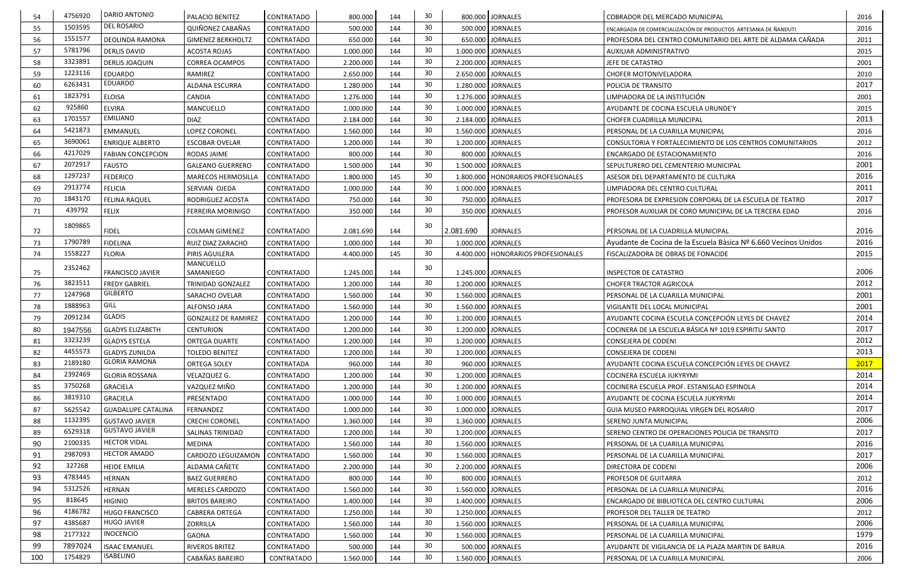| DEL ROSARIO<br>30<br>1503595<br>144<br>55<br><b>QUIÑONEZ CABAÑAS</b><br>500.000<br><b>JORNALES</b><br><b>CONTRATADO</b><br>2016<br>500.000<br>ENCARGADA DE COMERCIALIZACIÓN DE PRODUCTOS ARTESANIA DE ÑANDUTI<br>30<br>1551577<br>DEOLINDA RAMONA<br>650.000<br>144<br>650.000 JORNALES<br>PROFESORA DEL CENTRO COMUNITARIO DEL ARTE DE ALDAMA CAÑADA<br>2011<br>56<br><b>GIMENEZ BERKHOLTZ</b><br><b>CONTRATADO</b><br>30 <sup>°</sup><br>5781796<br>144<br>57<br>1.000.000 JORNALES<br><b>DERLIS DAVID</b><br><b>ACOSTA ROJAS</b><br><b>CONTRATADO</b><br>1.000.000<br>2015<br>AUXILIAR ADMINISTRATIVO<br>30<br>3323891<br>2.200.000<br>58<br><b>DERLIS JOAQUIN</b><br><b>CORREA OCAMPOS</b><br><b>CONTRATADO</b><br>144<br>2.200.000 JORNALES<br>2001<br>JEFE DE CATASTRO<br>1223116<br>30<br>59<br><b>EDUARDO</b><br>144<br>2.650.000 JORNALES<br>2010<br>RAMIREZ<br>CONTRATADO<br>2.650.000<br><b>CHOFER MOTONIVELADORA</b><br>EDUARDO<br>6263431<br>30<br>2017<br>60<br>ALDANA ESCURRA<br><b>CONTRATADO</b><br>1.280.000<br>144<br>1.280.000 JORNALES<br>POLICIA DE TRANSITO<br>30<br>1823791<br><b>ELOISA</b><br>CANDIA<br>144<br>1.276.000 JORNALES<br>LIMPIADORA DE LA INSTITUCIÓN<br>2001<br>CONTRATADO<br>1.276.000<br>61<br>30<br>925860<br><b>ELVIRA</b><br>144<br>62<br>MANCUELLO<br>CONTRATADO<br>1.000.000<br>1.000.000 JORNALES<br>AYUDANTE DE COCINA ESCUELA URUNDE'Y<br>2015<br><b>EMILIANO</b><br>30<br>1701557<br>2013<br>2.184.000 JORNALES<br><b>DIAZ</b><br>2.184.000<br>144<br><b>CONTRATADO</b><br><b>CHOFER CUADRILLA MUNICIPAL</b><br>63<br>30<br>5421873<br>144<br>EMMANUEL<br>LOPEZ CORONEL<br>1.560.000<br>1.560.000 JORNALES<br>2016<br>64<br><b>CONTRATADO</b><br>PERSONAL DE LA CUARILLA MUNICIPAL<br>30<br>3690061<br><b>ENRIQUE ALBERTO</b><br>1.200.000<br>144<br><b>JORNALES</b><br>2012<br>65<br><b>ESCOBAR OVELAR</b><br><b>CONTRATADO</b><br>1.200.000<br>CONSULTORIA Y FORTALECIMIENTO DE LOS CENTROS COMUNITARIOS<br>30<br>4217029<br>800.000<br>800.000 JORNALES<br>66<br><b>FABIAN CONCEPCION</b><br><b>CONTRATADO</b><br>144<br>2016<br>RODAS JAIME<br>ENCARGADO DE ESTACIONAMIENTO<br>2072917<br>30<br>2001<br>144<br><b>FAUSTO</b><br>1.500.000<br>1.500.000 JORNALES<br>67<br><b>GALEANO GUERRERO</b><br><b>CONTRATADO</b><br>SEPULTURERO DEL CEMENTERIO MUNICIPAL<br>30<br>1297237<br>2016<br>68<br><b>FEDERICO</b><br><b>CONTRATADO</b><br>1.800.000<br>145<br>1.800.000   HONORARIOS PROFESIONALES<br><b>MARECOS HERMOSILLA</b><br>ASESOR DEL DEPARTAMENTO DE CULTURA<br>2913774<br>30<br>2011<br><b>FELICIA</b><br>144<br>1.000.000 JORNALES<br><b>CONTRATADO</b><br>1.000.000<br>69<br>SERVIAN OJEDA<br>LIMPIADORA DEL CENTRO CULTURAL<br>30<br>1843170<br>2017<br>750.000<br>144<br><b>FELINA RAQUEL</b><br><b>CONTRATADO</b><br>750.000 JORNALES<br>PROFESORA DE EXPRESION CORPORAL DE LA ESCUELA DE TEATRO<br>70<br><b>RODRIGUEZ ACOSTA</b><br>30<br>439792<br><b>FELIX</b><br><b>JORNALES</b><br>2016<br><b>CONTRATADO</b><br>350.000<br>144<br>350.000<br>PROFESOR AUXILIAR DE CORO MUNICIPAL DE LA TERCERA EDAD<br>71<br><b>FERREIRA MORINIGO</b><br>1809865<br>30<br>2.081.690<br>2016<br><b>FIDEL</b><br><b>JORNALES</b><br>72<br><b>COLMAN GIMENEZ</b><br><b>CONTRATADO</b><br>2.081.690<br>144<br>PERSONAL DE LA CUADRILLA MUNICIPAL<br>1790789<br>30<br>2016<br><b>FIDELINA</b><br>1.000.000 JORNALES<br>Ayudante de Cocina de la Escuela Bàsica Nº 6.660 Vecinos Unidos<br>RUIZ DIAZ ZARACHO<br>1.000.000<br>144<br>73<br>CONTRATADO<br>1558227<br>30<br>2015<br><b>FLORIA</b><br>PIRIS AGUILERA<br>145<br><b>CONTRATADO</b><br>4.400.000<br><b>HONORARIOS PROFESIONALES</b><br>FISCALIZADORA DE OBRAS DE FONACIDE<br>74<br>4.400.000<br>MANCUELLO<br>2352462<br>30<br>2006<br>75<br><b>FRANCISCO JAVIER</b><br><b>CONTRATADO</b><br>1.245.000<br>144<br>1.245.000 JORNALES<br>SAMANIEGO<br><b>INSPECTOR DE CATASTRO</b><br>3823511<br>30<br>2012<br><b>FREDY GABRIEL</b><br><b>JORNALES</b><br><b>CONTRATADO</b><br>1.200.000<br>144<br>1.200.000<br><b>CHOFER TRACTOR AGRICOLA</b><br>76<br><b>TRINIDAD GONZALEZ</b><br><b>GILBERTO</b><br>1247968<br>30<br>2001<br>1.560.000<br>144<br>1.560.000 JORNALES<br>77<br><b>CONTRATADO</b><br><b>SARACHO OVELAR</b><br>PERSONAL DE LA CUARILLA MUNICIPAL<br>GILL<br>1888963<br>30<br>2001<br><b>JORNALES</b><br>1.560.000<br>144<br>78<br>ALFONSO JARA<br><b>CONTRATADO</b><br>1.560.000<br>VIGILANTE DEL LOCAL MUNICIPAL<br><b>GLADIS</b><br>2091234<br>30<br>2014<br><b>JORNALES</b><br>AYUDANTE COCINA ESCUELA CONCEPCIÓN LEYES DE CHAVEZ<br>79<br><b>GONZALEZ DE RAMIREZ</b><br>CONTRATADO<br>1.200.000<br>144<br>1.200.000<br>30<br>2017<br>144<br>1947556<br>1.200.000<br>1.200.000 JORNALES<br>COCINERA DE LA ESCUELA BÁSICA Nº 1019 ESPIRITU SANTO<br>80<br><b>GLADYS ELIZABETH</b><br><b>CENTURION</b><br><b>CONTRATADO</b><br>3323239<br>1.200.000<br>30<br>2012<br><b>GLADYS ESTELA</b><br>1.200.000 JORNALES<br><b>ORTEGA DUARTE</b><br><b>CONTRATADO</b><br><b>CONSEJERA DE CODENI</b><br>81<br>144<br>4455573<br>30<br>2013<br>144<br>82<br><b>GLADYS ZUNILDA</b><br><b>TOLEDO BENITEZ</b><br><b>CONTRATADO</b><br>1.200.000<br>1.200.000 JORNALES<br><b>CONSEJERA DE CODENI</b><br><b>GLORIA RAMONA</b><br>30<br>2017<br>2189180<br>960.000<br>83<br><b>ORTEGA SOLEY</b><br>CONTRATADA<br>144<br>960.000 JORNALES<br>AYUDANTE COCINA ESCUELA CONCEPCIÓN LEYES DE CHAVEZ<br>30<br>2392469<br>2014<br>1.200.000 JORNALES<br><b>GLORIA ROSSANA</b><br>VELAZQUEZ G.<br><b>CONTRATADO</b><br>1.200.000<br>144<br>84<br><b>COCINERA ESCUELA JUKYRYMI</b><br>3750268<br>30<br>2014<br>VAZQUEZ MIÑO<br><b>GRACIELA</b><br><b>CONTRATADO</b><br>144<br>1.200.000 JORNALES<br>85<br>1.200.000<br>COCINERA ESCUELA PROF. ESTANISLAO ESPINOLA<br>3819310<br>30<br>2014<br>1.000.000 JORNALES<br><b>GRACIELA</b><br>PRESENTADO<br>CONTRATADO<br>1.000.000<br>144<br>86<br>AYUDANTE DE COCINA ESCUELA JUKYRYMI<br>30<br>2017<br>144<br>87<br><b>GUADALUPE CATALINA</b><br>FERNANDEZ<br>CONTRATADO<br>1.000.000 JORNALES<br>5625542<br>1.000.000<br>GUIA MUSEO PARROQUIAL VIRGEN DEL ROSARIO<br>1132395<br>30<br>2006<br>88<br><b>GUSTAVO JAVIER</b><br><b>CRECHI CORONEL</b><br>CONTRATADO<br>1.360.000<br>144<br>1.360.000 JORNALES<br>SERENO JUNTA MUNICIPAL<br><b>GUSTAVO JAVIER</b><br>6529318<br>30<br>2017<br>1.200.000 JORNALES<br>89<br><b>SALINAS TRINIDAD</b><br>CONTRATADO<br>1.200.000<br>144<br>SERENO CENTRO DE OPERACIONES POLICIA DE TRANSITO<br><b>HECTOR VIDAL</b><br>2100335<br>30<br>90<br>2016<br>1.560.000 JORNALES<br>144<br>CONTRATADO<br>1.560.000<br>MEDINA<br>PERSONAL DE LA CUARILLA MUNICIPAL<br><b>HECTOR AMADO</b><br>2987093<br>30<br>2017<br>91<br>1.560.000<br>1.560.000 JORNALES<br>CARDOZO LEGUIZAMON<br><b>CONTRATADO</b><br>144<br>PERSONAL DE LA CUARILLA MUNICIPAL<br>30<br>2006<br>92<br>327268<br>ALDAMA CAÑETE<br>144<br>2.200.000 JORNALES<br><b>HEIDE EMILIA</b><br>CONTRATADO<br>2.200.000<br>DIRECTORA DE CODENI<br>30<br>4783445<br>93<br>800.000<br><b>HERNAN</b><br><b>BAEZ GUERRERO</b><br>CONTRATADO<br>144<br>800.000 JORNALES<br>PROFESOR DE GUITARRA<br>2012<br>5312526<br>30<br>2016<br>94<br><b>HERNAN</b><br><b>CONTRATADO</b><br>1.560.000<br>144<br>1.560.000 JORNALES<br><b>MERELES CARDOZO</b><br>PERSONAL DE LA CUARILLA MUNICIPAL<br>30<br>2006<br>95<br>818645<br><b>HIGINIO</b><br><b>BRITOS BAREIRO</b><br><b>CONTRATADO</b><br>1.400.000 JORNALES<br>1.400.000<br>144<br>ENCARGADO DE BIBLIOTECA DEL CENTRO CULTURAL<br>4186782<br>30<br>96<br>1.250.000 JORNALES<br><b>HUGO FRANCISCO</b><br><b>CABRERA ORTEGA</b><br><b>CONTRATADO</b><br>1.250.000<br>144<br>2012<br>PROFESOR DEL TALLER DE TEATRO<br><b>HUGO JAVIER</b><br>4385687<br>30<br>2006<br>97<br>1.560.000 JORNALES<br><b>ZORRILLA</b><br><b>CONTRATADO</b><br>144<br>1.560.000<br>PERSONAL DE LA CUARILLA MUNICIPAL<br><b>INOCENCIO</b><br>2177322<br>98<br>30<br>1979<br>1.560.000 JORNALES<br>GAONA<br>CONTRATADO<br>1.560.000<br>144<br>PERSONAL DE LA CUARILLA MUNICIPAL<br>99<br>7897024<br>30<br>2016<br><b>ISAAC EMANUEL</b><br><b>RIVEROS BRITEZ</b><br>CONTRATADO<br>144<br>500.000 JORNALES<br>500.000<br>AYUDANTE DE VIGILANCIA DE LA PLAZA MARTIN DE BARUA<br><b>ISABELINO</b><br>30<br>1754829<br>CABAÑAS BAREIRO<br>1.560.000<br>144<br>1.560.000 JORNALES<br>100<br>CONTRATADO<br>2006<br>PERSONAL DE LA CUARILLA MUNICIPAL | 54 | 4756920 | DARIO ANTONIO | <b>PALACIO BENITEZ</b> | <b>CONTRATADO</b> | 800.000 | 144 | 30 | 800.000 JORNALES | COBRADOR DEL MERCADO MUNICIPAL | 2016 |
|----------------------------------------------------------------------------------------------------------------------------------------------------------------------------------------------------------------------------------------------------------------------------------------------------------------------------------------------------------------------------------------------------------------------------------------------------------------------------------------------------------------------------------------------------------------------------------------------------------------------------------------------------------------------------------------------------------------------------------------------------------------------------------------------------------------------------------------------------------------------------------------------------------------------------------------------------------------------------------------------------------------------------------------------------------------------------------------------------------------------------------------------------------------------------------------------------------------------------------------------------------------------------------------------------------------------------------------------------------------------------------------------------------------------------------------------------------------------------------------------------------------------------------------------------------------------------------------------------------------------------------------------------------------------------------------------------------------------------------------------------------------------------------------------------------------------------------------------------------------------------------------------------------------------------------------------------------------------------------------------------------------------------------------------------------------------------------------------------------------------------------------------------------------------------------------------------------------------------------------------------------------------------------------------------------------------------------------------------------------------------------------------------------------------------------------------------------------------------------------------------------------------------------------------------------------------------------------------------------------------------------------------------------------------------------------------------------------------------------------------------------------------------------------------------------------------------------------------------------------------------------------------------------------------------------------------------------------------------------------------------------------------------------------------------------------------------------------------------------------------------------------------------------------------------------------------------------------------------------------------------------------------------------------------------------------------------------------------------------------------------------------------------------------------------------------------------------------------------------------------------------------------------------------------------------------------------------------------------------------------------------------------------------------------------------------------------------------------------------------------------------------------------------------------------------------------------------------------------------------------------------------------------------------------------------------------------------------------------------------------------------------------------------------------------------------------------------------------------------------------------------------------------------------------------------------------------------------------------------------------------------------------------------------------------------------------------------------------------------------------------------------------------------------------------------------------------------------------------------------------------------------------------------------------------------------------------------------------------------------------------------------------------------------------------------------------------------------------------------------------------------------------------------------------------------------------------------------------------------------------------------------------------------------------------------------------------------------------------------------------------------------------------------------------------------------------------------------------------------------------------------------------------------------------------------------------------------------------------------------------------------------------------------------------------------------------------------------------------------------------------------------------------------------------------------------------------------------------------------------------------------------------------------------------------------------------------------------------------------------------------------------------------------------------------------------------------------------------------------------------------------------------------------------------------------------------------------------------------------------------------------------------------------------------------------------------------------------------------------------------------------------------------------------------------------------------------------------------------------------------------------------------------------------------------------------------------------------------------------------------------------------------------------------------------------------------------------------------------------------------------------------------------------------------------------------------------------------------------------------------------------------------------------------------------------------------------------------------------------------------------------------------------------------------------------------------------------------------------------------------------------------------------------------------------------------------------------------------------------------------------------------------------------------------------------------------------------------------------------------------------------------------------------------------------------------------------------------------------------------------------------------------------------------------------------------------------------------------------------------------------------------------------------------------------------------------------------------------------------------------------------------------------------------------------------------------------------------------------------------------------------------------------------------------------------------------------------------------------------------------------------------------------------------------------------------------------------------------------------------------------------------------------------------------------------------------------------------------------------------------------------------------------------------------------------------------------------------------------------------------------------------------------------------------------------------------------------------------------------------------------------------------------------------------------------------------------------------------------------------------------------------------------------------------------------------------------------------------------------------------------------------------|----|---------|---------------|------------------------|-------------------|---------|-----|----|------------------|--------------------------------|------|
|                                                                                                                                                                                                                                                                                                                                                                                                                                                                                                                                                                                                                                                                                                                                                                                                                                                                                                                                                                                                                                                                                                                                                                                                                                                                                                                                                                                                                                                                                                                                                                                                                                                                                                                                                                                                                                                                                                                                                                                                                                                                                                                                                                                                                                                                                                                                                                                                                                                                                                                                                                                                                                                                                                                                                                                                                                                                                                                                                                                                                                                                                                                                                                                                                                                                                                                                                                                                                                                                                                                                                                                                                                                                                                                                                                                                                                                                                                                                                                                                                                                                                                                                                                                                                                                                                                                                                                                                                                                                                                                                                                                                                                                                                                                                                                                                                                                                                                                                                                                                                                                                                                                                                                                                                                                                                                                                                                                                                                                                                                                                                                                                                                                                                                                                                                                                                                                                                                                                                                                                                                                                                                                                                                                                                                                                                                                                                                                                                                                                                                                                                                                                                                                                                                                                                                                                                                                                                                                                                                                                                                                                                                                                                                                                                                                                                                                                                                                                                                                                                                                                                                                                                                                                                                                                                                                                                                                                                                                                                                                                                                                                                                                                                                                                                                                                                                                                                                                              |    |         |               |                        |                   |         |     |    |                  |                                |      |
|                                                                                                                                                                                                                                                                                                                                                                                                                                                                                                                                                                                                                                                                                                                                                                                                                                                                                                                                                                                                                                                                                                                                                                                                                                                                                                                                                                                                                                                                                                                                                                                                                                                                                                                                                                                                                                                                                                                                                                                                                                                                                                                                                                                                                                                                                                                                                                                                                                                                                                                                                                                                                                                                                                                                                                                                                                                                                                                                                                                                                                                                                                                                                                                                                                                                                                                                                                                                                                                                                                                                                                                                                                                                                                                                                                                                                                                                                                                                                                                                                                                                                                                                                                                                                                                                                                                                                                                                                                                                                                                                                                                                                                                                                                                                                                                                                                                                                                                                                                                                                                                                                                                                                                                                                                                                                                                                                                                                                                                                                                                                                                                                                                                                                                                                                                                                                                                                                                                                                                                                                                                                                                                                                                                                                                                                                                                                                                                                                                                                                                                                                                                                                                                                                                                                                                                                                                                                                                                                                                                                                                                                                                                                                                                                                                                                                                                                                                                                                                                                                                                                                                                                                                                                                                                                                                                                                                                                                                                                                                                                                                                                                                                                                                                                                                                                                                                                                                                              |    |         |               |                        |                   |         |     |    |                  |                                |      |
|                                                                                                                                                                                                                                                                                                                                                                                                                                                                                                                                                                                                                                                                                                                                                                                                                                                                                                                                                                                                                                                                                                                                                                                                                                                                                                                                                                                                                                                                                                                                                                                                                                                                                                                                                                                                                                                                                                                                                                                                                                                                                                                                                                                                                                                                                                                                                                                                                                                                                                                                                                                                                                                                                                                                                                                                                                                                                                                                                                                                                                                                                                                                                                                                                                                                                                                                                                                                                                                                                                                                                                                                                                                                                                                                                                                                                                                                                                                                                                                                                                                                                                                                                                                                                                                                                                                                                                                                                                                                                                                                                                                                                                                                                                                                                                                                                                                                                                                                                                                                                                                                                                                                                                                                                                                                                                                                                                                                                                                                                                                                                                                                                                                                                                                                                                                                                                                                                                                                                                                                                                                                                                                                                                                                                                                                                                                                                                                                                                                                                                                                                                                                                                                                                                                                                                                                                                                                                                                                                                                                                                                                                                                                                                                                                                                                                                                                                                                                                                                                                                                                                                                                                                                                                                                                                                                                                                                                                                                                                                                                                                                                                                                                                                                                                                                                                                                                                                                              |    |         |               |                        |                   |         |     |    |                  |                                |      |
|                                                                                                                                                                                                                                                                                                                                                                                                                                                                                                                                                                                                                                                                                                                                                                                                                                                                                                                                                                                                                                                                                                                                                                                                                                                                                                                                                                                                                                                                                                                                                                                                                                                                                                                                                                                                                                                                                                                                                                                                                                                                                                                                                                                                                                                                                                                                                                                                                                                                                                                                                                                                                                                                                                                                                                                                                                                                                                                                                                                                                                                                                                                                                                                                                                                                                                                                                                                                                                                                                                                                                                                                                                                                                                                                                                                                                                                                                                                                                                                                                                                                                                                                                                                                                                                                                                                                                                                                                                                                                                                                                                                                                                                                                                                                                                                                                                                                                                                                                                                                                                                                                                                                                                                                                                                                                                                                                                                                                                                                                                                                                                                                                                                                                                                                                                                                                                                                                                                                                                                                                                                                                                                                                                                                                                                                                                                                                                                                                                                                                                                                                                                                                                                                                                                                                                                                                                                                                                                                                                                                                                                                                                                                                                                                                                                                                                                                                                                                                                                                                                                                                                                                                                                                                                                                                                                                                                                                                                                                                                                                                                                                                                                                                                                                                                                                                                                                                                                              |    |         |               |                        |                   |         |     |    |                  |                                |      |
|                                                                                                                                                                                                                                                                                                                                                                                                                                                                                                                                                                                                                                                                                                                                                                                                                                                                                                                                                                                                                                                                                                                                                                                                                                                                                                                                                                                                                                                                                                                                                                                                                                                                                                                                                                                                                                                                                                                                                                                                                                                                                                                                                                                                                                                                                                                                                                                                                                                                                                                                                                                                                                                                                                                                                                                                                                                                                                                                                                                                                                                                                                                                                                                                                                                                                                                                                                                                                                                                                                                                                                                                                                                                                                                                                                                                                                                                                                                                                                                                                                                                                                                                                                                                                                                                                                                                                                                                                                                                                                                                                                                                                                                                                                                                                                                                                                                                                                                                                                                                                                                                                                                                                                                                                                                                                                                                                                                                                                                                                                                                                                                                                                                                                                                                                                                                                                                                                                                                                                                                                                                                                                                                                                                                                                                                                                                                                                                                                                                                                                                                                                                                                                                                                                                                                                                                                                                                                                                                                                                                                                                                                                                                                                                                                                                                                                                                                                                                                                                                                                                                                                                                                                                                                                                                                                                                                                                                                                                                                                                                                                                                                                                                                                                                                                                                                                                                                                                              |    |         |               |                        |                   |         |     |    |                  |                                |      |
|                                                                                                                                                                                                                                                                                                                                                                                                                                                                                                                                                                                                                                                                                                                                                                                                                                                                                                                                                                                                                                                                                                                                                                                                                                                                                                                                                                                                                                                                                                                                                                                                                                                                                                                                                                                                                                                                                                                                                                                                                                                                                                                                                                                                                                                                                                                                                                                                                                                                                                                                                                                                                                                                                                                                                                                                                                                                                                                                                                                                                                                                                                                                                                                                                                                                                                                                                                                                                                                                                                                                                                                                                                                                                                                                                                                                                                                                                                                                                                                                                                                                                                                                                                                                                                                                                                                                                                                                                                                                                                                                                                                                                                                                                                                                                                                                                                                                                                                                                                                                                                                                                                                                                                                                                                                                                                                                                                                                                                                                                                                                                                                                                                                                                                                                                                                                                                                                                                                                                                                                                                                                                                                                                                                                                                                                                                                                                                                                                                                                                                                                                                                                                                                                                                                                                                                                                                                                                                                                                                                                                                                                                                                                                                                                                                                                                                                                                                                                                                                                                                                                                                                                                                                                                                                                                                                                                                                                                                                                                                                                                                                                                                                                                                                                                                                                                                                                                                                              |    |         |               |                        |                   |         |     |    |                  |                                |      |
|                                                                                                                                                                                                                                                                                                                                                                                                                                                                                                                                                                                                                                                                                                                                                                                                                                                                                                                                                                                                                                                                                                                                                                                                                                                                                                                                                                                                                                                                                                                                                                                                                                                                                                                                                                                                                                                                                                                                                                                                                                                                                                                                                                                                                                                                                                                                                                                                                                                                                                                                                                                                                                                                                                                                                                                                                                                                                                                                                                                                                                                                                                                                                                                                                                                                                                                                                                                                                                                                                                                                                                                                                                                                                                                                                                                                                                                                                                                                                                                                                                                                                                                                                                                                                                                                                                                                                                                                                                                                                                                                                                                                                                                                                                                                                                                                                                                                                                                                                                                                                                                                                                                                                                                                                                                                                                                                                                                                                                                                                                                                                                                                                                                                                                                                                                                                                                                                                                                                                                                                                                                                                                                                                                                                                                                                                                                                                                                                                                                                                                                                                                                                                                                                                                                                                                                                                                                                                                                                                                                                                                                                                                                                                                                                                                                                                                                                                                                                                                                                                                                                                                                                                                                                                                                                                                                                                                                                                                                                                                                                                                                                                                                                                                                                                                                                                                                                                                                              |    |         |               |                        |                   |         |     |    |                  |                                |      |
|                                                                                                                                                                                                                                                                                                                                                                                                                                                                                                                                                                                                                                                                                                                                                                                                                                                                                                                                                                                                                                                                                                                                                                                                                                                                                                                                                                                                                                                                                                                                                                                                                                                                                                                                                                                                                                                                                                                                                                                                                                                                                                                                                                                                                                                                                                                                                                                                                                                                                                                                                                                                                                                                                                                                                                                                                                                                                                                                                                                                                                                                                                                                                                                                                                                                                                                                                                                                                                                                                                                                                                                                                                                                                                                                                                                                                                                                                                                                                                                                                                                                                                                                                                                                                                                                                                                                                                                                                                                                                                                                                                                                                                                                                                                                                                                                                                                                                                                                                                                                                                                                                                                                                                                                                                                                                                                                                                                                                                                                                                                                                                                                                                                                                                                                                                                                                                                                                                                                                                                                                                                                                                                                                                                                                                                                                                                                                                                                                                                                                                                                                                                                                                                                                                                                                                                                                                                                                                                                                                                                                                                                                                                                                                                                                                                                                                                                                                                                                                                                                                                                                                                                                                                                                                                                                                                                                                                                                                                                                                                                                                                                                                                                                                                                                                                                                                                                                                                              |    |         |               |                        |                   |         |     |    |                  |                                |      |
|                                                                                                                                                                                                                                                                                                                                                                                                                                                                                                                                                                                                                                                                                                                                                                                                                                                                                                                                                                                                                                                                                                                                                                                                                                                                                                                                                                                                                                                                                                                                                                                                                                                                                                                                                                                                                                                                                                                                                                                                                                                                                                                                                                                                                                                                                                                                                                                                                                                                                                                                                                                                                                                                                                                                                                                                                                                                                                                                                                                                                                                                                                                                                                                                                                                                                                                                                                                                                                                                                                                                                                                                                                                                                                                                                                                                                                                                                                                                                                                                                                                                                                                                                                                                                                                                                                                                                                                                                                                                                                                                                                                                                                                                                                                                                                                                                                                                                                                                                                                                                                                                                                                                                                                                                                                                                                                                                                                                                                                                                                                                                                                                                                                                                                                                                                                                                                                                                                                                                                                                                                                                                                                                                                                                                                                                                                                                                                                                                                                                                                                                                                                                                                                                                                                                                                                                                                                                                                                                                                                                                                                                                                                                                                                                                                                                                                                                                                                                                                                                                                                                                                                                                                                                                                                                                                                                                                                                                                                                                                                                                                                                                                                                                                                                                                                                                                                                                                                              |    |         |               |                        |                   |         |     |    |                  |                                |      |
|                                                                                                                                                                                                                                                                                                                                                                                                                                                                                                                                                                                                                                                                                                                                                                                                                                                                                                                                                                                                                                                                                                                                                                                                                                                                                                                                                                                                                                                                                                                                                                                                                                                                                                                                                                                                                                                                                                                                                                                                                                                                                                                                                                                                                                                                                                                                                                                                                                                                                                                                                                                                                                                                                                                                                                                                                                                                                                                                                                                                                                                                                                                                                                                                                                                                                                                                                                                                                                                                                                                                                                                                                                                                                                                                                                                                                                                                                                                                                                                                                                                                                                                                                                                                                                                                                                                                                                                                                                                                                                                                                                                                                                                                                                                                                                                                                                                                                                                                                                                                                                                                                                                                                                                                                                                                                                                                                                                                                                                                                                                                                                                                                                                                                                                                                                                                                                                                                                                                                                                                                                                                                                                                                                                                                                                                                                                                                                                                                                                                                                                                                                                                                                                                                                                                                                                                                                                                                                                                                                                                                                                                                                                                                                                                                                                                                                                                                                                                                                                                                                                                                                                                                                                                                                                                                                                                                                                                                                                                                                                                                                                                                                                                                                                                                                                                                                                                                                                              |    |         |               |                        |                   |         |     |    |                  |                                |      |
|                                                                                                                                                                                                                                                                                                                                                                                                                                                                                                                                                                                                                                                                                                                                                                                                                                                                                                                                                                                                                                                                                                                                                                                                                                                                                                                                                                                                                                                                                                                                                                                                                                                                                                                                                                                                                                                                                                                                                                                                                                                                                                                                                                                                                                                                                                                                                                                                                                                                                                                                                                                                                                                                                                                                                                                                                                                                                                                                                                                                                                                                                                                                                                                                                                                                                                                                                                                                                                                                                                                                                                                                                                                                                                                                                                                                                                                                                                                                                                                                                                                                                                                                                                                                                                                                                                                                                                                                                                                                                                                                                                                                                                                                                                                                                                                                                                                                                                                                                                                                                                                                                                                                                                                                                                                                                                                                                                                                                                                                                                                                                                                                                                                                                                                                                                                                                                                                                                                                                                                                                                                                                                                                                                                                                                                                                                                                                                                                                                                                                                                                                                                                                                                                                                                                                                                                                                                                                                                                                                                                                                                                                                                                                                                                                                                                                                                                                                                                                                                                                                                                                                                                                                                                                                                                                                                                                                                                                                                                                                                                                                                                                                                                                                                                                                                                                                                                                                                              |    |         |               |                        |                   |         |     |    |                  |                                |      |
|                                                                                                                                                                                                                                                                                                                                                                                                                                                                                                                                                                                                                                                                                                                                                                                                                                                                                                                                                                                                                                                                                                                                                                                                                                                                                                                                                                                                                                                                                                                                                                                                                                                                                                                                                                                                                                                                                                                                                                                                                                                                                                                                                                                                                                                                                                                                                                                                                                                                                                                                                                                                                                                                                                                                                                                                                                                                                                                                                                                                                                                                                                                                                                                                                                                                                                                                                                                                                                                                                                                                                                                                                                                                                                                                                                                                                                                                                                                                                                                                                                                                                                                                                                                                                                                                                                                                                                                                                                                                                                                                                                                                                                                                                                                                                                                                                                                                                                                                                                                                                                                                                                                                                                                                                                                                                                                                                                                                                                                                                                                                                                                                                                                                                                                                                                                                                                                                                                                                                                                                                                                                                                                                                                                                                                                                                                                                                                                                                                                                                                                                                                                                                                                                                                                                                                                                                                                                                                                                                                                                                                                                                                                                                                                                                                                                                                                                                                                                                                                                                                                                                                                                                                                                                                                                                                                                                                                                                                                                                                                                                                                                                                                                                                                                                                                                                                                                                                                              |    |         |               |                        |                   |         |     |    |                  |                                |      |
|                                                                                                                                                                                                                                                                                                                                                                                                                                                                                                                                                                                                                                                                                                                                                                                                                                                                                                                                                                                                                                                                                                                                                                                                                                                                                                                                                                                                                                                                                                                                                                                                                                                                                                                                                                                                                                                                                                                                                                                                                                                                                                                                                                                                                                                                                                                                                                                                                                                                                                                                                                                                                                                                                                                                                                                                                                                                                                                                                                                                                                                                                                                                                                                                                                                                                                                                                                                                                                                                                                                                                                                                                                                                                                                                                                                                                                                                                                                                                                                                                                                                                                                                                                                                                                                                                                                                                                                                                                                                                                                                                                                                                                                                                                                                                                                                                                                                                                                                                                                                                                                                                                                                                                                                                                                                                                                                                                                                                                                                                                                                                                                                                                                                                                                                                                                                                                                                                                                                                                                                                                                                                                                                                                                                                                                                                                                                                                                                                                                                                                                                                                                                                                                                                                                                                                                                                                                                                                                                                                                                                                                                                                                                                                                                                                                                                                                                                                                                                                                                                                                                                                                                                                                                                                                                                                                                                                                                                                                                                                                                                                                                                                                                                                                                                                                                                                                                                                                              |    |         |               |                        |                   |         |     |    |                  |                                |      |
|                                                                                                                                                                                                                                                                                                                                                                                                                                                                                                                                                                                                                                                                                                                                                                                                                                                                                                                                                                                                                                                                                                                                                                                                                                                                                                                                                                                                                                                                                                                                                                                                                                                                                                                                                                                                                                                                                                                                                                                                                                                                                                                                                                                                                                                                                                                                                                                                                                                                                                                                                                                                                                                                                                                                                                                                                                                                                                                                                                                                                                                                                                                                                                                                                                                                                                                                                                                                                                                                                                                                                                                                                                                                                                                                                                                                                                                                                                                                                                                                                                                                                                                                                                                                                                                                                                                                                                                                                                                                                                                                                                                                                                                                                                                                                                                                                                                                                                                                                                                                                                                                                                                                                                                                                                                                                                                                                                                                                                                                                                                                                                                                                                                                                                                                                                                                                                                                                                                                                                                                                                                                                                                                                                                                                                                                                                                                                                                                                                                                                                                                                                                                                                                                                                                                                                                                                                                                                                                                                                                                                                                                                                                                                                                                                                                                                                                                                                                                                                                                                                                                                                                                                                                                                                                                                                                                                                                                                                                                                                                                                                                                                                                                                                                                                                                                                                                                                                                              |    |         |               |                        |                   |         |     |    |                  |                                |      |
|                                                                                                                                                                                                                                                                                                                                                                                                                                                                                                                                                                                                                                                                                                                                                                                                                                                                                                                                                                                                                                                                                                                                                                                                                                                                                                                                                                                                                                                                                                                                                                                                                                                                                                                                                                                                                                                                                                                                                                                                                                                                                                                                                                                                                                                                                                                                                                                                                                                                                                                                                                                                                                                                                                                                                                                                                                                                                                                                                                                                                                                                                                                                                                                                                                                                                                                                                                                                                                                                                                                                                                                                                                                                                                                                                                                                                                                                                                                                                                                                                                                                                                                                                                                                                                                                                                                                                                                                                                                                                                                                                                                                                                                                                                                                                                                                                                                                                                                                                                                                                                                                                                                                                                                                                                                                                                                                                                                                                                                                                                                                                                                                                                                                                                                                                                                                                                                                                                                                                                                                                                                                                                                                                                                                                                                                                                                                                                                                                                                                                                                                                                                                                                                                                                                                                                                                                                                                                                                                                                                                                                                                                                                                                                                                                                                                                                                                                                                                                                                                                                                                                                                                                                                                                                                                                                                                                                                                                                                                                                                                                                                                                                                                                                                                                                                                                                                                                                                              |    |         |               |                        |                   |         |     |    |                  |                                |      |
|                                                                                                                                                                                                                                                                                                                                                                                                                                                                                                                                                                                                                                                                                                                                                                                                                                                                                                                                                                                                                                                                                                                                                                                                                                                                                                                                                                                                                                                                                                                                                                                                                                                                                                                                                                                                                                                                                                                                                                                                                                                                                                                                                                                                                                                                                                                                                                                                                                                                                                                                                                                                                                                                                                                                                                                                                                                                                                                                                                                                                                                                                                                                                                                                                                                                                                                                                                                                                                                                                                                                                                                                                                                                                                                                                                                                                                                                                                                                                                                                                                                                                                                                                                                                                                                                                                                                                                                                                                                                                                                                                                                                                                                                                                                                                                                                                                                                                                                                                                                                                                                                                                                                                                                                                                                                                                                                                                                                                                                                                                                                                                                                                                                                                                                                                                                                                                                                                                                                                                                                                                                                                                                                                                                                                                                                                                                                                                                                                                                                                                                                                                                                                                                                                                                                                                                                                                                                                                                                                                                                                                                                                                                                                                                                                                                                                                                                                                                                                                                                                                                                                                                                                                                                                                                                                                                                                                                                                                                                                                                                                                                                                                                                                                                                                                                                                                                                                                                              |    |         |               |                        |                   |         |     |    |                  |                                |      |
|                                                                                                                                                                                                                                                                                                                                                                                                                                                                                                                                                                                                                                                                                                                                                                                                                                                                                                                                                                                                                                                                                                                                                                                                                                                                                                                                                                                                                                                                                                                                                                                                                                                                                                                                                                                                                                                                                                                                                                                                                                                                                                                                                                                                                                                                                                                                                                                                                                                                                                                                                                                                                                                                                                                                                                                                                                                                                                                                                                                                                                                                                                                                                                                                                                                                                                                                                                                                                                                                                                                                                                                                                                                                                                                                                                                                                                                                                                                                                                                                                                                                                                                                                                                                                                                                                                                                                                                                                                                                                                                                                                                                                                                                                                                                                                                                                                                                                                                                                                                                                                                                                                                                                                                                                                                                                                                                                                                                                                                                                                                                                                                                                                                                                                                                                                                                                                                                                                                                                                                                                                                                                                                                                                                                                                                                                                                                                                                                                                                                                                                                                                                                                                                                                                                                                                                                                                                                                                                                                                                                                                                                                                                                                                                                                                                                                                                                                                                                                                                                                                                                                                                                                                                                                                                                                                                                                                                                                                                                                                                                                                                                                                                                                                                                                                                                                                                                                                                              |    |         |               |                        |                   |         |     |    |                  |                                |      |
|                                                                                                                                                                                                                                                                                                                                                                                                                                                                                                                                                                                                                                                                                                                                                                                                                                                                                                                                                                                                                                                                                                                                                                                                                                                                                                                                                                                                                                                                                                                                                                                                                                                                                                                                                                                                                                                                                                                                                                                                                                                                                                                                                                                                                                                                                                                                                                                                                                                                                                                                                                                                                                                                                                                                                                                                                                                                                                                                                                                                                                                                                                                                                                                                                                                                                                                                                                                                                                                                                                                                                                                                                                                                                                                                                                                                                                                                                                                                                                                                                                                                                                                                                                                                                                                                                                                                                                                                                                                                                                                                                                                                                                                                                                                                                                                                                                                                                                                                                                                                                                                                                                                                                                                                                                                                                                                                                                                                                                                                                                                                                                                                                                                                                                                                                                                                                                                                                                                                                                                                                                                                                                                                                                                                                                                                                                                                                                                                                                                                                                                                                                                                                                                                                                                                                                                                                                                                                                                                                                                                                                                                                                                                                                                                                                                                                                                                                                                                                                                                                                                                                                                                                                                                                                                                                                                                                                                                                                                                                                                                                                                                                                                                                                                                                                                                                                                                                                                              |    |         |               |                        |                   |         |     |    |                  |                                |      |
|                                                                                                                                                                                                                                                                                                                                                                                                                                                                                                                                                                                                                                                                                                                                                                                                                                                                                                                                                                                                                                                                                                                                                                                                                                                                                                                                                                                                                                                                                                                                                                                                                                                                                                                                                                                                                                                                                                                                                                                                                                                                                                                                                                                                                                                                                                                                                                                                                                                                                                                                                                                                                                                                                                                                                                                                                                                                                                                                                                                                                                                                                                                                                                                                                                                                                                                                                                                                                                                                                                                                                                                                                                                                                                                                                                                                                                                                                                                                                                                                                                                                                                                                                                                                                                                                                                                                                                                                                                                                                                                                                                                                                                                                                                                                                                                                                                                                                                                                                                                                                                                                                                                                                                                                                                                                                                                                                                                                                                                                                                                                                                                                                                                                                                                                                                                                                                                                                                                                                                                                                                                                                                                                                                                                                                                                                                                                                                                                                                                                                                                                                                                                                                                                                                                                                                                                                                                                                                                                                                                                                                                                                                                                                                                                                                                                                                                                                                                                                                                                                                                                                                                                                                                                                                                                                                                                                                                                                                                                                                                                                                                                                                                                                                                                                                                                                                                                                                                              |    |         |               |                        |                   |         |     |    |                  |                                |      |
|                                                                                                                                                                                                                                                                                                                                                                                                                                                                                                                                                                                                                                                                                                                                                                                                                                                                                                                                                                                                                                                                                                                                                                                                                                                                                                                                                                                                                                                                                                                                                                                                                                                                                                                                                                                                                                                                                                                                                                                                                                                                                                                                                                                                                                                                                                                                                                                                                                                                                                                                                                                                                                                                                                                                                                                                                                                                                                                                                                                                                                                                                                                                                                                                                                                                                                                                                                                                                                                                                                                                                                                                                                                                                                                                                                                                                                                                                                                                                                                                                                                                                                                                                                                                                                                                                                                                                                                                                                                                                                                                                                                                                                                                                                                                                                                                                                                                                                                                                                                                                                                                                                                                                                                                                                                                                                                                                                                                                                                                                                                                                                                                                                                                                                                                                                                                                                                                                                                                                                                                                                                                                                                                                                                                                                                                                                                                                                                                                                                                                                                                                                                                                                                                                                                                                                                                                                                                                                                                                                                                                                                                                                                                                                                                                                                                                                                                                                                                                                                                                                                                                                                                                                                                                                                                                                                                                                                                                                                                                                                                                                                                                                                                                                                                                                                                                                                                                                                              |    |         |               |                        |                   |         |     |    |                  |                                |      |
|                                                                                                                                                                                                                                                                                                                                                                                                                                                                                                                                                                                                                                                                                                                                                                                                                                                                                                                                                                                                                                                                                                                                                                                                                                                                                                                                                                                                                                                                                                                                                                                                                                                                                                                                                                                                                                                                                                                                                                                                                                                                                                                                                                                                                                                                                                                                                                                                                                                                                                                                                                                                                                                                                                                                                                                                                                                                                                                                                                                                                                                                                                                                                                                                                                                                                                                                                                                                                                                                                                                                                                                                                                                                                                                                                                                                                                                                                                                                                                                                                                                                                                                                                                                                                                                                                                                                                                                                                                                                                                                                                                                                                                                                                                                                                                                                                                                                                                                                                                                                                                                                                                                                                                                                                                                                                                                                                                                                                                                                                                                                                                                                                                                                                                                                                                                                                                                                                                                                                                                                                                                                                                                                                                                                                                                                                                                                                                                                                                                                                                                                                                                                                                                                                                                                                                                                                                                                                                                                                                                                                                                                                                                                                                                                                                                                                                                                                                                                                                                                                                                                                                                                                                                                                                                                                                                                                                                                                                                                                                                                                                                                                                                                                                                                                                                                                                                                                                                              |    |         |               |                        |                   |         |     |    |                  |                                |      |
|                                                                                                                                                                                                                                                                                                                                                                                                                                                                                                                                                                                                                                                                                                                                                                                                                                                                                                                                                                                                                                                                                                                                                                                                                                                                                                                                                                                                                                                                                                                                                                                                                                                                                                                                                                                                                                                                                                                                                                                                                                                                                                                                                                                                                                                                                                                                                                                                                                                                                                                                                                                                                                                                                                                                                                                                                                                                                                                                                                                                                                                                                                                                                                                                                                                                                                                                                                                                                                                                                                                                                                                                                                                                                                                                                                                                                                                                                                                                                                                                                                                                                                                                                                                                                                                                                                                                                                                                                                                                                                                                                                                                                                                                                                                                                                                                                                                                                                                                                                                                                                                                                                                                                                                                                                                                                                                                                                                                                                                                                                                                                                                                                                                                                                                                                                                                                                                                                                                                                                                                                                                                                                                                                                                                                                                                                                                                                                                                                                                                                                                                                                                                                                                                                                                                                                                                                                                                                                                                                                                                                                                                                                                                                                                                                                                                                                                                                                                                                                                                                                                                                                                                                                                                                                                                                                                                                                                                                                                                                                                                                                                                                                                                                                                                                                                                                                                                                                                              |    |         |               |                        |                   |         |     |    |                  |                                |      |
|                                                                                                                                                                                                                                                                                                                                                                                                                                                                                                                                                                                                                                                                                                                                                                                                                                                                                                                                                                                                                                                                                                                                                                                                                                                                                                                                                                                                                                                                                                                                                                                                                                                                                                                                                                                                                                                                                                                                                                                                                                                                                                                                                                                                                                                                                                                                                                                                                                                                                                                                                                                                                                                                                                                                                                                                                                                                                                                                                                                                                                                                                                                                                                                                                                                                                                                                                                                                                                                                                                                                                                                                                                                                                                                                                                                                                                                                                                                                                                                                                                                                                                                                                                                                                                                                                                                                                                                                                                                                                                                                                                                                                                                                                                                                                                                                                                                                                                                                                                                                                                                                                                                                                                                                                                                                                                                                                                                                                                                                                                                                                                                                                                                                                                                                                                                                                                                                                                                                                                                                                                                                                                                                                                                                                                                                                                                                                                                                                                                                                                                                                                                                                                                                                                                                                                                                                                                                                                                                                                                                                                                                                                                                                                                                                                                                                                                                                                                                                                                                                                                                                                                                                                                                                                                                                                                                                                                                                                                                                                                                                                                                                                                                                                                                                                                                                                                                                                                              |    |         |               |                        |                   |         |     |    |                  |                                |      |
|                                                                                                                                                                                                                                                                                                                                                                                                                                                                                                                                                                                                                                                                                                                                                                                                                                                                                                                                                                                                                                                                                                                                                                                                                                                                                                                                                                                                                                                                                                                                                                                                                                                                                                                                                                                                                                                                                                                                                                                                                                                                                                                                                                                                                                                                                                                                                                                                                                                                                                                                                                                                                                                                                                                                                                                                                                                                                                                                                                                                                                                                                                                                                                                                                                                                                                                                                                                                                                                                                                                                                                                                                                                                                                                                                                                                                                                                                                                                                                                                                                                                                                                                                                                                                                                                                                                                                                                                                                                                                                                                                                                                                                                                                                                                                                                                                                                                                                                                                                                                                                                                                                                                                                                                                                                                                                                                                                                                                                                                                                                                                                                                                                                                                                                                                                                                                                                                                                                                                                                                                                                                                                                                                                                                                                                                                                                                                                                                                                                                                                                                                                                                                                                                                                                                                                                                                                                                                                                                                                                                                                                                                                                                                                                                                                                                                                                                                                                                                                                                                                                                                                                                                                                                                                                                                                                                                                                                                                                                                                                                                                                                                                                                                                                                                                                                                                                                                                                              |    |         |               |                        |                   |         |     |    |                  |                                |      |
|                                                                                                                                                                                                                                                                                                                                                                                                                                                                                                                                                                                                                                                                                                                                                                                                                                                                                                                                                                                                                                                                                                                                                                                                                                                                                                                                                                                                                                                                                                                                                                                                                                                                                                                                                                                                                                                                                                                                                                                                                                                                                                                                                                                                                                                                                                                                                                                                                                                                                                                                                                                                                                                                                                                                                                                                                                                                                                                                                                                                                                                                                                                                                                                                                                                                                                                                                                                                                                                                                                                                                                                                                                                                                                                                                                                                                                                                                                                                                                                                                                                                                                                                                                                                                                                                                                                                                                                                                                                                                                                                                                                                                                                                                                                                                                                                                                                                                                                                                                                                                                                                                                                                                                                                                                                                                                                                                                                                                                                                                                                                                                                                                                                                                                                                                                                                                                                                                                                                                                                                                                                                                                                                                                                                                                                                                                                                                                                                                                                                                                                                                                                                                                                                                                                                                                                                                                                                                                                                                                                                                                                                                                                                                                                                                                                                                                                                                                                                                                                                                                                                                                                                                                                                                                                                                                                                                                                                                                                                                                                                                                                                                                                                                                                                                                                                                                                                                                                              |    |         |               |                        |                   |         |     |    |                  |                                |      |
|                                                                                                                                                                                                                                                                                                                                                                                                                                                                                                                                                                                                                                                                                                                                                                                                                                                                                                                                                                                                                                                                                                                                                                                                                                                                                                                                                                                                                                                                                                                                                                                                                                                                                                                                                                                                                                                                                                                                                                                                                                                                                                                                                                                                                                                                                                                                                                                                                                                                                                                                                                                                                                                                                                                                                                                                                                                                                                                                                                                                                                                                                                                                                                                                                                                                                                                                                                                                                                                                                                                                                                                                                                                                                                                                                                                                                                                                                                                                                                                                                                                                                                                                                                                                                                                                                                                                                                                                                                                                                                                                                                                                                                                                                                                                                                                                                                                                                                                                                                                                                                                                                                                                                                                                                                                                                                                                                                                                                                                                                                                                                                                                                                                                                                                                                                                                                                                                                                                                                                                                                                                                                                                                                                                                                                                                                                                                                                                                                                                                                                                                                                                                                                                                                                                                                                                                                                                                                                                                                                                                                                                                                                                                                                                                                                                                                                                                                                                                                                                                                                                                                                                                                                                                                                                                                                                                                                                                                                                                                                                                                                                                                                                                                                                                                                                                                                                                                                                              |    |         |               |                        |                   |         |     |    |                  |                                |      |
|                                                                                                                                                                                                                                                                                                                                                                                                                                                                                                                                                                                                                                                                                                                                                                                                                                                                                                                                                                                                                                                                                                                                                                                                                                                                                                                                                                                                                                                                                                                                                                                                                                                                                                                                                                                                                                                                                                                                                                                                                                                                                                                                                                                                                                                                                                                                                                                                                                                                                                                                                                                                                                                                                                                                                                                                                                                                                                                                                                                                                                                                                                                                                                                                                                                                                                                                                                                                                                                                                                                                                                                                                                                                                                                                                                                                                                                                                                                                                                                                                                                                                                                                                                                                                                                                                                                                                                                                                                                                                                                                                                                                                                                                                                                                                                                                                                                                                                                                                                                                                                                                                                                                                                                                                                                                                                                                                                                                                                                                                                                                                                                                                                                                                                                                                                                                                                                                                                                                                                                                                                                                                                                                                                                                                                                                                                                                                                                                                                                                                                                                                                                                                                                                                                                                                                                                                                                                                                                                                                                                                                                                                                                                                                                                                                                                                                                                                                                                                                                                                                                                                                                                                                                                                                                                                                                                                                                                                                                                                                                                                                                                                                                                                                                                                                                                                                                                                                                              |    |         |               |                        |                   |         |     |    |                  |                                |      |
|                                                                                                                                                                                                                                                                                                                                                                                                                                                                                                                                                                                                                                                                                                                                                                                                                                                                                                                                                                                                                                                                                                                                                                                                                                                                                                                                                                                                                                                                                                                                                                                                                                                                                                                                                                                                                                                                                                                                                                                                                                                                                                                                                                                                                                                                                                                                                                                                                                                                                                                                                                                                                                                                                                                                                                                                                                                                                                                                                                                                                                                                                                                                                                                                                                                                                                                                                                                                                                                                                                                                                                                                                                                                                                                                                                                                                                                                                                                                                                                                                                                                                                                                                                                                                                                                                                                                                                                                                                                                                                                                                                                                                                                                                                                                                                                                                                                                                                                                                                                                                                                                                                                                                                                                                                                                                                                                                                                                                                                                                                                                                                                                                                                                                                                                                                                                                                                                                                                                                                                                                                                                                                                                                                                                                                                                                                                                                                                                                                                                                                                                                                                                                                                                                                                                                                                                                                                                                                                                                                                                                                                                                                                                                                                                                                                                                                                                                                                                                                                                                                                                                                                                                                                                                                                                                                                                                                                                                                                                                                                                                                                                                                                                                                                                                                                                                                                                                                                              |    |         |               |                        |                   |         |     |    |                  |                                |      |
|                                                                                                                                                                                                                                                                                                                                                                                                                                                                                                                                                                                                                                                                                                                                                                                                                                                                                                                                                                                                                                                                                                                                                                                                                                                                                                                                                                                                                                                                                                                                                                                                                                                                                                                                                                                                                                                                                                                                                                                                                                                                                                                                                                                                                                                                                                                                                                                                                                                                                                                                                                                                                                                                                                                                                                                                                                                                                                                                                                                                                                                                                                                                                                                                                                                                                                                                                                                                                                                                                                                                                                                                                                                                                                                                                                                                                                                                                                                                                                                                                                                                                                                                                                                                                                                                                                                                                                                                                                                                                                                                                                                                                                                                                                                                                                                                                                                                                                                                                                                                                                                                                                                                                                                                                                                                                                                                                                                                                                                                                                                                                                                                                                                                                                                                                                                                                                                                                                                                                                                                                                                                                                                                                                                                                                                                                                                                                                                                                                                                                                                                                                                                                                                                                                                                                                                                                                                                                                                                                                                                                                                                                                                                                                                                                                                                                                                                                                                                                                                                                                                                                                                                                                                                                                                                                                                                                                                                                                                                                                                                                                                                                                                                                                                                                                                                                                                                                                                              |    |         |               |                        |                   |         |     |    |                  |                                |      |
|                                                                                                                                                                                                                                                                                                                                                                                                                                                                                                                                                                                                                                                                                                                                                                                                                                                                                                                                                                                                                                                                                                                                                                                                                                                                                                                                                                                                                                                                                                                                                                                                                                                                                                                                                                                                                                                                                                                                                                                                                                                                                                                                                                                                                                                                                                                                                                                                                                                                                                                                                                                                                                                                                                                                                                                                                                                                                                                                                                                                                                                                                                                                                                                                                                                                                                                                                                                                                                                                                                                                                                                                                                                                                                                                                                                                                                                                                                                                                                                                                                                                                                                                                                                                                                                                                                                                                                                                                                                                                                                                                                                                                                                                                                                                                                                                                                                                                                                                                                                                                                                                                                                                                                                                                                                                                                                                                                                                                                                                                                                                                                                                                                                                                                                                                                                                                                                                                                                                                                                                                                                                                                                                                                                                                                                                                                                                                                                                                                                                                                                                                                                                                                                                                                                                                                                                                                                                                                                                                                                                                                                                                                                                                                                                                                                                                                                                                                                                                                                                                                                                                                                                                                                                                                                                                                                                                                                                                                                                                                                                                                                                                                                                                                                                                                                                                                                                                                                              |    |         |               |                        |                   |         |     |    |                  |                                |      |
|                                                                                                                                                                                                                                                                                                                                                                                                                                                                                                                                                                                                                                                                                                                                                                                                                                                                                                                                                                                                                                                                                                                                                                                                                                                                                                                                                                                                                                                                                                                                                                                                                                                                                                                                                                                                                                                                                                                                                                                                                                                                                                                                                                                                                                                                                                                                                                                                                                                                                                                                                                                                                                                                                                                                                                                                                                                                                                                                                                                                                                                                                                                                                                                                                                                                                                                                                                                                                                                                                                                                                                                                                                                                                                                                                                                                                                                                                                                                                                                                                                                                                                                                                                                                                                                                                                                                                                                                                                                                                                                                                                                                                                                                                                                                                                                                                                                                                                                                                                                                                                                                                                                                                                                                                                                                                                                                                                                                                                                                                                                                                                                                                                                                                                                                                                                                                                                                                                                                                                                                                                                                                                                                                                                                                                                                                                                                                                                                                                                                                                                                                                                                                                                                                                                                                                                                                                                                                                                                                                                                                                                                                                                                                                                                                                                                                                                                                                                                                                                                                                                                                                                                                                                                                                                                                                                                                                                                                                                                                                                                                                                                                                                                                                                                                                                                                                                                                                                              |    |         |               |                        |                   |         |     |    |                  |                                |      |
|                                                                                                                                                                                                                                                                                                                                                                                                                                                                                                                                                                                                                                                                                                                                                                                                                                                                                                                                                                                                                                                                                                                                                                                                                                                                                                                                                                                                                                                                                                                                                                                                                                                                                                                                                                                                                                                                                                                                                                                                                                                                                                                                                                                                                                                                                                                                                                                                                                                                                                                                                                                                                                                                                                                                                                                                                                                                                                                                                                                                                                                                                                                                                                                                                                                                                                                                                                                                                                                                                                                                                                                                                                                                                                                                                                                                                                                                                                                                                                                                                                                                                                                                                                                                                                                                                                                                                                                                                                                                                                                                                                                                                                                                                                                                                                                                                                                                                                                                                                                                                                                                                                                                                                                                                                                                                                                                                                                                                                                                                                                                                                                                                                                                                                                                                                                                                                                                                                                                                                                                                                                                                                                                                                                                                                                                                                                                                                                                                                                                                                                                                                                                                                                                                                                                                                                                                                                                                                                                                                                                                                                                                                                                                                                                                                                                                                                                                                                                                                                                                                                                                                                                                                                                                                                                                                                                                                                                                                                                                                                                                                                                                                                                                                                                                                                                                                                                                                                              |    |         |               |                        |                   |         |     |    |                  |                                |      |
|                                                                                                                                                                                                                                                                                                                                                                                                                                                                                                                                                                                                                                                                                                                                                                                                                                                                                                                                                                                                                                                                                                                                                                                                                                                                                                                                                                                                                                                                                                                                                                                                                                                                                                                                                                                                                                                                                                                                                                                                                                                                                                                                                                                                                                                                                                                                                                                                                                                                                                                                                                                                                                                                                                                                                                                                                                                                                                                                                                                                                                                                                                                                                                                                                                                                                                                                                                                                                                                                                                                                                                                                                                                                                                                                                                                                                                                                                                                                                                                                                                                                                                                                                                                                                                                                                                                                                                                                                                                                                                                                                                                                                                                                                                                                                                                                                                                                                                                                                                                                                                                                                                                                                                                                                                                                                                                                                                                                                                                                                                                                                                                                                                                                                                                                                                                                                                                                                                                                                                                                                                                                                                                                                                                                                                                                                                                                                                                                                                                                                                                                                                                                                                                                                                                                                                                                                                                                                                                                                                                                                                                                                                                                                                                                                                                                                                                                                                                                                                                                                                                                                                                                                                                                                                                                                                                                                                                                                                                                                                                                                                                                                                                                                                                                                                                                                                                                                                                              |    |         |               |                        |                   |         |     |    |                  |                                |      |
|                                                                                                                                                                                                                                                                                                                                                                                                                                                                                                                                                                                                                                                                                                                                                                                                                                                                                                                                                                                                                                                                                                                                                                                                                                                                                                                                                                                                                                                                                                                                                                                                                                                                                                                                                                                                                                                                                                                                                                                                                                                                                                                                                                                                                                                                                                                                                                                                                                                                                                                                                                                                                                                                                                                                                                                                                                                                                                                                                                                                                                                                                                                                                                                                                                                                                                                                                                                                                                                                                                                                                                                                                                                                                                                                                                                                                                                                                                                                                                                                                                                                                                                                                                                                                                                                                                                                                                                                                                                                                                                                                                                                                                                                                                                                                                                                                                                                                                                                                                                                                                                                                                                                                                                                                                                                                                                                                                                                                                                                                                                                                                                                                                                                                                                                                                                                                                                                                                                                                                                                                                                                                                                                                                                                                                                                                                                                                                                                                                                                                                                                                                                                                                                                                                                                                                                                                                                                                                                                                                                                                                                                                                                                                                                                                                                                                                                                                                                                                                                                                                                                                                                                                                                                                                                                                                                                                                                                                                                                                                                                                                                                                                                                                                                                                                                                                                                                                                                              |    |         |               |                        |                   |         |     |    |                  |                                |      |
|                                                                                                                                                                                                                                                                                                                                                                                                                                                                                                                                                                                                                                                                                                                                                                                                                                                                                                                                                                                                                                                                                                                                                                                                                                                                                                                                                                                                                                                                                                                                                                                                                                                                                                                                                                                                                                                                                                                                                                                                                                                                                                                                                                                                                                                                                                                                                                                                                                                                                                                                                                                                                                                                                                                                                                                                                                                                                                                                                                                                                                                                                                                                                                                                                                                                                                                                                                                                                                                                                                                                                                                                                                                                                                                                                                                                                                                                                                                                                                                                                                                                                                                                                                                                                                                                                                                                                                                                                                                                                                                                                                                                                                                                                                                                                                                                                                                                                                                                                                                                                                                                                                                                                                                                                                                                                                                                                                                                                                                                                                                                                                                                                                                                                                                                                                                                                                                                                                                                                                                                                                                                                                                                                                                                                                                                                                                                                                                                                                                                                                                                                                                                                                                                                                                                                                                                                                                                                                                                                                                                                                                                                                                                                                                                                                                                                                                                                                                                                                                                                                                                                                                                                                                                                                                                                                                                                                                                                                                                                                                                                                                                                                                                                                                                                                                                                                                                                                                              |    |         |               |                        |                   |         |     |    |                  |                                |      |
|                                                                                                                                                                                                                                                                                                                                                                                                                                                                                                                                                                                                                                                                                                                                                                                                                                                                                                                                                                                                                                                                                                                                                                                                                                                                                                                                                                                                                                                                                                                                                                                                                                                                                                                                                                                                                                                                                                                                                                                                                                                                                                                                                                                                                                                                                                                                                                                                                                                                                                                                                                                                                                                                                                                                                                                                                                                                                                                                                                                                                                                                                                                                                                                                                                                                                                                                                                                                                                                                                                                                                                                                                                                                                                                                                                                                                                                                                                                                                                                                                                                                                                                                                                                                                                                                                                                                                                                                                                                                                                                                                                                                                                                                                                                                                                                                                                                                                                                                                                                                                                                                                                                                                                                                                                                                                                                                                                                                                                                                                                                                                                                                                                                                                                                                                                                                                                                                                                                                                                                                                                                                                                                                                                                                                                                                                                                                                                                                                                                                                                                                                                                                                                                                                                                                                                                                                                                                                                                                                                                                                                                                                                                                                                                                                                                                                                                                                                                                                                                                                                                                                                                                                                                                                                                                                                                                                                                                                                                                                                                                                                                                                                                                                                                                                                                                                                                                                                                              |    |         |               |                        |                   |         |     |    |                  |                                |      |
|                                                                                                                                                                                                                                                                                                                                                                                                                                                                                                                                                                                                                                                                                                                                                                                                                                                                                                                                                                                                                                                                                                                                                                                                                                                                                                                                                                                                                                                                                                                                                                                                                                                                                                                                                                                                                                                                                                                                                                                                                                                                                                                                                                                                                                                                                                                                                                                                                                                                                                                                                                                                                                                                                                                                                                                                                                                                                                                                                                                                                                                                                                                                                                                                                                                                                                                                                                                                                                                                                                                                                                                                                                                                                                                                                                                                                                                                                                                                                                                                                                                                                                                                                                                                                                                                                                                                                                                                                                                                                                                                                                                                                                                                                                                                                                                                                                                                                                                                                                                                                                                                                                                                                                                                                                                                                                                                                                                                                                                                                                                                                                                                                                                                                                                                                                                                                                                                                                                                                                                                                                                                                                                                                                                                                                                                                                                                                                                                                                                                                                                                                                                                                                                                                                                                                                                                                                                                                                                                                                                                                                                                                                                                                                                                                                                                                                                                                                                                                                                                                                                                                                                                                                                                                                                                                                                                                                                                                                                                                                                                                                                                                                                                                                                                                                                                                                                                                                                              |    |         |               |                        |                   |         |     |    |                  |                                |      |
|                                                                                                                                                                                                                                                                                                                                                                                                                                                                                                                                                                                                                                                                                                                                                                                                                                                                                                                                                                                                                                                                                                                                                                                                                                                                                                                                                                                                                                                                                                                                                                                                                                                                                                                                                                                                                                                                                                                                                                                                                                                                                                                                                                                                                                                                                                                                                                                                                                                                                                                                                                                                                                                                                                                                                                                                                                                                                                                                                                                                                                                                                                                                                                                                                                                                                                                                                                                                                                                                                                                                                                                                                                                                                                                                                                                                                                                                                                                                                                                                                                                                                                                                                                                                                                                                                                                                                                                                                                                                                                                                                                                                                                                                                                                                                                                                                                                                                                                                                                                                                                                                                                                                                                                                                                                                                                                                                                                                                                                                                                                                                                                                                                                                                                                                                                                                                                                                                                                                                                                                                                                                                                                                                                                                                                                                                                                                                                                                                                                                                                                                                                                                                                                                                                                                                                                                                                                                                                                                                                                                                                                                                                                                                                                                                                                                                                                                                                                                                                                                                                                                                                                                                                                                                                                                                                                                                                                                                                                                                                                                                                                                                                                                                                                                                                                                                                                                                                                              |    |         |               |                        |                   |         |     |    |                  |                                |      |
|                                                                                                                                                                                                                                                                                                                                                                                                                                                                                                                                                                                                                                                                                                                                                                                                                                                                                                                                                                                                                                                                                                                                                                                                                                                                                                                                                                                                                                                                                                                                                                                                                                                                                                                                                                                                                                                                                                                                                                                                                                                                                                                                                                                                                                                                                                                                                                                                                                                                                                                                                                                                                                                                                                                                                                                                                                                                                                                                                                                                                                                                                                                                                                                                                                                                                                                                                                                                                                                                                                                                                                                                                                                                                                                                                                                                                                                                                                                                                                                                                                                                                                                                                                                                                                                                                                                                                                                                                                                                                                                                                                                                                                                                                                                                                                                                                                                                                                                                                                                                                                                                                                                                                                                                                                                                                                                                                                                                                                                                                                                                                                                                                                                                                                                                                                                                                                                                                                                                                                                                                                                                                                                                                                                                                                                                                                                                                                                                                                                                                                                                                                                                                                                                                                                                                                                                                                                                                                                                                                                                                                                                                                                                                                                                                                                                                                                                                                                                                                                                                                                                                                                                                                                                                                                                                                                                                                                                                                                                                                                                                                                                                                                                                                                                                                                                                                                                                                                              |    |         |               |                        |                   |         |     |    |                  |                                |      |
|                                                                                                                                                                                                                                                                                                                                                                                                                                                                                                                                                                                                                                                                                                                                                                                                                                                                                                                                                                                                                                                                                                                                                                                                                                                                                                                                                                                                                                                                                                                                                                                                                                                                                                                                                                                                                                                                                                                                                                                                                                                                                                                                                                                                                                                                                                                                                                                                                                                                                                                                                                                                                                                                                                                                                                                                                                                                                                                                                                                                                                                                                                                                                                                                                                                                                                                                                                                                                                                                                                                                                                                                                                                                                                                                                                                                                                                                                                                                                                                                                                                                                                                                                                                                                                                                                                                                                                                                                                                                                                                                                                                                                                                                                                                                                                                                                                                                                                                                                                                                                                                                                                                                                                                                                                                                                                                                                                                                                                                                                                                                                                                                                                                                                                                                                                                                                                                                                                                                                                                                                                                                                                                                                                                                                                                                                                                                                                                                                                                                                                                                                                                                                                                                                                                                                                                                                                                                                                                                                                                                                                                                                                                                                                                                                                                                                                                                                                                                                                                                                                                                                                                                                                                                                                                                                                                                                                                                                                                                                                                                                                                                                                                                                                                                                                                                                                                                                                                              |    |         |               |                        |                   |         |     |    |                  |                                |      |
|                                                                                                                                                                                                                                                                                                                                                                                                                                                                                                                                                                                                                                                                                                                                                                                                                                                                                                                                                                                                                                                                                                                                                                                                                                                                                                                                                                                                                                                                                                                                                                                                                                                                                                                                                                                                                                                                                                                                                                                                                                                                                                                                                                                                                                                                                                                                                                                                                                                                                                                                                                                                                                                                                                                                                                                                                                                                                                                                                                                                                                                                                                                                                                                                                                                                                                                                                                                                                                                                                                                                                                                                                                                                                                                                                                                                                                                                                                                                                                                                                                                                                                                                                                                                                                                                                                                                                                                                                                                                                                                                                                                                                                                                                                                                                                                                                                                                                                                                                                                                                                                                                                                                                                                                                                                                                                                                                                                                                                                                                                                                                                                                                                                                                                                                                                                                                                                                                                                                                                                                                                                                                                                                                                                                                                                                                                                                                                                                                                                                                                                                                                                                                                                                                                                                                                                                                                                                                                                                                                                                                                                                                                                                                                                                                                                                                                                                                                                                                                                                                                                                                                                                                                                                                                                                                                                                                                                                                                                                                                                                                                                                                                                                                                                                                                                                                                                                                                                              |    |         |               |                        |                   |         |     |    |                  |                                |      |
|                                                                                                                                                                                                                                                                                                                                                                                                                                                                                                                                                                                                                                                                                                                                                                                                                                                                                                                                                                                                                                                                                                                                                                                                                                                                                                                                                                                                                                                                                                                                                                                                                                                                                                                                                                                                                                                                                                                                                                                                                                                                                                                                                                                                                                                                                                                                                                                                                                                                                                                                                                                                                                                                                                                                                                                                                                                                                                                                                                                                                                                                                                                                                                                                                                                                                                                                                                                                                                                                                                                                                                                                                                                                                                                                                                                                                                                                                                                                                                                                                                                                                                                                                                                                                                                                                                                                                                                                                                                                                                                                                                                                                                                                                                                                                                                                                                                                                                                                                                                                                                                                                                                                                                                                                                                                                                                                                                                                                                                                                                                                                                                                                                                                                                                                                                                                                                                                                                                                                                                                                                                                                                                                                                                                                                                                                                                                                                                                                                                                                                                                                                                                                                                                                                                                                                                                                                                                                                                                                                                                                                                                                                                                                                                                                                                                                                                                                                                                                                                                                                                                                                                                                                                                                                                                                                                                                                                                                                                                                                                                                                                                                                                                                                                                                                                                                                                                                                                              |    |         |               |                        |                   |         |     |    |                  |                                |      |
|                                                                                                                                                                                                                                                                                                                                                                                                                                                                                                                                                                                                                                                                                                                                                                                                                                                                                                                                                                                                                                                                                                                                                                                                                                                                                                                                                                                                                                                                                                                                                                                                                                                                                                                                                                                                                                                                                                                                                                                                                                                                                                                                                                                                                                                                                                                                                                                                                                                                                                                                                                                                                                                                                                                                                                                                                                                                                                                                                                                                                                                                                                                                                                                                                                                                                                                                                                                                                                                                                                                                                                                                                                                                                                                                                                                                                                                                                                                                                                                                                                                                                                                                                                                                                                                                                                                                                                                                                                                                                                                                                                                                                                                                                                                                                                                                                                                                                                                                                                                                                                                                                                                                                                                                                                                                                                                                                                                                                                                                                                                                                                                                                                                                                                                                                                                                                                                                                                                                                                                                                                                                                                                                                                                                                                                                                                                                                                                                                                                                                                                                                                                                                                                                                                                                                                                                                                                                                                                                                                                                                                                                                                                                                                                                                                                                                                                                                                                                                                                                                                                                                                                                                                                                                                                                                                                                                                                                                                                                                                                                                                                                                                                                                                                                                                                                                                                                                                                              |    |         |               |                        |                   |         |     |    |                  |                                |      |
|                                                                                                                                                                                                                                                                                                                                                                                                                                                                                                                                                                                                                                                                                                                                                                                                                                                                                                                                                                                                                                                                                                                                                                                                                                                                                                                                                                                                                                                                                                                                                                                                                                                                                                                                                                                                                                                                                                                                                                                                                                                                                                                                                                                                                                                                                                                                                                                                                                                                                                                                                                                                                                                                                                                                                                                                                                                                                                                                                                                                                                                                                                                                                                                                                                                                                                                                                                                                                                                                                                                                                                                                                                                                                                                                                                                                                                                                                                                                                                                                                                                                                                                                                                                                                                                                                                                                                                                                                                                                                                                                                                                                                                                                                                                                                                                                                                                                                                                                                                                                                                                                                                                                                                                                                                                                                                                                                                                                                                                                                                                                                                                                                                                                                                                                                                                                                                                                                                                                                                                                                                                                                                                                                                                                                                                                                                                                                                                                                                                                                                                                                                                                                                                                                                                                                                                                                                                                                                                                                                                                                                                                                                                                                                                                                                                                                                                                                                                                                                                                                                                                                                                                                                                                                                                                                                                                                                                                                                                                                                                                                                                                                                                                                                                                                                                                                                                                                                                              |    |         |               |                        |                   |         |     |    |                  |                                |      |
|                                                                                                                                                                                                                                                                                                                                                                                                                                                                                                                                                                                                                                                                                                                                                                                                                                                                                                                                                                                                                                                                                                                                                                                                                                                                                                                                                                                                                                                                                                                                                                                                                                                                                                                                                                                                                                                                                                                                                                                                                                                                                                                                                                                                                                                                                                                                                                                                                                                                                                                                                                                                                                                                                                                                                                                                                                                                                                                                                                                                                                                                                                                                                                                                                                                                                                                                                                                                                                                                                                                                                                                                                                                                                                                                                                                                                                                                                                                                                                                                                                                                                                                                                                                                                                                                                                                                                                                                                                                                                                                                                                                                                                                                                                                                                                                                                                                                                                                                                                                                                                                                                                                                                                                                                                                                                                                                                                                                                                                                                                                                                                                                                                                                                                                                                                                                                                                                                                                                                                                                                                                                                                                                                                                                                                                                                                                                                                                                                                                                                                                                                                                                                                                                                                                                                                                                                                                                                                                                                                                                                                                                                                                                                                                                                                                                                                                                                                                                                                                                                                                                                                                                                                                                                                                                                                                                                                                                                                                                                                                                                                                                                                                                                                                                                                                                                                                                                                                              |    |         |               |                        |                   |         |     |    |                  |                                |      |
|                                                                                                                                                                                                                                                                                                                                                                                                                                                                                                                                                                                                                                                                                                                                                                                                                                                                                                                                                                                                                                                                                                                                                                                                                                                                                                                                                                                                                                                                                                                                                                                                                                                                                                                                                                                                                                                                                                                                                                                                                                                                                                                                                                                                                                                                                                                                                                                                                                                                                                                                                                                                                                                                                                                                                                                                                                                                                                                                                                                                                                                                                                                                                                                                                                                                                                                                                                                                                                                                                                                                                                                                                                                                                                                                                                                                                                                                                                                                                                                                                                                                                                                                                                                                                                                                                                                                                                                                                                                                                                                                                                                                                                                                                                                                                                                                                                                                                                                                                                                                                                                                                                                                                                                                                                                                                                                                                                                                                                                                                                                                                                                                                                                                                                                                                                                                                                                                                                                                                                                                                                                                                                                                                                                                                                                                                                                                                                                                                                                                                                                                                                                                                                                                                                                                                                                                                                                                                                                                                                                                                                                                                                                                                                                                                                                                                                                                                                                                                                                                                                                                                                                                                                                                                                                                                                                                                                                                                                                                                                                                                                                                                                                                                                                                                                                                                                                                                                                              |    |         |               |                        |                   |         |     |    |                  |                                |      |
|                                                                                                                                                                                                                                                                                                                                                                                                                                                                                                                                                                                                                                                                                                                                                                                                                                                                                                                                                                                                                                                                                                                                                                                                                                                                                                                                                                                                                                                                                                                                                                                                                                                                                                                                                                                                                                                                                                                                                                                                                                                                                                                                                                                                                                                                                                                                                                                                                                                                                                                                                                                                                                                                                                                                                                                                                                                                                                                                                                                                                                                                                                                                                                                                                                                                                                                                                                                                                                                                                                                                                                                                                                                                                                                                                                                                                                                                                                                                                                                                                                                                                                                                                                                                                                                                                                                                                                                                                                                                                                                                                                                                                                                                                                                                                                                                                                                                                                                                                                                                                                                                                                                                                                                                                                                                                                                                                                                                                                                                                                                                                                                                                                                                                                                                                                                                                                                                                                                                                                                                                                                                                                                                                                                                                                                                                                                                                                                                                                                                                                                                                                                                                                                                                                                                                                                                                                                                                                                                                                                                                                                                                                                                                                                                                                                                                                                                                                                                                                                                                                                                                                                                                                                                                                                                                                                                                                                                                                                                                                                                                                                                                                                                                                                                                                                                                                                                                                                              |    |         |               |                        |                   |         |     |    |                  |                                |      |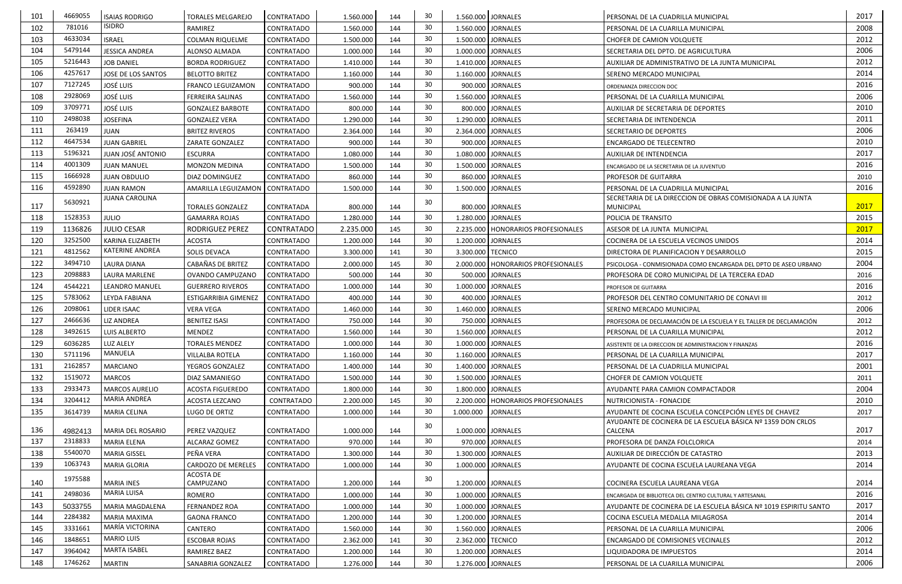| 101 | 4669055 | <b>ISAIAS RODRIGO</b>   | <b>TORALES MELGAREJO</b>    | CONTRATADO        | 1.560.000 | 144 | 30 | 1.560.000 JORNALES |                                      | PERSONAL DE LA CUADRILLA MUNICIPAL                                | 2017 |
|-----|---------|-------------------------|-----------------------------|-------------------|-----------|-----|----|--------------------|--------------------------------------|-------------------------------------------------------------------|------|
| 102 | 781016  | <b>ISIDRO</b>           | RAMIREZ                     | <b>CONTRATADO</b> | 1.560.000 | 144 | 30 | 1.560.000 JORNALES |                                      | PERSONAL DE LA CUARILLA MUNICIPAL                                 | 2008 |
| 103 | 4633034 | <b>ISRAEL</b>           | <b>COLMAN RIQUELME</b>      | <b>CONTRATADO</b> | 1.500.000 | 144 | 30 | 1.500.000 JORNALES |                                      | <b>CHOFER DE CAMION VOLQUETE</b>                                  | 2012 |
| 104 | 5479144 | <b>JESSICA ANDREA</b>   | ALONSO ALMADA               | <b>CONTRATADO</b> | 1.000.000 | 144 | 30 | 1.000.000 JORNALES |                                      | SECRETARIA DEL DPTO. DE AGRICULTURA                               | 2006 |
| 105 | 5216443 | <b>JOB DANIEL</b>       | <b>BORDA RODRIGUEZ</b>      | <b>CONTRATADO</b> | 1.410.000 | 144 | 30 | 1.410.000 JORNALES |                                      | AUXILIAR DE ADMINISTRATIVO DE LA JUNTA MUNICIPAL                  | 2012 |
| 106 | 4257617 | JOSE DE LOS SANTOS      | <b>BELOTTO BRITEZ</b>       | <b>CONTRATADO</b> | 1.160.000 | 144 | 30 | 1.160.000 JORNALES |                                      | SERENO MERCADO MUNICIPAL                                          | 2014 |
| 107 | 7127245 | <b>JOSÉ LUIS</b>        | <b>FRANCO LEGUIZAMON</b>    | <b>CONTRATADO</b> | 900.000   | 144 | 30 |                    | 900.000 JORNALES                     | ORDENANZA DIRECCION DOC                                           | 2016 |
| 108 | 2928069 | <b>JOSÉ LUIS</b>        | <b>FERREIRA SALINAS</b>     | <b>CONTRATADO</b> | 1.560.000 | 144 | 30 | 1.560.000 JORNALES |                                      | PERSONAL DE LA CUARILLA MUNICIPAL                                 | 2006 |
| 109 | 3709771 | <b>JOSÉ LUIS</b>        | <b>GONZALEZ BARBOTE</b>     | <b>CONTRATADO</b> | 800.000   | 144 | 30 |                    | 800.000 JORNALES                     | AUXILIAR DE SECRETARIA DE DEPORTES                                | 2010 |
| 110 | 2498038 | <b>JOSEFINA</b>         | <b>GONZALEZ VERA</b>        | <b>CONTRATADO</b> | 1.290.000 | 144 | 30 | 1.290.000 JORNALES |                                      | SECRETARIA DE INTENDENCIA                                         | 2011 |
| 111 | 263419  | <b>JUAN</b>             | <b>BRITEZ RIVEROS</b>       | <b>CONTRATADO</b> | 2.364.000 | 144 | 30 | 2.364.000 JORNALES |                                      | SECRETARIO DE DEPORTES                                            | 2006 |
| 112 | 4647534 | <b>JUAN GABRIEL</b>     | ZARATE GONZALEZ             | <b>CONTRATADO</b> | 900.000   | 144 | 30 |                    | 900.000 JORNALES                     | ENCARGADO DE TELECENTRO                                           | 2010 |
| 113 | 5196321 | JUAN JOSÉ ANTONIO       | <b>ESCURRA</b>              | <b>CONTRATADO</b> | 1.080.000 | 144 | 30 | 1.080.000 JORNALES |                                      | AUXILIAR DE INTENDENCIA                                           | 2017 |
| 114 | 4001309 | <b>JUAN MANUEL</b>      | <b>MONZON MEDINA</b>        | <b>CONTRATADO</b> | 1.500.000 | 144 | 30 | 1.500.000 JORNALES |                                      | ENCARGADO DE LA SECRETARIA DE LA JUVENTUD                         | 2016 |
| 115 | 1666928 | <b>JUAN OBDULIO</b>     | DIAZ DOMINGUEZ              | <b>CONTRATADO</b> | 860.000   | 144 | 30 |                    | 860.000 JORNALES                     | PROFESOR DE GUITARRA                                              | 2010 |
| 116 | 4592890 | <b>JUAN RAMON</b>       | AMARILLA LEGUIZAMON         | <b>CONTRATADO</b> | 1.500.000 | 144 | 30 | 1.500.000 JORNALES |                                      | PERSONAL DE LA CUADRILLA MUNICIPAL                                | 2016 |
|     | 5630921 | <b>JUANA CAROLINA</b>   |                             |                   |           |     | 30 |                    |                                      | SECRETARIA DE LA DIRECCION DE OBRAS COMISIONADA A LA JUNTA        |      |
| 117 |         |                         | <b>TORALES GONZALEZ</b>     | CONTRATADA        | 800.000   | 144 |    |                    | 800.000 JORNALES                     | <b>MUNICIPAL</b>                                                  | 2017 |
| 118 | 1528353 | <b>JULIO</b>            | <b>GAMARRA ROJAS</b>        | <b>CONTRATADO</b> | 1.280.000 | 144 | 30 | 1.280.000 JORNALES |                                      | POLICIA DE TRANSITO                                               | 2015 |
| 119 | 1136826 | <b>JULIO CESAR</b>      | <b>RODRIGUEZ PEREZ</b>      | <b>CONTRATADO</b> | 2.235.000 | 145 | 30 |                    | 2.235.000   HONORARIOS PROFESIONALES | ASESOR DE LA JUNTA MUNICIPAL                                      | 2017 |
| 120 | 3252500 | <b>KARINA ELIZABETH</b> | <b>ACOSTA</b>               | <b>CONTRATADO</b> | 1.200.000 | 144 | 30 | 1.200.000 JORNALES |                                      | COCINERA DE LA ESCUELA VECINOS UNIDOS                             | 2014 |
| 121 | 4812562 | <b>KATERINE ANDREA</b>  | SOLIS DEVACA                | <b>CONTRATADO</b> | 3.300.000 | 141 | 30 | 3.300.000 TECNICO  |                                      | DIRECTORA DE PLANIFICACION Y DESARROLLO                           | 2015 |
| 122 | 3494710 | <b>LAURA DIANA</b>      | CABAÑAS DE BRITEZ           | <b>CONTRATADO</b> | 2.000.000 | 145 | 30 |                    | 2.000.000   HONORARIOS PROFESIONALES | PSICOLOGA - CONMISIONADA COMO ENCARGADA DEL DPTO DE ASEO URBANO   | 2004 |
| 123 | 2098883 | LAURA MARLENE           | OVANDO CAMPUZANO            | <b>CONTRATADO</b> | 500.000   | 144 | 30 |                    | 500.000 JORNALES                     | PROFESORA DE CORO MUNICIPAL DE LA TERCERA EDAD                    | 2016 |
| 124 | 4544221 | LEANDRO MANUEL          | <b>GUERRERO RIVEROS</b>     | <b>CONTRATADO</b> | 1.000.000 | 144 | 30 | 1.000.000 JORNALES |                                      | PROFESOR DE GUITARRA                                              | 2016 |
| 125 | 5783062 | LEYDA FABIANA           | <b>ESTIGARRIBIA GIMENEZ</b> | <b>CONTRATADO</b> | 400.000   | 144 | 30 |                    | 400.000 JORNALES                     | PROFESOR DEL CENTRO COMUNITARIO DE CONAVI III                     | 2012 |
| 126 | 2098061 | <b>LIDER ISAAC</b>      | <b>VERA VEGA</b>            | <b>CONTRATADO</b> | 1.460.000 | 144 | 30 | 1.460.000 JORNALES |                                      | SERENO MERCADO MUNICIPAL                                          | 2006 |
| 127 | 2466636 | <b>LIZ ANDREA</b>       | <b>BENITEZ ISASI</b>        | CONTRATADO        | 750.000   | 144 | 30 |                    | 750.000 JORNALES                     | PROFESORA DE DECLAMACIÓN DE LA ESCUELA Y EL TALLER DE DECLAMACIÓN | 2012 |
| 128 | 3492615 | <b>LUIS ALBERTO</b>     | MENDEZ                      | <b>CONTRATADO</b> | 1.560.000 | 144 | 30 | 1.560.000 JORNALES |                                      | PERSONAL DE LA CUARILLA MUNICIPAL                                 | 2012 |
| 129 | 6036285 | LUZ ALELY               | <b>TORALES MENDEZ</b>       | CONTRATADO        | 1.000.000 | 144 | 30 | 1.000.000 JORNALES |                                      | ASISTENTE DE LA DIRECCION DE ADMINISTRACION Y FINANZAS            | 2016 |
| 130 | 5711196 | MANUELA                 | <b>VILLALBA ROTELA</b>      | <b>CONTRATADO</b> | 1.160.000 | 144 | 30 | 1.160.000 JORNALES |                                      | PERSONAL DE LA CUARILLA MUNICIPAL                                 | 2017 |
| 131 | 2162857 | <b>MARCIANO</b>         | YEGROS GONZALEZ             | CONTRATADO        | 1.400.000 | 144 | 30 | 1.400.000 JORNALES |                                      | PERSONAL DE LA CUADRILLA MUNICIPAL                                | 2001 |
| 132 | 1519072 | <b>MARCOS</b>           | DIAZ SAMANIEGO              | <b>CONTRATADO</b> | 1.500.000 | 144 | 30 |                    | 1.500.000 JORNALES                   | CHOFER DE CAMION VOLQUETE                                         | 2011 |
| 133 | 2933473 | <b>MARCOS AURELIO</b>   | <b>ACOSTA FIGUEREDO</b>     | <b>CONTRATADO</b> | 1.800.000 | 144 | 30 |                    | 1.800.000 JORNALES                   | AYUDANTE PARA CAMION COMPACTADOR                                  | 2004 |
| 134 | 3204412 | <b>MARIA ANDREA</b>     | ACOSTA LEZCANO              | CONTRATADO        | 2.200.000 | 145 | 30 |                    | 2.200.000   HONORARIOS PROFESIONALES | NUTRICIONISTA - FONACIDE                                          | 2010 |
| 135 | 3614739 | <b>MARIA CELINA</b>     | LUGO DE ORTIZ               | CONTRATADO        | 1.000.000 | 144 | 30 | 1.000.000          | <b>JORNALES</b>                      | AYUDANTE DE COCINA ESCUELA CONCEPCIÓN LEYES DE CHAVEZ             | 2017 |
|     |         |                         |                             |                   |           |     | 30 |                    |                                      | AYUDANTE DE COCINERA DE LA ESCUELA BÁSICA Nº 1359 DON CRLOS       |      |
| 136 | 4982413 | MARIA DEL ROSARIO       | PEREZ VAZQUEZ               | CONTRATADO        | 1.000.000 | 144 |    | 1.000.000 JORNALES |                                      | CALCENA                                                           | 2017 |
| 137 | 2318833 | <b>MARIA ELENA</b>      | ALCARAZ GOMEZ               | CONTRATADO        | 970.000   | 144 | 30 |                    | 970.000 JORNALES                     | PROFESORA DE DANZA FOLCLORICA                                     | 2014 |
| 138 | 5540070 | <b>MARIA GISSEL</b>     | PEÑA VERA                   | CONTRATADO        | 1.300.000 | 144 | 30 | 1.300.000 JORNALES |                                      | AUXILIAR DE DIRECCIÓN DE CATASTRO                                 | 2013 |
| 139 | 1063743 | <b>MARIA GLORIA</b>     | CARDOZO DE MERELES          | <b>CONTRATADO</b> | 1.000.000 | 144 | 30 |                    | 1.000.000 JORNALES                   | AYUDANTE DE COCINA ESCUELA LAUREANA VEGA                          | 2014 |
| 140 | 1975588 | <b>MARIA INES</b>       | ACOSTA DE<br>CAMPUZANO      | <b>CONTRATADO</b> | 1.200.000 | 144 | 30 | 1.200.000 JORNALES |                                      | COCINERA ESCUELA LAUREANA VEGA                                    | 2014 |
| 141 | 2498036 | <b>MARIA LUISA</b>      | ROMERO                      | CONTRATADO        | 1.000.000 | 144 | 30 | 1.000.000 JORNALES |                                      | ENCARGADA DE BIBLIOTECA DEL CENTRO CULTURAL Y ARTESANAL           | 2016 |
| 143 | 5033755 | MARIA MAGDALENA         | <b>FERNANDEZ ROA</b>        | CONTRATADO        | 1.000.000 | 144 | 30 |                    | 1.000.000 JORNALES                   | AYUDANTE DE COCINERA DE LA ESCUELA BÁSICA Nº 1019 ESPIRITU SANTO  | 2017 |
| 144 | 2284382 | <b>MARIA MAXIMA</b>     | <b>GAONA FRANCO</b>         | <b>CONTRATADO</b> | 1.200.000 | 144 | 30 | 1.200.000 JORNALES |                                      | COCINA ESCUELA MEDALLA MILAGROSA                                  | 2014 |
| 145 | 3331661 | MARÍA VICTORINA         | CANTERO                     | <b>CONTRATADO</b> | 1.560.000 | 144 | 30 | 1.560.000 JORNALES |                                      | PERSONAL DE LA CUARILLA MUNICIPAL                                 | 2006 |
| 146 | 1848651 | <b>MARIO LUIS</b>       | <b>ESCOBAR ROJAS</b>        | CONTRATADO        | 2.362.000 | 141 | 30 | 2.362.000 TECNICO  |                                      | ENCARGADO DE COMISIONES VECINALES                                 | 2012 |
| 147 | 3964042 | <b>MARTA ISABEL</b>     | RAMIREZ BAEZ                | CONTRATADO        | 1.200.000 | 144 | 30 | 1.200.000 JORNALES |                                      | LIQUIDADORA DE IMPUESTOS                                          | 2014 |
| 148 | 1746262 | <b>MARTIN</b>           | SANABRIA GONZALEZ           | CONTRATADO        | 1.276.000 | 144 | 30 |                    | 1.276.000 JORNALES                   | PERSONAL DE LA CUARILLA MUNICIPAL                                 | 2006 |
|     |         |                         |                             |                   |           |     |    |                    |                                      |                                                                   |      |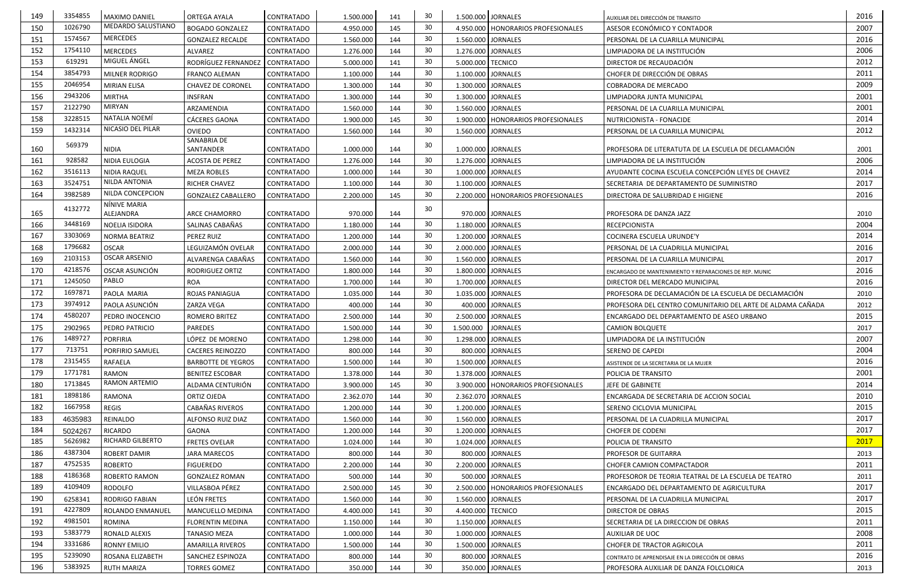| MEDARDO SALUSTIANO<br>30<br>1026790<br>2007<br>150<br>4.950.000<br>145<br>ASESOR ECONÓMICO Y CONTADOR<br><b>BOGADO GONZALEZ</b><br><b>CONTRATADO</b><br>4.950.000   HONORARIOS PROFESIONALES<br><b>MERCEDES</b><br>1574567<br>30<br>2016<br>151<br>1.560.000<br>144<br>1.560.000 JORNALES<br><b>GONZALEZ RECALDE</b><br><b>CONTRATADO</b><br>PERSONAL DE LA CUARILLA MUNICIPAL<br>30<br>2006<br>1754110<br>152<br><b>MERCEDES</b><br>1.276.000 JORNALES<br>ALVAREZ<br><b>CONTRATADO</b><br>1.276.000<br>144<br>LIMPIADORA DE LA INSTITUCIÓN<br>MIGUEL ÁNGEL<br>30<br>619291<br>2012<br>153<br>RODRÍGUEZ FERNANDEZ<br>5.000.000<br>141<br>5.000.000 TECNICO<br><b>CONTRATADO</b><br>DIRECTOR DE RECAUDACIÓN<br>3854793<br>30<br>2011<br>154<br>144<br>1.100.000 JORNALES<br>CHOFER DE DIRECCIÓN DE OBRAS<br>MILNER RODRIGO<br><b>CONTRATADO</b><br>1.100.000<br><b>FRANCO ALEMAN</b><br>30<br>2009<br>2046954<br>155<br>1.300.000 JORNALES<br><b>MIRIAN ELISA</b><br><b>CHAVEZ DE CORONEL</b><br>CONTRATADO<br>1.300.000<br>144<br><b>COBRADORA DE MERCADO</b><br>2943206<br>30<br>2001<br>156<br><b>MIRTHA</b><br>144<br><b>INSFRAN</b><br><b>CONTRATADO</b><br>1.300.000<br>1.300.000 JORNALES<br>LIMPIADORA JUNTA MUNICIPAL<br><b>MIRYAN</b><br>2122790<br>30<br>2001<br>157<br>ARZAMENDIA<br><b>CONTRATADO</b><br>1.560.000<br>144<br>1.560.000 JORNALES<br>PERSONAL DE LA CUARILLA MUNICIPAL<br>NATALIA NOEMÍ<br>3228515<br>30<br>2014<br>158<br>CÁCERES GAONA<br><b>CONTRATADO</b><br>1.900.000<br>145<br>1.900.000   HONORARIOS PROFESIONALES<br>NUTRICIONISTA - FONACIDE<br>NICASIO DEL PILAR<br>1432314<br>30<br>2012<br>159<br><b>OVIEDO</b><br>1.560.000 JORNALES<br><b>CONTRATADO</b><br>1.560.000<br>144<br>PERSONAL DE LA CUARILLA MUNICIPAL<br>SANABRIA DE<br>569379<br>30<br>160<br><b>NIDIA</b><br>SANTANDER<br>1.000.000<br>1.000.000 JORNALES<br><b>CONTRATADO</b><br>144<br>PROFESORA DE LITERATUTA DE LA ESCUELA DE DECLAMACIÓN<br>2001<br>928582<br>30<br>2006<br>161<br>1.276.000<br>1.276.000 JORNALES<br>LIMPIADORA DE LA INSTITUCIÓN<br>NIDIA EULOGIA<br><b>ACOSTA DE PEREZ</b><br><b>CONTRATADO</b><br>144<br>30<br>3516113<br>2014<br>162<br>1.000.000<br>144<br>1.000.000 JORNALES<br>AYUDANTE COCINA ESCUELA CONCEPCIÓN LEYES DE CHAVEZ<br><b>NIDIA RAQUEL</b><br><b>MEZA ROBLES</b><br><b>CONTRATADO</b><br>NILDA ANTONIA<br>3524751<br>30<br>2017<br>163<br>RICHER CHAVEZ<br><b>CONTRATADO</b><br>1.100.000<br>144<br>1.100.000 JORNALES<br>SECRETARIA DE DEPARTAMENTO DE SUMINISTRO<br>NILDA CONCEPCION<br>30<br>3982589<br>2016<br>164<br>145<br><b>GONZALEZ CABALLERO</b><br>CONTRATADO<br>2.200.000<br>2.200.000   HONORARIOS PROFESIONALES<br>DIRECTORA DE SALUBRIDAD E HIGIENE<br>NÍNIVE MARIA<br>4132772<br>30<br>165<br>ALEJANDRA<br>970.000<br>970.000 JORNALES<br><b>ARCE CHAMORRO</b><br><b>CONTRATADO</b><br>2010<br>144<br>PROFESORA DE DANZA JAZZ<br>3448169<br>30<br>2004<br>166<br>SALINAS CABAÑAS<br>144<br>1.180.000 JORNALES<br>NOELIA ISIDORA<br><b>CONTRATADO</b><br>1.180.000<br><b>RECEPCIONISTA</b><br>3303069<br>30<br>2014<br>167<br>PEREZ RUIZ<br><b>CONTRATADO</b><br>1.200.000<br>144<br>1.200.000 JORNALES<br><b>NORMA BEATRIZ</b><br>COCINERA ESCUELA URUNDE'Y<br>30<br>2016<br>168<br>1796682<br><b>OSCAR</b><br>LEGUIZAMÓN OVELAR<br>144<br>2.000.000 JORNALES<br><b>CONTRATADO</b><br>2.000.000<br>PERSONAL DE LA CUADRILLA MUNICIPAL<br><b>OSCAR ARSENIO</b><br>2103153<br>30<br>2017<br>169<br>144<br>1.560.000 JORNALES<br>1.560.000<br>ALVARENGA CABAÑAS<br><b>CONTRATADO</b><br>PERSONAL DE LA CUARILLA MUNICIPAL<br>4218576<br>30<br>2016<br>170<br>OSCAR ASUNCIÓN<br>1.800.000 JORNALES<br>CONTRATADO<br>1.800.000<br>144<br>RODRIGUEZ ORTIZ<br>ENCARGADO DE MANTENIMIENTO Y REPARACIONES DE REP. MUNIC<br>PABLO<br>30 <sup>°</sup><br>1245050<br>2016<br>171<br><b>CONTRATADO</b><br>144<br>1.700.000 JORNALES<br><b>ROA</b><br>1.700.000<br>DIRECTOR DEL MERCADO MUNICIPAL<br>1697871<br>30<br>172<br>1.035.000<br>1.035.000 JORNALES<br>PROFESORA DE DECLAMACIÓN DE LA ESCUELA DE DECLAMACIÓN<br>PAOLA MARIA<br><b>ROJAS PANIAGUA</b><br><b>CONTRATADO</b><br>144<br>2010<br>173<br>3974912<br>30<br>PAOLA ASUNCIÓN<br>400.000<br>144<br>400.000 JORNALES<br>2012<br><b>ZARZA VEGA</b><br><b>CONTRATADO</b><br>PROFESORA DEL CENTRO COMUNITARIO DEL ARTE DE ALDAMA CAÑADA<br>174<br>4580207<br>30<br>2015<br>ROMERO BRITEZ<br><b>CONTRATADO</b><br>2.500.000<br>2.500.000 JORNALES<br>PEDRO INOCENCIO<br>144<br>ENCARGADO DEL DEPARTAMENTO DE ASEO URBANO<br>30<br>175<br>1.500.000 JORNALES<br>2902965<br>1.500.000<br>144<br>2017<br>PEDRO PATRICIO<br>PAREDES<br><b>CONTRATADO</b><br><b>CAMION BOLQUETE</b><br>1489727<br>30 <sup>°</sup><br>2007<br>176<br>LÓPEZ DE MORENO<br><b>PORFIRIA</b><br><b>CONTRATADO</b><br>1.298.000<br>144<br>1.298.000 JORNALES<br>LIMPIADORA DE LA INSTITUCIÓN<br>30<br>2004<br>177<br>713751<br>PORFIRIO SAMUEL<br>800.000<br>800.000 JORNALES<br><b>CACERES REINOZZO</b><br><b>CONTRATADO</b><br>144<br>SERENO DE CAPEDI<br>2315455<br>30<br>178<br>2016<br><b>RAFAELA</b><br>144<br>CONTRATADO<br>1.500.000<br>1.500.000 JORNALES<br><b>BARBOTTE DE YEGROS</b><br>ASISTENDE DE LA SECRETARIA DE LA MUJER<br>1771781<br>2001<br>30<br>179<br>RAMON<br><b>CONTRATADO</b><br>1.378.000<br>1.378.000 JORNALES<br><b>BENITEZ ESCOBAR</b><br>144<br>POLICIA DE TRANSITO<br>RAMON ARTEMIO<br>1713845<br>30<br>2014<br>180<br>ALDAMA CENTURIÓN<br><b>CONTRATADO</b><br>3.900.000<br>145<br>3.900.000   HONORARIOS PROFESIONALES<br>JEFE DE GABINETE<br>1898186<br>30<br>2010<br>181<br>RAMONA<br>ORTIZ OJEDA<br><b>CONTRATADO</b><br>144<br>2.362.070 JORNALES<br>2.362.070<br>ENCARGADA DE SECRETARIA DE ACCION SOCIAL<br>1667958<br>30<br>2015<br>182<br><b>REGIS</b><br><b>CABAÑAS RIVEROS</b><br>1.200.000 JORNALES<br>CONTRATADO<br>1.200.000<br>144<br>SERENO CICLOVIA MUNICIPAL<br>30<br>2017<br>183<br>REINALDO<br>144<br>1.560.000 JORNALES<br>CONTRATADO<br>1.560.000<br>4635983<br>ALFONSO RUIZ DIAZ<br>PERSONAL DE LA CUADRILLA MUNICIPAL<br>30<br>2017<br>184<br>5024267<br>RICARDO<br>GAONA<br>CONTRATADO<br>1.200.000<br>144<br>1.200.000 JORNALES<br><b>CHOFER DE CODENI</b><br><b>RICHARD GILBERTO</b><br>5626982<br>2017<br>30<br>185<br>1.024.000 JORNALES<br><b>FRETES OVELAR</b><br>CONTRATADO<br>1.024.000<br>144<br>POLICIA DE TRANSITO<br>4387304<br>30<br>186<br>800.000 JORNALES<br><b>CONTRATADO</b><br>800.000<br><b>ROBERT DAMIR</b><br><b>JARA MARECOS</b><br>144<br>PROFESOR DE GUITARRA<br>2013<br>30<br>4752535<br>2011<br>187<br><b>ROBERTO</b><br>2.200.000 JORNALES<br><b>FIGUEREDO</b><br>CONTRATADO<br>2.200.000<br>144<br><b>CHOFER CAMION COMPACTADOR</b><br>4186368<br>30<br>188<br>144<br>ROBERTO RAMON<br><b>GONZALEZ ROMAN</b><br>CONTRATADO<br>500.000<br>500.000 JORNALES<br>PROFESOROR DE TEORIA TEATRAL DE LA ESCUELA DE TEATRO<br>2011<br>30<br>4109409<br>2017<br>189<br>VILLASBOA PÉREZ<br>RODOLFO<br>CONTRATADO<br>2.500.000<br>145<br>2.500.000   HONORARIOS PROFESIONALES<br>ENCARGADO DEL DEPARTAMENTO DE AGRICULTURA<br>30<br>2017<br>190<br>LEÓN FRETES<br>144<br>6258341<br><b>RODRIGO FABIAN</b><br>CONTRATADO<br>1.560.000<br>1.560.000 JORNALES<br>PERSONAL DE LA CUADRILLA MUNICIPAL<br>4227809<br>30<br>2015<br>191<br><b>CONTRATADO</b><br>4.400.000<br>4.400.000 TECNICO<br>ROLANDO ENMANUEL<br>MANCUELLO MEDINA<br>141<br><b>DIRECTOR DE OBRAS</b><br>4981501<br>30<br>2011<br>192<br>ROMINA<br>1.150.000 JORNALES<br>CONTRATADO<br>1.150.000<br>144<br>SECRETARIA DE LA DIRECCION DE OBRAS<br><b>FLORENTIN MEDINA</b><br>2008<br>5383779<br>30<br>193<br>1.000.000 JORNALES<br>RONALD ALEXIS<br>TANASIO MEZA<br><b>CONTRATADO</b><br>1.000.000<br>144<br>AUXILIAR DE UOC<br>30<br>3331686<br>2011<br>194<br>1.500.000 JORNALES<br>RONNY EMILIO<br><b>CONTRATADO</b><br>1.500.000<br>144<br>CHOFER DE TRACTOR AGRICOLA<br><b>AMARILLA RIVEROS</b><br>5239090<br>30<br>2016<br>195<br>ROSANA ELIZABETH<br>CONTRATADO<br>800.000<br>144<br>800.000 JORNALES<br><b>SANCHEZ ESPINOZA</b><br>CONTRATO DE APRENDISAJE EN LA DIRECCIÓN DE OBRAS<br>30<br>5383925<br>196<br>144<br><b>RUTH MARIZA</b><br><b>TORRES GOMEZ</b><br><b>CONTRATADO</b><br>350.000<br>350.000 JORNALES<br>PROFESORA AUXILIAR DE DANZA FOLCLORICA<br>2013 | 149 | 3354855 | <b>MAXIMO DANIEL</b> | ORTEGA AYALA | <b>CONTRATADO</b> | 1.500.000 | 141 | 30 | 1.500.000 JORNALES | AUXILIAR DEL DIRECCIÓN DE TRANSITO | 2016 |
|-------------------------------------------------------------------------------------------------------------------------------------------------------------------------------------------------------------------------------------------------------------------------------------------------------------------------------------------------------------------------------------------------------------------------------------------------------------------------------------------------------------------------------------------------------------------------------------------------------------------------------------------------------------------------------------------------------------------------------------------------------------------------------------------------------------------------------------------------------------------------------------------------------------------------------------------------------------------------------------------------------------------------------------------------------------------------------------------------------------------------------------------------------------------------------------------------------------------------------------------------------------------------------------------------------------------------------------------------------------------------------------------------------------------------------------------------------------------------------------------------------------------------------------------------------------------------------------------------------------------------------------------------------------------------------------------------------------------------------------------------------------------------------------------------------------------------------------------------------------------------------------------------------------------------------------------------------------------------------------------------------------------------------------------------------------------------------------------------------------------------------------------------------------------------------------------------------------------------------------------------------------------------------------------------------------------------------------------------------------------------------------------------------------------------------------------------------------------------------------------------------------------------------------------------------------------------------------------------------------------------------------------------------------------------------------------------------------------------------------------------------------------------------------------------------------------------------------------------------------------------------------------------------------------------------------------------------------------------------------------------------------------------------------------------------------------------------------------------------------------------------------------------------------------------------------------------------------------------------------------------------------------------------------------------------------------------------------------------------------------------------------------------------------------------------------------------------------------------------------------------------------------------------------------------------------------------------------------------------------------------------------------------------------------------------------------------------------------------------------------------------------------------------------------------------------------------------------------------------------------------------------------------------------------------------------------------------------------------------------------------------------------------------------------------------------------------------------------------------------------------------------------------------------------------------------------------------------------------------------------------------------------------------------------------------------------------------------------------------------------------------------------------------------------------------------------------------------------------------------------------------------------------------------------------------------------------------------------------------------------------------------------------------------------------------------------------------------------------------------------------------------------------------------------------------------------------------------------------------------------------------------------------------------------------------------------------------------------------------------------------------------------------------------------------------------------------------------------------------------------------------------------------------------------------------------------------------------------------------------------------------------------------------------------------------------------------------------------------------------------------------------------------------------------------------------------------------------------------------------------------------------------------------------------------------------------------------------------------------------------------------------------------------------------------------------------------------------------------------------------------------------------------------------------------------------------------------------------------------------------------------------------------------------------------------------------------------------------------------------------------------------------------------------------------------------------------------------------------------------------------------------------------------------------------------------------------------------------------------------------------------------------------------------------------------------------------------------------------------------------------------------------------------------------------------------------------------------------------------------------------------------------------------------------------------------------------------------------------------------------------------------------------------------------------------------------------------------------------------------------------------------------------------------------------------------------------------------------------------------------------------------------------------------------------------------------------------------------------------------------------------------------------------------------------------------------------------------------------------------------------------------------------------------------------------------------------------------------------------------------------------------------------------------------------------------------------------------------------------------------------------------------------------------------------------------------------------------------------------------------------------------------------------------------------------------------------------------------------------------------------------------------------------------------------------------------------------------------------------------------------------------------------------------------------------------------------------------------------------------------------------------------------------------------------------------------------------------------------------------------------------------------------------------------------------------------------------------------------------------------------------------------------------------------------------------------------------------------------------------------------------------------------------------------------------|-----|---------|----------------------|--------------|-------------------|-----------|-----|----|--------------------|------------------------------------|------|
|                                                                                                                                                                                                                                                                                                                                                                                                                                                                                                                                                                                                                                                                                                                                                                                                                                                                                                                                                                                                                                                                                                                                                                                                                                                                                                                                                                                                                                                                                                                                                                                                                                                                                                                                                                                                                                                                                                                                                                                                                                                                                                                                                                                                                                                                                                                                                                                                                                                                                                                                                                                                                                                                                                                                                                                                                                                                                                                                                                                                                                                                                                                                                                                                                                                                                                                                                                                                                                                                                                                                                                                                                                                                                                                                                                                                                                                                                                                                                                                                                                                                                                                                                                                                                                                                                                                                                                                                                                                                                                                                                                                                                                                                                                                                                                                                                                                                                                                                                                                                                                                                                                                                                                                                                                                                                                                                                                                                                                                                                                                                                                                                                                                                                                                                                                                                                                                                                                                                                                                                                                                                                                                                                                                                                                                                                                                                                                                                                                                                                                                                                                                                                                                                                                                                                                                                                                                                                                                                                                                                                                                                                                                                                                                                                                                                                                                                                                                                                                                                                                                                                                                                                                                                                                                                                                                                                                                                                                                                                                                                                                                                                                                                                                                                                                                                                                       |     |         |                      |              |                   |           |     |    |                    |                                    |      |
|                                                                                                                                                                                                                                                                                                                                                                                                                                                                                                                                                                                                                                                                                                                                                                                                                                                                                                                                                                                                                                                                                                                                                                                                                                                                                                                                                                                                                                                                                                                                                                                                                                                                                                                                                                                                                                                                                                                                                                                                                                                                                                                                                                                                                                                                                                                                                                                                                                                                                                                                                                                                                                                                                                                                                                                                                                                                                                                                                                                                                                                                                                                                                                                                                                                                                                                                                                                                                                                                                                                                                                                                                                                                                                                                                                                                                                                                                                                                                                                                                                                                                                                                                                                                                                                                                                                                                                                                                                                                                                                                                                                                                                                                                                                                                                                                                                                                                                                                                                                                                                                                                                                                                                                                                                                                                                                                                                                                                                                                                                                                                                                                                                                                                                                                                                                                                                                                                                                                                                                                                                                                                                                                                                                                                                                                                                                                                                                                                                                                                                                                                                                                                                                                                                                                                                                                                                                                                                                                                                                                                                                                                                                                                                                                                                                                                                                                                                                                                                                                                                                                                                                                                                                                                                                                                                                                                                                                                                                                                                                                                                                                                                                                                                                                                                                                                                       |     |         |                      |              |                   |           |     |    |                    |                                    |      |
|                                                                                                                                                                                                                                                                                                                                                                                                                                                                                                                                                                                                                                                                                                                                                                                                                                                                                                                                                                                                                                                                                                                                                                                                                                                                                                                                                                                                                                                                                                                                                                                                                                                                                                                                                                                                                                                                                                                                                                                                                                                                                                                                                                                                                                                                                                                                                                                                                                                                                                                                                                                                                                                                                                                                                                                                                                                                                                                                                                                                                                                                                                                                                                                                                                                                                                                                                                                                                                                                                                                                                                                                                                                                                                                                                                                                                                                                                                                                                                                                                                                                                                                                                                                                                                                                                                                                                                                                                                                                                                                                                                                                                                                                                                                                                                                                                                                                                                                                                                                                                                                                                                                                                                                                                                                                                                                                                                                                                                                                                                                                                                                                                                                                                                                                                                                                                                                                                                                                                                                                                                                                                                                                                                                                                                                                                                                                                                                                                                                                                                                                                                                                                                                                                                                                                                                                                                                                                                                                                                                                                                                                                                                                                                                                                                                                                                                                                                                                                                                                                                                                                                                                                                                                                                                                                                                                                                                                                                                                                                                                                                                                                                                                                                                                                                                                                                       |     |         |                      |              |                   |           |     |    |                    |                                    |      |
|                                                                                                                                                                                                                                                                                                                                                                                                                                                                                                                                                                                                                                                                                                                                                                                                                                                                                                                                                                                                                                                                                                                                                                                                                                                                                                                                                                                                                                                                                                                                                                                                                                                                                                                                                                                                                                                                                                                                                                                                                                                                                                                                                                                                                                                                                                                                                                                                                                                                                                                                                                                                                                                                                                                                                                                                                                                                                                                                                                                                                                                                                                                                                                                                                                                                                                                                                                                                                                                                                                                                                                                                                                                                                                                                                                                                                                                                                                                                                                                                                                                                                                                                                                                                                                                                                                                                                                                                                                                                                                                                                                                                                                                                                                                                                                                                                                                                                                                                                                                                                                                                                                                                                                                                                                                                                                                                                                                                                                                                                                                                                                                                                                                                                                                                                                                                                                                                                                                                                                                                                                                                                                                                                                                                                                                                                                                                                                                                                                                                                                                                                                                                                                                                                                                                                                                                                                                                                                                                                                                                                                                                                                                                                                                                                                                                                                                                                                                                                                                                                                                                                                                                                                                                                                                                                                                                                                                                                                                                                                                                                                                                                                                                                                                                                                                                                                       |     |         |                      |              |                   |           |     |    |                    |                                    |      |
|                                                                                                                                                                                                                                                                                                                                                                                                                                                                                                                                                                                                                                                                                                                                                                                                                                                                                                                                                                                                                                                                                                                                                                                                                                                                                                                                                                                                                                                                                                                                                                                                                                                                                                                                                                                                                                                                                                                                                                                                                                                                                                                                                                                                                                                                                                                                                                                                                                                                                                                                                                                                                                                                                                                                                                                                                                                                                                                                                                                                                                                                                                                                                                                                                                                                                                                                                                                                                                                                                                                                                                                                                                                                                                                                                                                                                                                                                                                                                                                                                                                                                                                                                                                                                                                                                                                                                                                                                                                                                                                                                                                                                                                                                                                                                                                                                                                                                                                                                                                                                                                                                                                                                                                                                                                                                                                                                                                                                                                                                                                                                                                                                                                                                                                                                                                                                                                                                                                                                                                                                                                                                                                                                                                                                                                                                                                                                                                                                                                                                                                                                                                                                                                                                                                                                                                                                                                                                                                                                                                                                                                                                                                                                                                                                                                                                                                                                                                                                                                                                                                                                                                                                                                                                                                                                                                                                                                                                                                                                                                                                                                                                                                                                                                                                                                                                                       |     |         |                      |              |                   |           |     |    |                    |                                    |      |
|                                                                                                                                                                                                                                                                                                                                                                                                                                                                                                                                                                                                                                                                                                                                                                                                                                                                                                                                                                                                                                                                                                                                                                                                                                                                                                                                                                                                                                                                                                                                                                                                                                                                                                                                                                                                                                                                                                                                                                                                                                                                                                                                                                                                                                                                                                                                                                                                                                                                                                                                                                                                                                                                                                                                                                                                                                                                                                                                                                                                                                                                                                                                                                                                                                                                                                                                                                                                                                                                                                                                                                                                                                                                                                                                                                                                                                                                                                                                                                                                                                                                                                                                                                                                                                                                                                                                                                                                                                                                                                                                                                                                                                                                                                                                                                                                                                                                                                                                                                                                                                                                                                                                                                                                                                                                                                                                                                                                                                                                                                                                                                                                                                                                                                                                                                                                                                                                                                                                                                                                                                                                                                                                                                                                                                                                                                                                                                                                                                                                                                                                                                                                                                                                                                                                                                                                                                                                                                                                                                                                                                                                                                                                                                                                                                                                                                                                                                                                                                                                                                                                                                                                                                                                                                                                                                                                                                                                                                                                                                                                                                                                                                                                                                                                                                                                                                       |     |         |                      |              |                   |           |     |    |                    |                                    |      |
|                                                                                                                                                                                                                                                                                                                                                                                                                                                                                                                                                                                                                                                                                                                                                                                                                                                                                                                                                                                                                                                                                                                                                                                                                                                                                                                                                                                                                                                                                                                                                                                                                                                                                                                                                                                                                                                                                                                                                                                                                                                                                                                                                                                                                                                                                                                                                                                                                                                                                                                                                                                                                                                                                                                                                                                                                                                                                                                                                                                                                                                                                                                                                                                                                                                                                                                                                                                                                                                                                                                                                                                                                                                                                                                                                                                                                                                                                                                                                                                                                                                                                                                                                                                                                                                                                                                                                                                                                                                                                                                                                                                                                                                                                                                                                                                                                                                                                                                                                                                                                                                                                                                                                                                                                                                                                                                                                                                                                                                                                                                                                                                                                                                                                                                                                                                                                                                                                                                                                                                                                                                                                                                                                                                                                                                                                                                                                                                                                                                                                                                                                                                                                                                                                                                                                                                                                                                                                                                                                                                                                                                                                                                                                                                                                                                                                                                                                                                                                                                                                                                                                                                                                                                                                                                                                                                                                                                                                                                                                                                                                                                                                                                                                                                                                                                                                                       |     |         |                      |              |                   |           |     |    |                    |                                    |      |
|                                                                                                                                                                                                                                                                                                                                                                                                                                                                                                                                                                                                                                                                                                                                                                                                                                                                                                                                                                                                                                                                                                                                                                                                                                                                                                                                                                                                                                                                                                                                                                                                                                                                                                                                                                                                                                                                                                                                                                                                                                                                                                                                                                                                                                                                                                                                                                                                                                                                                                                                                                                                                                                                                                                                                                                                                                                                                                                                                                                                                                                                                                                                                                                                                                                                                                                                                                                                                                                                                                                                                                                                                                                                                                                                                                                                                                                                                                                                                                                                                                                                                                                                                                                                                                                                                                                                                                                                                                                                                                                                                                                                                                                                                                                                                                                                                                                                                                                                                                                                                                                                                                                                                                                                                                                                                                                                                                                                                                                                                                                                                                                                                                                                                                                                                                                                                                                                                                                                                                                                                                                                                                                                                                                                                                                                                                                                                                                                                                                                                                                                                                                                                                                                                                                                                                                                                                                                                                                                                                                                                                                                                                                                                                                                                                                                                                                                                                                                                                                                                                                                                                                                                                                                                                                                                                                                                                                                                                                                                                                                                                                                                                                                                                                                                                                                                                       |     |         |                      |              |                   |           |     |    |                    |                                    |      |
|                                                                                                                                                                                                                                                                                                                                                                                                                                                                                                                                                                                                                                                                                                                                                                                                                                                                                                                                                                                                                                                                                                                                                                                                                                                                                                                                                                                                                                                                                                                                                                                                                                                                                                                                                                                                                                                                                                                                                                                                                                                                                                                                                                                                                                                                                                                                                                                                                                                                                                                                                                                                                                                                                                                                                                                                                                                                                                                                                                                                                                                                                                                                                                                                                                                                                                                                                                                                                                                                                                                                                                                                                                                                                                                                                                                                                                                                                                                                                                                                                                                                                                                                                                                                                                                                                                                                                                                                                                                                                                                                                                                                                                                                                                                                                                                                                                                                                                                                                                                                                                                                                                                                                                                                                                                                                                                                                                                                                                                                                                                                                                                                                                                                                                                                                                                                                                                                                                                                                                                                                                                                                                                                                                                                                                                                                                                                                                                                                                                                                                                                                                                                                                                                                                                                                                                                                                                                                                                                                                                                                                                                                                                                                                                                                                                                                                                                                                                                                                                                                                                                                                                                                                                                                                                                                                                                                                                                                                                                                                                                                                                                                                                                                                                                                                                                                                       |     |         |                      |              |                   |           |     |    |                    |                                    |      |
|                                                                                                                                                                                                                                                                                                                                                                                                                                                                                                                                                                                                                                                                                                                                                                                                                                                                                                                                                                                                                                                                                                                                                                                                                                                                                                                                                                                                                                                                                                                                                                                                                                                                                                                                                                                                                                                                                                                                                                                                                                                                                                                                                                                                                                                                                                                                                                                                                                                                                                                                                                                                                                                                                                                                                                                                                                                                                                                                                                                                                                                                                                                                                                                                                                                                                                                                                                                                                                                                                                                                                                                                                                                                                                                                                                                                                                                                                                                                                                                                                                                                                                                                                                                                                                                                                                                                                                                                                                                                                                                                                                                                                                                                                                                                                                                                                                                                                                                                                                                                                                                                                                                                                                                                                                                                                                                                                                                                                                                                                                                                                                                                                                                                                                                                                                                                                                                                                                                                                                                                                                                                                                                                                                                                                                                                                                                                                                                                                                                                                                                                                                                                                                                                                                                                                                                                                                                                                                                                                                                                                                                                                                                                                                                                                                                                                                                                                                                                                                                                                                                                                                                                                                                                                                                                                                                                                                                                                                                                                                                                                                                                                                                                                                                                                                                                                                       |     |         |                      |              |                   |           |     |    |                    |                                    |      |
|                                                                                                                                                                                                                                                                                                                                                                                                                                                                                                                                                                                                                                                                                                                                                                                                                                                                                                                                                                                                                                                                                                                                                                                                                                                                                                                                                                                                                                                                                                                                                                                                                                                                                                                                                                                                                                                                                                                                                                                                                                                                                                                                                                                                                                                                                                                                                                                                                                                                                                                                                                                                                                                                                                                                                                                                                                                                                                                                                                                                                                                                                                                                                                                                                                                                                                                                                                                                                                                                                                                                                                                                                                                                                                                                                                                                                                                                                                                                                                                                                                                                                                                                                                                                                                                                                                                                                                                                                                                                                                                                                                                                                                                                                                                                                                                                                                                                                                                                                                                                                                                                                                                                                                                                                                                                                                                                                                                                                                                                                                                                                                                                                                                                                                                                                                                                                                                                                                                                                                                                                                                                                                                                                                                                                                                                                                                                                                                                                                                                                                                                                                                                                                                                                                                                                                                                                                                                                                                                                                                                                                                                                                                                                                                                                                                                                                                                                                                                                                                                                                                                                                                                                                                                                                                                                                                                                                                                                                                                                                                                                                                                                                                                                                                                                                                                                                       |     |         |                      |              |                   |           |     |    |                    |                                    |      |
|                                                                                                                                                                                                                                                                                                                                                                                                                                                                                                                                                                                                                                                                                                                                                                                                                                                                                                                                                                                                                                                                                                                                                                                                                                                                                                                                                                                                                                                                                                                                                                                                                                                                                                                                                                                                                                                                                                                                                                                                                                                                                                                                                                                                                                                                                                                                                                                                                                                                                                                                                                                                                                                                                                                                                                                                                                                                                                                                                                                                                                                                                                                                                                                                                                                                                                                                                                                                                                                                                                                                                                                                                                                                                                                                                                                                                                                                                                                                                                                                                                                                                                                                                                                                                                                                                                                                                                                                                                                                                                                                                                                                                                                                                                                                                                                                                                                                                                                                                                                                                                                                                                                                                                                                                                                                                                                                                                                                                                                                                                                                                                                                                                                                                                                                                                                                                                                                                                                                                                                                                                                                                                                                                                                                                                                                                                                                                                                                                                                                                                                                                                                                                                                                                                                                                                                                                                                                                                                                                                                                                                                                                                                                                                                                                                                                                                                                                                                                                                                                                                                                                                                                                                                                                                                                                                                                                                                                                                                                                                                                                                                                                                                                                                                                                                                                                                       |     |         |                      |              |                   |           |     |    |                    |                                    |      |
|                                                                                                                                                                                                                                                                                                                                                                                                                                                                                                                                                                                                                                                                                                                                                                                                                                                                                                                                                                                                                                                                                                                                                                                                                                                                                                                                                                                                                                                                                                                                                                                                                                                                                                                                                                                                                                                                                                                                                                                                                                                                                                                                                                                                                                                                                                                                                                                                                                                                                                                                                                                                                                                                                                                                                                                                                                                                                                                                                                                                                                                                                                                                                                                                                                                                                                                                                                                                                                                                                                                                                                                                                                                                                                                                                                                                                                                                                                                                                                                                                                                                                                                                                                                                                                                                                                                                                                                                                                                                                                                                                                                                                                                                                                                                                                                                                                                                                                                                                                                                                                                                                                                                                                                                                                                                                                                                                                                                                                                                                                                                                                                                                                                                                                                                                                                                                                                                                                                                                                                                                                                                                                                                                                                                                                                                                                                                                                                                                                                                                                                                                                                                                                                                                                                                                                                                                                                                                                                                                                                                                                                                                                                                                                                                                                                                                                                                                                                                                                                                                                                                                                                                                                                                                                                                                                                                                                                                                                                                                                                                                                                                                                                                                                                                                                                                                                       |     |         |                      |              |                   |           |     |    |                    |                                    |      |
|                                                                                                                                                                                                                                                                                                                                                                                                                                                                                                                                                                                                                                                                                                                                                                                                                                                                                                                                                                                                                                                                                                                                                                                                                                                                                                                                                                                                                                                                                                                                                                                                                                                                                                                                                                                                                                                                                                                                                                                                                                                                                                                                                                                                                                                                                                                                                                                                                                                                                                                                                                                                                                                                                                                                                                                                                                                                                                                                                                                                                                                                                                                                                                                                                                                                                                                                                                                                                                                                                                                                                                                                                                                                                                                                                                                                                                                                                                                                                                                                                                                                                                                                                                                                                                                                                                                                                                                                                                                                                                                                                                                                                                                                                                                                                                                                                                                                                                                                                                                                                                                                                                                                                                                                                                                                                                                                                                                                                                                                                                                                                                                                                                                                                                                                                                                                                                                                                                                                                                                                                                                                                                                                                                                                                                                                                                                                                                                                                                                                                                                                                                                                                                                                                                                                                                                                                                                                                                                                                                                                                                                                                                                                                                                                                                                                                                                                                                                                                                                                                                                                                                                                                                                                                                                                                                                                                                                                                                                                                                                                                                                                                                                                                                                                                                                                                                       |     |         |                      |              |                   |           |     |    |                    |                                    |      |
|                                                                                                                                                                                                                                                                                                                                                                                                                                                                                                                                                                                                                                                                                                                                                                                                                                                                                                                                                                                                                                                                                                                                                                                                                                                                                                                                                                                                                                                                                                                                                                                                                                                                                                                                                                                                                                                                                                                                                                                                                                                                                                                                                                                                                                                                                                                                                                                                                                                                                                                                                                                                                                                                                                                                                                                                                                                                                                                                                                                                                                                                                                                                                                                                                                                                                                                                                                                                                                                                                                                                                                                                                                                                                                                                                                                                                                                                                                                                                                                                                                                                                                                                                                                                                                                                                                                                                                                                                                                                                                                                                                                                                                                                                                                                                                                                                                                                                                                                                                                                                                                                                                                                                                                                                                                                                                                                                                                                                                                                                                                                                                                                                                                                                                                                                                                                                                                                                                                                                                                                                                                                                                                                                                                                                                                                                                                                                                                                                                                                                                                                                                                                                                                                                                                                                                                                                                                                                                                                                                                                                                                                                                                                                                                                                                                                                                                                                                                                                                                                                                                                                                                                                                                                                                                                                                                                                                                                                                                                                                                                                                                                                                                                                                                                                                                                                                       |     |         |                      |              |                   |           |     |    |                    |                                    |      |
|                                                                                                                                                                                                                                                                                                                                                                                                                                                                                                                                                                                                                                                                                                                                                                                                                                                                                                                                                                                                                                                                                                                                                                                                                                                                                                                                                                                                                                                                                                                                                                                                                                                                                                                                                                                                                                                                                                                                                                                                                                                                                                                                                                                                                                                                                                                                                                                                                                                                                                                                                                                                                                                                                                                                                                                                                                                                                                                                                                                                                                                                                                                                                                                                                                                                                                                                                                                                                                                                                                                                                                                                                                                                                                                                                                                                                                                                                                                                                                                                                                                                                                                                                                                                                                                                                                                                                                                                                                                                                                                                                                                                                                                                                                                                                                                                                                                                                                                                                                                                                                                                                                                                                                                                                                                                                                                                                                                                                                                                                                                                                                                                                                                                                                                                                                                                                                                                                                                                                                                                                                                                                                                                                                                                                                                                                                                                                                                                                                                                                                                                                                                                                                                                                                                                                                                                                                                                                                                                                                                                                                                                                                                                                                                                                                                                                                                                                                                                                                                                                                                                                                                                                                                                                                                                                                                                                                                                                                                                                                                                                                                                                                                                                                                                                                                                                                       |     |         |                      |              |                   |           |     |    |                    |                                    |      |
|                                                                                                                                                                                                                                                                                                                                                                                                                                                                                                                                                                                                                                                                                                                                                                                                                                                                                                                                                                                                                                                                                                                                                                                                                                                                                                                                                                                                                                                                                                                                                                                                                                                                                                                                                                                                                                                                                                                                                                                                                                                                                                                                                                                                                                                                                                                                                                                                                                                                                                                                                                                                                                                                                                                                                                                                                                                                                                                                                                                                                                                                                                                                                                                                                                                                                                                                                                                                                                                                                                                                                                                                                                                                                                                                                                                                                                                                                                                                                                                                                                                                                                                                                                                                                                                                                                                                                                                                                                                                                                                                                                                                                                                                                                                                                                                                                                                                                                                                                                                                                                                                                                                                                                                                                                                                                                                                                                                                                                                                                                                                                                                                                                                                                                                                                                                                                                                                                                                                                                                                                                                                                                                                                                                                                                                                                                                                                                                                                                                                                                                                                                                                                                                                                                                                                                                                                                                                                                                                                                                                                                                                                                                                                                                                                                                                                                                                                                                                                                                                                                                                                                                                                                                                                                                                                                                                                                                                                                                                                                                                                                                                                                                                                                                                                                                                                                       |     |         |                      |              |                   |           |     |    |                    |                                    |      |
|                                                                                                                                                                                                                                                                                                                                                                                                                                                                                                                                                                                                                                                                                                                                                                                                                                                                                                                                                                                                                                                                                                                                                                                                                                                                                                                                                                                                                                                                                                                                                                                                                                                                                                                                                                                                                                                                                                                                                                                                                                                                                                                                                                                                                                                                                                                                                                                                                                                                                                                                                                                                                                                                                                                                                                                                                                                                                                                                                                                                                                                                                                                                                                                                                                                                                                                                                                                                                                                                                                                                                                                                                                                                                                                                                                                                                                                                                                                                                                                                                                                                                                                                                                                                                                                                                                                                                                                                                                                                                                                                                                                                                                                                                                                                                                                                                                                                                                                                                                                                                                                                                                                                                                                                                                                                                                                                                                                                                                                                                                                                                                                                                                                                                                                                                                                                                                                                                                                                                                                                                                                                                                                                                                                                                                                                                                                                                                                                                                                                                                                                                                                                                                                                                                                                                                                                                                                                                                                                                                                                                                                                                                                                                                                                                                                                                                                                                                                                                                                                                                                                                                                                                                                                                                                                                                                                                                                                                                                                                                                                                                                                                                                                                                                                                                                                                                       |     |         |                      |              |                   |           |     |    |                    |                                    |      |
|                                                                                                                                                                                                                                                                                                                                                                                                                                                                                                                                                                                                                                                                                                                                                                                                                                                                                                                                                                                                                                                                                                                                                                                                                                                                                                                                                                                                                                                                                                                                                                                                                                                                                                                                                                                                                                                                                                                                                                                                                                                                                                                                                                                                                                                                                                                                                                                                                                                                                                                                                                                                                                                                                                                                                                                                                                                                                                                                                                                                                                                                                                                                                                                                                                                                                                                                                                                                                                                                                                                                                                                                                                                                                                                                                                                                                                                                                                                                                                                                                                                                                                                                                                                                                                                                                                                                                                                                                                                                                                                                                                                                                                                                                                                                                                                                                                                                                                                                                                                                                                                                                                                                                                                                                                                                                                                                                                                                                                                                                                                                                                                                                                                                                                                                                                                                                                                                                                                                                                                                                                                                                                                                                                                                                                                                                                                                                                                                                                                                                                                                                                                                                                                                                                                                                                                                                                                                                                                                                                                                                                                                                                                                                                                                                                                                                                                                                                                                                                                                                                                                                                                                                                                                                                                                                                                                                                                                                                                                                                                                                                                                                                                                                                                                                                                                                                       |     |         |                      |              |                   |           |     |    |                    |                                    |      |
|                                                                                                                                                                                                                                                                                                                                                                                                                                                                                                                                                                                                                                                                                                                                                                                                                                                                                                                                                                                                                                                                                                                                                                                                                                                                                                                                                                                                                                                                                                                                                                                                                                                                                                                                                                                                                                                                                                                                                                                                                                                                                                                                                                                                                                                                                                                                                                                                                                                                                                                                                                                                                                                                                                                                                                                                                                                                                                                                                                                                                                                                                                                                                                                                                                                                                                                                                                                                                                                                                                                                                                                                                                                                                                                                                                                                                                                                                                                                                                                                                                                                                                                                                                                                                                                                                                                                                                                                                                                                                                                                                                                                                                                                                                                                                                                                                                                                                                                                                                                                                                                                                                                                                                                                                                                                                                                                                                                                                                                                                                                                                                                                                                                                                                                                                                                                                                                                                                                                                                                                                                                                                                                                                                                                                                                                                                                                                                                                                                                                                                                                                                                                                                                                                                                                                                                                                                                                                                                                                                                                                                                                                                                                                                                                                                                                                                                                                                                                                                                                                                                                                                                                                                                                                                                                                                                                                                                                                                                                                                                                                                                                                                                                                                                                                                                                                                       |     |         |                      |              |                   |           |     |    |                    |                                    |      |
|                                                                                                                                                                                                                                                                                                                                                                                                                                                                                                                                                                                                                                                                                                                                                                                                                                                                                                                                                                                                                                                                                                                                                                                                                                                                                                                                                                                                                                                                                                                                                                                                                                                                                                                                                                                                                                                                                                                                                                                                                                                                                                                                                                                                                                                                                                                                                                                                                                                                                                                                                                                                                                                                                                                                                                                                                                                                                                                                                                                                                                                                                                                                                                                                                                                                                                                                                                                                                                                                                                                                                                                                                                                                                                                                                                                                                                                                                                                                                                                                                                                                                                                                                                                                                                                                                                                                                                                                                                                                                                                                                                                                                                                                                                                                                                                                                                                                                                                                                                                                                                                                                                                                                                                                                                                                                                                                                                                                                                                                                                                                                                                                                                                                                                                                                                                                                                                                                                                                                                                                                                                                                                                                                                                                                                                                                                                                                                                                                                                                                                                                                                                                                                                                                                                                                                                                                                                                                                                                                                                                                                                                                                                                                                                                                                                                                                                                                                                                                                                                                                                                                                                                                                                                                                                                                                                                                                                                                                                                                                                                                                                                                                                                                                                                                                                                                                       |     |         |                      |              |                   |           |     |    |                    |                                    |      |
|                                                                                                                                                                                                                                                                                                                                                                                                                                                                                                                                                                                                                                                                                                                                                                                                                                                                                                                                                                                                                                                                                                                                                                                                                                                                                                                                                                                                                                                                                                                                                                                                                                                                                                                                                                                                                                                                                                                                                                                                                                                                                                                                                                                                                                                                                                                                                                                                                                                                                                                                                                                                                                                                                                                                                                                                                                                                                                                                                                                                                                                                                                                                                                                                                                                                                                                                                                                                                                                                                                                                                                                                                                                                                                                                                                                                                                                                                                                                                                                                                                                                                                                                                                                                                                                                                                                                                                                                                                                                                                                                                                                                                                                                                                                                                                                                                                                                                                                                                                                                                                                                                                                                                                                                                                                                                                                                                                                                                                                                                                                                                                                                                                                                                                                                                                                                                                                                                                                                                                                                                                                                                                                                                                                                                                                                                                                                                                                                                                                                                                                                                                                                                                                                                                                                                                                                                                                                                                                                                                                                                                                                                                                                                                                                                                                                                                                                                                                                                                                                                                                                                                                                                                                                                                                                                                                                                                                                                                                                                                                                                                                                                                                                                                                                                                                                                                       |     |         |                      |              |                   |           |     |    |                    |                                    |      |
|                                                                                                                                                                                                                                                                                                                                                                                                                                                                                                                                                                                                                                                                                                                                                                                                                                                                                                                                                                                                                                                                                                                                                                                                                                                                                                                                                                                                                                                                                                                                                                                                                                                                                                                                                                                                                                                                                                                                                                                                                                                                                                                                                                                                                                                                                                                                                                                                                                                                                                                                                                                                                                                                                                                                                                                                                                                                                                                                                                                                                                                                                                                                                                                                                                                                                                                                                                                                                                                                                                                                                                                                                                                                                                                                                                                                                                                                                                                                                                                                                                                                                                                                                                                                                                                                                                                                                                                                                                                                                                                                                                                                                                                                                                                                                                                                                                                                                                                                                                                                                                                                                                                                                                                                                                                                                                                                                                                                                                                                                                                                                                                                                                                                                                                                                                                                                                                                                                                                                                                                                                                                                                                                                                                                                                                                                                                                                                                                                                                                                                                                                                                                                                                                                                                                                                                                                                                                                                                                                                                                                                                                                                                                                                                                                                                                                                                                                                                                                                                                                                                                                                                                                                                                                                                                                                                                                                                                                                                                                                                                                                                                                                                                                                                                                                                                                                       |     |         |                      |              |                   |           |     |    |                    |                                    |      |
|                                                                                                                                                                                                                                                                                                                                                                                                                                                                                                                                                                                                                                                                                                                                                                                                                                                                                                                                                                                                                                                                                                                                                                                                                                                                                                                                                                                                                                                                                                                                                                                                                                                                                                                                                                                                                                                                                                                                                                                                                                                                                                                                                                                                                                                                                                                                                                                                                                                                                                                                                                                                                                                                                                                                                                                                                                                                                                                                                                                                                                                                                                                                                                                                                                                                                                                                                                                                                                                                                                                                                                                                                                                                                                                                                                                                                                                                                                                                                                                                                                                                                                                                                                                                                                                                                                                                                                                                                                                                                                                                                                                                                                                                                                                                                                                                                                                                                                                                                                                                                                                                                                                                                                                                                                                                                                                                                                                                                                                                                                                                                                                                                                                                                                                                                                                                                                                                                                                                                                                                                                                                                                                                                                                                                                                                                                                                                                                                                                                                                                                                                                                                                                                                                                                                                                                                                                                                                                                                                                                                                                                                                                                                                                                                                                                                                                                                                                                                                                                                                                                                                                                                                                                                                                                                                                                                                                                                                                                                                                                                                                                                                                                                                                                                                                                                                                       |     |         |                      |              |                   |           |     |    |                    |                                    |      |
|                                                                                                                                                                                                                                                                                                                                                                                                                                                                                                                                                                                                                                                                                                                                                                                                                                                                                                                                                                                                                                                                                                                                                                                                                                                                                                                                                                                                                                                                                                                                                                                                                                                                                                                                                                                                                                                                                                                                                                                                                                                                                                                                                                                                                                                                                                                                                                                                                                                                                                                                                                                                                                                                                                                                                                                                                                                                                                                                                                                                                                                                                                                                                                                                                                                                                                                                                                                                                                                                                                                                                                                                                                                                                                                                                                                                                                                                                                                                                                                                                                                                                                                                                                                                                                                                                                                                                                                                                                                                                                                                                                                                                                                                                                                                                                                                                                                                                                                                                                                                                                                                                                                                                                                                                                                                                                                                                                                                                                                                                                                                                                                                                                                                                                                                                                                                                                                                                                                                                                                                                                                                                                                                                                                                                                                                                                                                                                                                                                                                                                                                                                                                                                                                                                                                                                                                                                                                                                                                                                                                                                                                                                                                                                                                                                                                                                                                                                                                                                                                                                                                                                                                                                                                                                                                                                                                                                                                                                                                                                                                                                                                                                                                                                                                                                                                                                       |     |         |                      |              |                   |           |     |    |                    |                                    |      |
|                                                                                                                                                                                                                                                                                                                                                                                                                                                                                                                                                                                                                                                                                                                                                                                                                                                                                                                                                                                                                                                                                                                                                                                                                                                                                                                                                                                                                                                                                                                                                                                                                                                                                                                                                                                                                                                                                                                                                                                                                                                                                                                                                                                                                                                                                                                                                                                                                                                                                                                                                                                                                                                                                                                                                                                                                                                                                                                                                                                                                                                                                                                                                                                                                                                                                                                                                                                                                                                                                                                                                                                                                                                                                                                                                                                                                                                                                                                                                                                                                                                                                                                                                                                                                                                                                                                                                                                                                                                                                                                                                                                                                                                                                                                                                                                                                                                                                                                                                                                                                                                                                                                                                                                                                                                                                                                                                                                                                                                                                                                                                                                                                                                                                                                                                                                                                                                                                                                                                                                                                                                                                                                                                                                                                                                                                                                                                                                                                                                                                                                                                                                                                                                                                                                                                                                                                                                                                                                                                                                                                                                                                                                                                                                                                                                                                                                                                                                                                                                                                                                                                                                                                                                                                                                                                                                                                                                                                                                                                                                                                                                                                                                                                                                                                                                                                                       |     |         |                      |              |                   |           |     |    |                    |                                    |      |
|                                                                                                                                                                                                                                                                                                                                                                                                                                                                                                                                                                                                                                                                                                                                                                                                                                                                                                                                                                                                                                                                                                                                                                                                                                                                                                                                                                                                                                                                                                                                                                                                                                                                                                                                                                                                                                                                                                                                                                                                                                                                                                                                                                                                                                                                                                                                                                                                                                                                                                                                                                                                                                                                                                                                                                                                                                                                                                                                                                                                                                                                                                                                                                                                                                                                                                                                                                                                                                                                                                                                                                                                                                                                                                                                                                                                                                                                                                                                                                                                                                                                                                                                                                                                                                                                                                                                                                                                                                                                                                                                                                                                                                                                                                                                                                                                                                                                                                                                                                                                                                                                                                                                                                                                                                                                                                                                                                                                                                                                                                                                                                                                                                                                                                                                                                                                                                                                                                                                                                                                                                                                                                                                                                                                                                                                                                                                                                                                                                                                                                                                                                                                                                                                                                                                                                                                                                                                                                                                                                                                                                                                                                                                                                                                                                                                                                                                                                                                                                                                                                                                                                                                                                                                                                                                                                                                                                                                                                                                                                                                                                                                                                                                                                                                                                                                                                       |     |         |                      |              |                   |           |     |    |                    |                                    |      |
|                                                                                                                                                                                                                                                                                                                                                                                                                                                                                                                                                                                                                                                                                                                                                                                                                                                                                                                                                                                                                                                                                                                                                                                                                                                                                                                                                                                                                                                                                                                                                                                                                                                                                                                                                                                                                                                                                                                                                                                                                                                                                                                                                                                                                                                                                                                                                                                                                                                                                                                                                                                                                                                                                                                                                                                                                                                                                                                                                                                                                                                                                                                                                                                                                                                                                                                                                                                                                                                                                                                                                                                                                                                                                                                                                                                                                                                                                                                                                                                                                                                                                                                                                                                                                                                                                                                                                                                                                                                                                                                                                                                                                                                                                                                                                                                                                                                                                                                                                                                                                                                                                                                                                                                                                                                                                                                                                                                                                                                                                                                                                                                                                                                                                                                                                                                                                                                                                                                                                                                                                                                                                                                                                                                                                                                                                                                                                                                                                                                                                                                                                                                                                                                                                                                                                                                                                                                                                                                                                                                                                                                                                                                                                                                                                                                                                                                                                                                                                                                                                                                                                                                                                                                                                                                                                                                                                                                                                                                                                                                                                                                                                                                                                                                                                                                                                                       |     |         |                      |              |                   |           |     |    |                    |                                    |      |
|                                                                                                                                                                                                                                                                                                                                                                                                                                                                                                                                                                                                                                                                                                                                                                                                                                                                                                                                                                                                                                                                                                                                                                                                                                                                                                                                                                                                                                                                                                                                                                                                                                                                                                                                                                                                                                                                                                                                                                                                                                                                                                                                                                                                                                                                                                                                                                                                                                                                                                                                                                                                                                                                                                                                                                                                                                                                                                                                                                                                                                                                                                                                                                                                                                                                                                                                                                                                                                                                                                                                                                                                                                                                                                                                                                                                                                                                                                                                                                                                                                                                                                                                                                                                                                                                                                                                                                                                                                                                                                                                                                                                                                                                                                                                                                                                                                                                                                                                                                                                                                                                                                                                                                                                                                                                                                                                                                                                                                                                                                                                                                                                                                                                                                                                                                                                                                                                                                                                                                                                                                                                                                                                                                                                                                                                                                                                                                                                                                                                                                                                                                                                                                                                                                                                                                                                                                                                                                                                                                                                                                                                                                                                                                                                                                                                                                                                                                                                                                                                                                                                                                                                                                                                                                                                                                                                                                                                                                                                                                                                                                                                                                                                                                                                                                                                                                       |     |         |                      |              |                   |           |     |    |                    |                                    |      |
|                                                                                                                                                                                                                                                                                                                                                                                                                                                                                                                                                                                                                                                                                                                                                                                                                                                                                                                                                                                                                                                                                                                                                                                                                                                                                                                                                                                                                                                                                                                                                                                                                                                                                                                                                                                                                                                                                                                                                                                                                                                                                                                                                                                                                                                                                                                                                                                                                                                                                                                                                                                                                                                                                                                                                                                                                                                                                                                                                                                                                                                                                                                                                                                                                                                                                                                                                                                                                                                                                                                                                                                                                                                                                                                                                                                                                                                                                                                                                                                                                                                                                                                                                                                                                                                                                                                                                                                                                                                                                                                                                                                                                                                                                                                                                                                                                                                                                                                                                                                                                                                                                                                                                                                                                                                                                                                                                                                                                                                                                                                                                                                                                                                                                                                                                                                                                                                                                                                                                                                                                                                                                                                                                                                                                                                                                                                                                                                                                                                                                                                                                                                                                                                                                                                                                                                                                                                                                                                                                                                                                                                                                                                                                                                                                                                                                                                                                                                                                                                                                                                                                                                                                                                                                                                                                                                                                                                                                                                                                                                                                                                                                                                                                                                                                                                                                                       |     |         |                      |              |                   |           |     |    |                    |                                    |      |
|                                                                                                                                                                                                                                                                                                                                                                                                                                                                                                                                                                                                                                                                                                                                                                                                                                                                                                                                                                                                                                                                                                                                                                                                                                                                                                                                                                                                                                                                                                                                                                                                                                                                                                                                                                                                                                                                                                                                                                                                                                                                                                                                                                                                                                                                                                                                                                                                                                                                                                                                                                                                                                                                                                                                                                                                                                                                                                                                                                                                                                                                                                                                                                                                                                                                                                                                                                                                                                                                                                                                                                                                                                                                                                                                                                                                                                                                                                                                                                                                                                                                                                                                                                                                                                                                                                                                                                                                                                                                                                                                                                                                                                                                                                                                                                                                                                                                                                                                                                                                                                                                                                                                                                                                                                                                                                                                                                                                                                                                                                                                                                                                                                                                                                                                                                                                                                                                                                                                                                                                                                                                                                                                                                                                                                                                                                                                                                                                                                                                                                                                                                                                                                                                                                                                                                                                                                                                                                                                                                                                                                                                                                                                                                                                                                                                                                                                                                                                                                                                                                                                                                                                                                                                                                                                                                                                                                                                                                                                                                                                                                                                                                                                                                                                                                                                                                       |     |         |                      |              |                   |           |     |    |                    |                                    |      |
|                                                                                                                                                                                                                                                                                                                                                                                                                                                                                                                                                                                                                                                                                                                                                                                                                                                                                                                                                                                                                                                                                                                                                                                                                                                                                                                                                                                                                                                                                                                                                                                                                                                                                                                                                                                                                                                                                                                                                                                                                                                                                                                                                                                                                                                                                                                                                                                                                                                                                                                                                                                                                                                                                                                                                                                                                                                                                                                                                                                                                                                                                                                                                                                                                                                                                                                                                                                                                                                                                                                                                                                                                                                                                                                                                                                                                                                                                                                                                                                                                                                                                                                                                                                                                                                                                                                                                                                                                                                                                                                                                                                                                                                                                                                                                                                                                                                                                                                                                                                                                                                                                                                                                                                                                                                                                                                                                                                                                                                                                                                                                                                                                                                                                                                                                                                                                                                                                                                                                                                                                                                                                                                                                                                                                                                                                                                                                                                                                                                                                                                                                                                                                                                                                                                                                                                                                                                                                                                                                                                                                                                                                                                                                                                                                                                                                                                                                                                                                                                                                                                                                                                                                                                                                                                                                                                                                                                                                                                                                                                                                                                                                                                                                                                                                                                                                                       |     |         |                      |              |                   |           |     |    |                    |                                    |      |
|                                                                                                                                                                                                                                                                                                                                                                                                                                                                                                                                                                                                                                                                                                                                                                                                                                                                                                                                                                                                                                                                                                                                                                                                                                                                                                                                                                                                                                                                                                                                                                                                                                                                                                                                                                                                                                                                                                                                                                                                                                                                                                                                                                                                                                                                                                                                                                                                                                                                                                                                                                                                                                                                                                                                                                                                                                                                                                                                                                                                                                                                                                                                                                                                                                                                                                                                                                                                                                                                                                                                                                                                                                                                                                                                                                                                                                                                                                                                                                                                                                                                                                                                                                                                                                                                                                                                                                                                                                                                                                                                                                                                                                                                                                                                                                                                                                                                                                                                                                                                                                                                                                                                                                                                                                                                                                                                                                                                                                                                                                                                                                                                                                                                                                                                                                                                                                                                                                                                                                                                                                                                                                                                                                                                                                                                                                                                                                                                                                                                                                                                                                                                                                                                                                                                                                                                                                                                                                                                                                                                                                                                                                                                                                                                                                                                                                                                                                                                                                                                                                                                                                                                                                                                                                                                                                                                                                                                                                                                                                                                                                                                                                                                                                                                                                                                                                       |     |         |                      |              |                   |           |     |    |                    |                                    |      |
|                                                                                                                                                                                                                                                                                                                                                                                                                                                                                                                                                                                                                                                                                                                                                                                                                                                                                                                                                                                                                                                                                                                                                                                                                                                                                                                                                                                                                                                                                                                                                                                                                                                                                                                                                                                                                                                                                                                                                                                                                                                                                                                                                                                                                                                                                                                                                                                                                                                                                                                                                                                                                                                                                                                                                                                                                                                                                                                                                                                                                                                                                                                                                                                                                                                                                                                                                                                                                                                                                                                                                                                                                                                                                                                                                                                                                                                                                                                                                                                                                                                                                                                                                                                                                                                                                                                                                                                                                                                                                                                                                                                                                                                                                                                                                                                                                                                                                                                                                                                                                                                                                                                                                                                                                                                                                                                                                                                                                                                                                                                                                                                                                                                                                                                                                                                                                                                                                                                                                                                                                                                                                                                                                                                                                                                                                                                                                                                                                                                                                                                                                                                                                                                                                                                                                                                                                                                                                                                                                                                                                                                                                                                                                                                                                                                                                                                                                                                                                                                                                                                                                                                                                                                                                                                                                                                                                                                                                                                                                                                                                                                                                                                                                                                                                                                                                                       |     |         |                      |              |                   |           |     |    |                    |                                    |      |
|                                                                                                                                                                                                                                                                                                                                                                                                                                                                                                                                                                                                                                                                                                                                                                                                                                                                                                                                                                                                                                                                                                                                                                                                                                                                                                                                                                                                                                                                                                                                                                                                                                                                                                                                                                                                                                                                                                                                                                                                                                                                                                                                                                                                                                                                                                                                                                                                                                                                                                                                                                                                                                                                                                                                                                                                                                                                                                                                                                                                                                                                                                                                                                                                                                                                                                                                                                                                                                                                                                                                                                                                                                                                                                                                                                                                                                                                                                                                                                                                                                                                                                                                                                                                                                                                                                                                                                                                                                                                                                                                                                                                                                                                                                                                                                                                                                                                                                                                                                                                                                                                                                                                                                                                                                                                                                                                                                                                                                                                                                                                                                                                                                                                                                                                                                                                                                                                                                                                                                                                                                                                                                                                                                                                                                                                                                                                                                                                                                                                                                                                                                                                                                                                                                                                                                                                                                                                                                                                                                                                                                                                                                                                                                                                                                                                                                                                                                                                                                                                                                                                                                                                                                                                                                                                                                                                                                                                                                                                                                                                                                                                                                                                                                                                                                                                                                       |     |         |                      |              |                   |           |     |    |                    |                                    |      |
|                                                                                                                                                                                                                                                                                                                                                                                                                                                                                                                                                                                                                                                                                                                                                                                                                                                                                                                                                                                                                                                                                                                                                                                                                                                                                                                                                                                                                                                                                                                                                                                                                                                                                                                                                                                                                                                                                                                                                                                                                                                                                                                                                                                                                                                                                                                                                                                                                                                                                                                                                                                                                                                                                                                                                                                                                                                                                                                                                                                                                                                                                                                                                                                                                                                                                                                                                                                                                                                                                                                                                                                                                                                                                                                                                                                                                                                                                                                                                                                                                                                                                                                                                                                                                                                                                                                                                                                                                                                                                                                                                                                                                                                                                                                                                                                                                                                                                                                                                                                                                                                                                                                                                                                                                                                                                                                                                                                                                                                                                                                                                                                                                                                                                                                                                                                                                                                                                                                                                                                                                                                                                                                                                                                                                                                                                                                                                                                                                                                                                                                                                                                                                                                                                                                                                                                                                                                                                                                                                                                                                                                                                                                                                                                                                                                                                                                                                                                                                                                                                                                                                                                                                                                                                                                                                                                                                                                                                                                                                                                                                                                                                                                                                                                                                                                                                                       |     |         |                      |              |                   |           |     |    |                    |                                    |      |
|                                                                                                                                                                                                                                                                                                                                                                                                                                                                                                                                                                                                                                                                                                                                                                                                                                                                                                                                                                                                                                                                                                                                                                                                                                                                                                                                                                                                                                                                                                                                                                                                                                                                                                                                                                                                                                                                                                                                                                                                                                                                                                                                                                                                                                                                                                                                                                                                                                                                                                                                                                                                                                                                                                                                                                                                                                                                                                                                                                                                                                                                                                                                                                                                                                                                                                                                                                                                                                                                                                                                                                                                                                                                                                                                                                                                                                                                                                                                                                                                                                                                                                                                                                                                                                                                                                                                                                                                                                                                                                                                                                                                                                                                                                                                                                                                                                                                                                                                                                                                                                                                                                                                                                                                                                                                                                                                                                                                                                                                                                                                                                                                                                                                                                                                                                                                                                                                                                                                                                                                                                                                                                                                                                                                                                                                                                                                                                                                                                                                                                                                                                                                                                                                                                                                                                                                                                                                                                                                                                                                                                                                                                                                                                                                                                                                                                                                                                                                                                                                                                                                                                                                                                                                                                                                                                                                                                                                                                                                                                                                                                                                                                                                                                                                                                                                                                       |     |         |                      |              |                   |           |     |    |                    |                                    |      |
|                                                                                                                                                                                                                                                                                                                                                                                                                                                                                                                                                                                                                                                                                                                                                                                                                                                                                                                                                                                                                                                                                                                                                                                                                                                                                                                                                                                                                                                                                                                                                                                                                                                                                                                                                                                                                                                                                                                                                                                                                                                                                                                                                                                                                                                                                                                                                                                                                                                                                                                                                                                                                                                                                                                                                                                                                                                                                                                                                                                                                                                                                                                                                                                                                                                                                                                                                                                                                                                                                                                                                                                                                                                                                                                                                                                                                                                                                                                                                                                                                                                                                                                                                                                                                                                                                                                                                                                                                                                                                                                                                                                                                                                                                                                                                                                                                                                                                                                                                                                                                                                                                                                                                                                                                                                                                                                                                                                                                                                                                                                                                                                                                                                                                                                                                                                                                                                                                                                                                                                                                                                                                                                                                                                                                                                                                                                                                                                                                                                                                                                                                                                                                                                                                                                                                                                                                                                                                                                                                                                                                                                                                                                                                                                                                                                                                                                                                                                                                                                                                                                                                                                                                                                                                                                                                                                                                                                                                                                                                                                                                                                                                                                                                                                                                                                                                                       |     |         |                      |              |                   |           |     |    |                    |                                    |      |
|                                                                                                                                                                                                                                                                                                                                                                                                                                                                                                                                                                                                                                                                                                                                                                                                                                                                                                                                                                                                                                                                                                                                                                                                                                                                                                                                                                                                                                                                                                                                                                                                                                                                                                                                                                                                                                                                                                                                                                                                                                                                                                                                                                                                                                                                                                                                                                                                                                                                                                                                                                                                                                                                                                                                                                                                                                                                                                                                                                                                                                                                                                                                                                                                                                                                                                                                                                                                                                                                                                                                                                                                                                                                                                                                                                                                                                                                                                                                                                                                                                                                                                                                                                                                                                                                                                                                                                                                                                                                                                                                                                                                                                                                                                                                                                                                                                                                                                                                                                                                                                                                                                                                                                                                                                                                                                                                                                                                                                                                                                                                                                                                                                                                                                                                                                                                                                                                                                                                                                                                                                                                                                                                                                                                                                                                                                                                                                                                                                                                                                                                                                                                                                                                                                                                                                                                                                                                                                                                                                                                                                                                                                                                                                                                                                                                                                                                                                                                                                                                                                                                                                                                                                                                                                                                                                                                                                                                                                                                                                                                                                                                                                                                                                                                                                                                                                       |     |         |                      |              |                   |           |     |    |                    |                                    |      |
|                                                                                                                                                                                                                                                                                                                                                                                                                                                                                                                                                                                                                                                                                                                                                                                                                                                                                                                                                                                                                                                                                                                                                                                                                                                                                                                                                                                                                                                                                                                                                                                                                                                                                                                                                                                                                                                                                                                                                                                                                                                                                                                                                                                                                                                                                                                                                                                                                                                                                                                                                                                                                                                                                                                                                                                                                                                                                                                                                                                                                                                                                                                                                                                                                                                                                                                                                                                                                                                                                                                                                                                                                                                                                                                                                                                                                                                                                                                                                                                                                                                                                                                                                                                                                                                                                                                                                                                                                                                                                                                                                                                                                                                                                                                                                                                                                                                                                                                                                                                                                                                                                                                                                                                                                                                                                                                                                                                                                                                                                                                                                                                                                                                                                                                                                                                                                                                                                                                                                                                                                                                                                                                                                                                                                                                                                                                                                                                                                                                                                                                                                                                                                                                                                                                                                                                                                                                                                                                                                                                                                                                                                                                                                                                                                                                                                                                                                                                                                                                                                                                                                                                                                                                                                                                                                                                                                                                                                                                                                                                                                                                                                                                                                                                                                                                                                                       |     |         |                      |              |                   |           |     |    |                    |                                    |      |
|                                                                                                                                                                                                                                                                                                                                                                                                                                                                                                                                                                                                                                                                                                                                                                                                                                                                                                                                                                                                                                                                                                                                                                                                                                                                                                                                                                                                                                                                                                                                                                                                                                                                                                                                                                                                                                                                                                                                                                                                                                                                                                                                                                                                                                                                                                                                                                                                                                                                                                                                                                                                                                                                                                                                                                                                                                                                                                                                                                                                                                                                                                                                                                                                                                                                                                                                                                                                                                                                                                                                                                                                                                                                                                                                                                                                                                                                                                                                                                                                                                                                                                                                                                                                                                                                                                                                                                                                                                                                                                                                                                                                                                                                                                                                                                                                                                                                                                                                                                                                                                                                                                                                                                                                                                                                                                                                                                                                                                                                                                                                                                                                                                                                                                                                                                                                                                                                                                                                                                                                                                                                                                                                                                                                                                                                                                                                                                                                                                                                                                                                                                                                                                                                                                                                                                                                                                                                                                                                                                                                                                                                                                                                                                                                                                                                                                                                                                                                                                                                                                                                                                                                                                                                                                                                                                                                                                                                                                                                                                                                                                                                                                                                                                                                                                                                                                       |     |         |                      |              |                   |           |     |    |                    |                                    |      |
|                                                                                                                                                                                                                                                                                                                                                                                                                                                                                                                                                                                                                                                                                                                                                                                                                                                                                                                                                                                                                                                                                                                                                                                                                                                                                                                                                                                                                                                                                                                                                                                                                                                                                                                                                                                                                                                                                                                                                                                                                                                                                                                                                                                                                                                                                                                                                                                                                                                                                                                                                                                                                                                                                                                                                                                                                                                                                                                                                                                                                                                                                                                                                                                                                                                                                                                                                                                                                                                                                                                                                                                                                                                                                                                                                                                                                                                                                                                                                                                                                                                                                                                                                                                                                                                                                                                                                                                                                                                                                                                                                                                                                                                                                                                                                                                                                                                                                                                                                                                                                                                                                                                                                                                                                                                                                                                                                                                                                                                                                                                                                                                                                                                                                                                                                                                                                                                                                                                                                                                                                                                                                                                                                                                                                                                                                                                                                                                                                                                                                                                                                                                                                                                                                                                                                                                                                                                                                                                                                                                                                                                                                                                                                                                                                                                                                                                                                                                                                                                                                                                                                                                                                                                                                                                                                                                                                                                                                                                                                                                                                                                                                                                                                                                                                                                                                                       |     |         |                      |              |                   |           |     |    |                    |                                    |      |
|                                                                                                                                                                                                                                                                                                                                                                                                                                                                                                                                                                                                                                                                                                                                                                                                                                                                                                                                                                                                                                                                                                                                                                                                                                                                                                                                                                                                                                                                                                                                                                                                                                                                                                                                                                                                                                                                                                                                                                                                                                                                                                                                                                                                                                                                                                                                                                                                                                                                                                                                                                                                                                                                                                                                                                                                                                                                                                                                                                                                                                                                                                                                                                                                                                                                                                                                                                                                                                                                                                                                                                                                                                                                                                                                                                                                                                                                                                                                                                                                                                                                                                                                                                                                                                                                                                                                                                                                                                                                                                                                                                                                                                                                                                                                                                                                                                                                                                                                                                                                                                                                                                                                                                                                                                                                                                                                                                                                                                                                                                                                                                                                                                                                                                                                                                                                                                                                                                                                                                                                                                                                                                                                                                                                                                                                                                                                                                                                                                                                                                                                                                                                                                                                                                                                                                                                                                                                                                                                                                                                                                                                                                                                                                                                                                                                                                                                                                                                                                                                                                                                                                                                                                                                                                                                                                                                                                                                                                                                                                                                                                                                                                                                                                                                                                                                                                       |     |         |                      |              |                   |           |     |    |                    |                                    |      |
|                                                                                                                                                                                                                                                                                                                                                                                                                                                                                                                                                                                                                                                                                                                                                                                                                                                                                                                                                                                                                                                                                                                                                                                                                                                                                                                                                                                                                                                                                                                                                                                                                                                                                                                                                                                                                                                                                                                                                                                                                                                                                                                                                                                                                                                                                                                                                                                                                                                                                                                                                                                                                                                                                                                                                                                                                                                                                                                                                                                                                                                                                                                                                                                                                                                                                                                                                                                                                                                                                                                                                                                                                                                                                                                                                                                                                                                                                                                                                                                                                                                                                                                                                                                                                                                                                                                                                                                                                                                                                                                                                                                                                                                                                                                                                                                                                                                                                                                                                                                                                                                                                                                                                                                                                                                                                                                                                                                                                                                                                                                                                                                                                                                                                                                                                                                                                                                                                                                                                                                                                                                                                                                                                                                                                                                                                                                                                                                                                                                                                                                                                                                                                                                                                                                                                                                                                                                                                                                                                                                                                                                                                                                                                                                                                                                                                                                                                                                                                                                                                                                                                                                                                                                                                                                                                                                                                                                                                                                                                                                                                                                                                                                                                                                                                                                                                                       |     |         |                      |              |                   |           |     |    |                    |                                    |      |
|                                                                                                                                                                                                                                                                                                                                                                                                                                                                                                                                                                                                                                                                                                                                                                                                                                                                                                                                                                                                                                                                                                                                                                                                                                                                                                                                                                                                                                                                                                                                                                                                                                                                                                                                                                                                                                                                                                                                                                                                                                                                                                                                                                                                                                                                                                                                                                                                                                                                                                                                                                                                                                                                                                                                                                                                                                                                                                                                                                                                                                                                                                                                                                                                                                                                                                                                                                                                                                                                                                                                                                                                                                                                                                                                                                                                                                                                                                                                                                                                                                                                                                                                                                                                                                                                                                                                                                                                                                                                                                                                                                                                                                                                                                                                                                                                                                                                                                                                                                                                                                                                                                                                                                                                                                                                                                                                                                                                                                                                                                                                                                                                                                                                                                                                                                                                                                                                                                                                                                                                                                                                                                                                                                                                                                                                                                                                                                                                                                                                                                                                                                                                                                                                                                                                                                                                                                                                                                                                                                                                                                                                                                                                                                                                                                                                                                                                                                                                                                                                                                                                                                                                                                                                                                                                                                                                                                                                                                                                                                                                                                                                                                                                                                                                                                                                                                       |     |         |                      |              |                   |           |     |    |                    |                                    |      |
|                                                                                                                                                                                                                                                                                                                                                                                                                                                                                                                                                                                                                                                                                                                                                                                                                                                                                                                                                                                                                                                                                                                                                                                                                                                                                                                                                                                                                                                                                                                                                                                                                                                                                                                                                                                                                                                                                                                                                                                                                                                                                                                                                                                                                                                                                                                                                                                                                                                                                                                                                                                                                                                                                                                                                                                                                                                                                                                                                                                                                                                                                                                                                                                                                                                                                                                                                                                                                                                                                                                                                                                                                                                                                                                                                                                                                                                                                                                                                                                                                                                                                                                                                                                                                                                                                                                                                                                                                                                                                                                                                                                                                                                                                                                                                                                                                                                                                                                                                                                                                                                                                                                                                                                                                                                                                                                                                                                                                                                                                                                                                                                                                                                                                                                                                                                                                                                                                                                                                                                                                                                                                                                                                                                                                                                                                                                                                                                                                                                                                                                                                                                                                                                                                                                                                                                                                                                                                                                                                                                                                                                                                                                                                                                                                                                                                                                                                                                                                                                                                                                                                                                                                                                                                                                                                                                                                                                                                                                                                                                                                                                                                                                                                                                                                                                                                                       |     |         |                      |              |                   |           |     |    |                    |                                    |      |
|                                                                                                                                                                                                                                                                                                                                                                                                                                                                                                                                                                                                                                                                                                                                                                                                                                                                                                                                                                                                                                                                                                                                                                                                                                                                                                                                                                                                                                                                                                                                                                                                                                                                                                                                                                                                                                                                                                                                                                                                                                                                                                                                                                                                                                                                                                                                                                                                                                                                                                                                                                                                                                                                                                                                                                                                                                                                                                                                                                                                                                                                                                                                                                                                                                                                                                                                                                                                                                                                                                                                                                                                                                                                                                                                                                                                                                                                                                                                                                                                                                                                                                                                                                                                                                                                                                                                                                                                                                                                                                                                                                                                                                                                                                                                                                                                                                                                                                                                                                                                                                                                                                                                                                                                                                                                                                                                                                                                                                                                                                                                                                                                                                                                                                                                                                                                                                                                                                                                                                                                                                                                                                                                                                                                                                                                                                                                                                                                                                                                                                                                                                                                                                                                                                                                                                                                                                                                                                                                                                                                                                                                                                                                                                                                                                                                                                                                                                                                                                                                                                                                                                                                                                                                                                                                                                                                                                                                                                                                                                                                                                                                                                                                                                                                                                                                                                       |     |         |                      |              |                   |           |     |    |                    |                                    |      |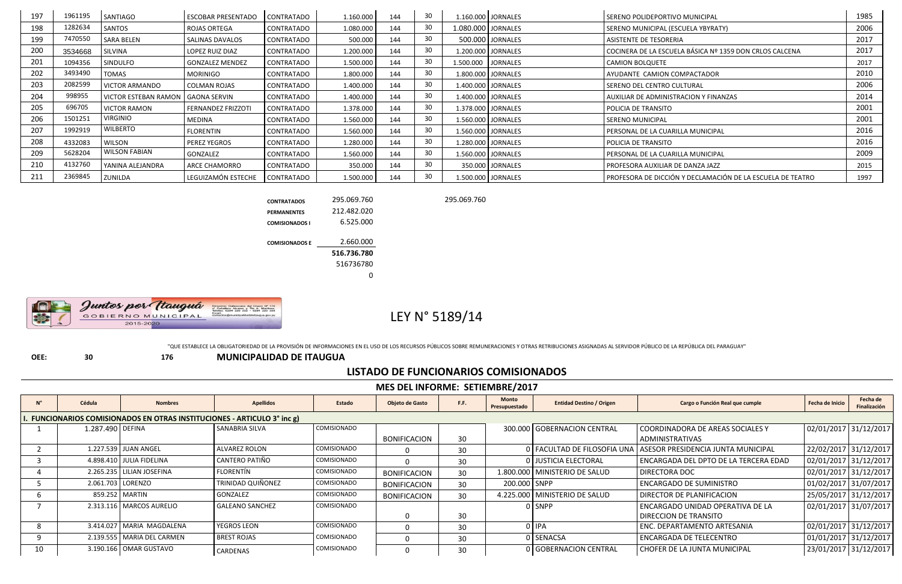| 197        | 1961195 | SANTIAGO                              | <b>ESCOBAR PRESENTADO</b> | <b>CONTRATADO</b> | 1.160.000 | 144 | 30 <sup>°</sup> |                      | 1.160.000 JORNALES | l SERENO POLIDEPORTIVO MUNICIPAL                           | 1985 |
|------------|---------|---------------------------------------|---------------------------|-------------------|-----------|-----|-----------------|----------------------|--------------------|------------------------------------------------------------|------|
| 198        | 1282634 | SANTOS                                | ROJAS ORTEGA              | <b>CONTRATADO</b> | 1.080.000 | 144 | 30              | 1.080.000 JORNALES   |                    | SERENO MUNICIPAL (ESCUELA YBYRATY)                         | 2006 |
| 199        | 7470550 | <b>SARA BELEN</b>                     | SALINAS DAVALOS           | <b>CONTRATADO</b> | 500.000   | 144 | 30              |                      | 500.000 JORNALES   | <b>ASISTENTE DE TESORERIA</b>                              | 2017 |
| <b>200</b> | 3534668 | SILVINA                               | LOPEZ RUIZ DIAZ           | <b>CONTRATADO</b> | 1.200.000 | 144 | 30              |                      | 1.200.000 JORNALES | COCINERA DE LA ESCUELA BÁSICA Nº 1359 DON CRLOS CALCENA    | 2017 |
| 201        | 1094356 | <b>SINDULFO</b>                       | <b>GONZALEZ MENDEZ</b>    | <b>CONTRATADO</b> | 1.500.000 | 144 | 30              | 1.500.000   JORNALES |                    | CAMION BOLQUETE                                            | 2017 |
| 202        | 3493490 | TOMAS                                 | MORINIGO                  | <b>CONTRATADO</b> | 1.800.000 | 144 | 30              | 1.800.000 JORNALES   |                    | AYUDANTE CAMION COMPACTADOR                                | 2010 |
| 203        | 2082599 | l VICTOR ARMANDO                      | COLMAN ROJAS              | <b>CONTRATADO</b> | 1.400.000 | 144 | 30              |                      | 1.400.000 JORNALES | SERENO DEL CENTRO CULTURAL                                 | 2006 |
| 204        | 998955  | l VICTOR ESTEBAN RAMON I GAONA SERVIN |                           | <b>CONTRATADO</b> | 1.400.000 | 144 | 30              |                      | 1.400.000 JORNALES | <b>AUXILIAR DE ADMINISTRACION Y FINANZAS</b>               | 2014 |
| 205        | 696705  | <b>VICTOR RAMON</b>                   | <b>FERNANDEZ FRIZZOTI</b> | <b>CONTRATADO</b> | 1.378.000 | 144 | 30              | 1.378.000 JORNALES   |                    | POLICIA DE TRANSITO                                        | 2001 |
| 206        | 1501251 | <b>VIRGINIO</b>                       | MEDINA                    | <b>CONTRATADO</b> | 1.560.000 | 144 | 30              | 1.560.000 JORNALES   |                    | SERENO MUNICIPAL                                           | 2001 |
| 207        | 1992919 | <b>WILBERTO</b>                       | FLORENTIN                 | <b>CONTRATADO</b> | 1.560.000 | 144 | 30              | 1.560.000   JORNALES |                    | PERSONAL DE LA CUARILLA MUNICIPAL                          | 2016 |
| 208        | 4332083 | <b>WILSON</b>                         | PEREZ YEGROS              | <b>CONTRATADO</b> | 1.280.000 | 144 | 30              |                      | 1.280.000 JORNALES | POLICIA DE TRANSITO                                        | 2016 |
| 209        | 5628204 | <b>WILSON FABIAN</b>                  | GONZALEZ                  | <b>CONTRATADO</b> | 1.560.000 | 144 | 30              | 1.560.000   JORNALES |                    | l PERSONAL DE LA CUARILLA MUNICIPAL                        | 2009 |
| 210        | 4132760 | l YANINA ALEJANDRA                    | ARCE CHAMORRO             | <b>CONTRATADO</b> | 350.000   | 144 | 30              |                      | 350.000 JORNALES   | l PROFESORA AUXILIAR DE DANZA JAZZ                         | 2015 |
| 211        | 2369845 | <b>ZUNILDA</b>                        | LEGUIZAMÓN ESTECHE        | CONTRATADO        | 1.500.000 | 144 | 30              |                      | 1.500.000 JORNALES | PROFESORA DE DICCIÓN Y DECLAMACIÓN DE LA ESCUELA DE TEATRO | 1997 |

**CONTRATADOS** 295.069.760 295.069.760

**PERMANENTES** 212.482.020

**COMISIONADOS I** 6.525.000

Juntos por Ttauguá Direccion: Defensores del Chaco Nº 170<br>c/ Caballero Alvarez y Tte A. Martinez.<br>Telefax: 0294 220 252 - 0294 220 358 2015-2020

**COMISIONADOS E** 2.660.000 **516.736.780** 516736780 0

# LEY N° 5189/14

"QUE ESTABLECE LA OBLIGATORIEDAD DE LA PROVISIÓN DE INFORMACIONES EN EL USO DE LOS RECURSOS PÚBLICOS SOBRE REMUNERACIONES Y OTRAS RETRIBUCIONES ASIGNADAS AL SERVIDOR PÚBLICO DE LA REPÚBLICA DEL PARAGUAY"

**OEE: 30 176 MUNICIPALIDAD DE ITAUGUA**

### **LISTADO DE FUNCIONARIOS COMISIONADOS**

**MES DEL INFORME: SETIEMBRE/2017**

|    | Cédula           | <b>Nombres</b>                                                               | <b>Apellidos</b>         | Estado             | Objeto de Gasto     | F.F.            | <b>Monto</b><br>Presupuestado | <b>Entidad Destino / Origen</b> | Cargo o Función Real que cumple                                | Fecha de Inicio       | Fecha de<br>Finalización |  |  |  |
|----|------------------|------------------------------------------------------------------------------|--------------------------|--------------------|---------------------|-----------------|-------------------------------|---------------------------------|----------------------------------------------------------------|-----------------------|--------------------------|--|--|--|
|    |                  | <b>FUNCIONARIOS COMISIONADOS EN OTRAS INSTITUCIONES - ARTICULO 3° inc g)</b> |                          |                    |                     |                 |                               |                                 |                                                                |                       |                          |  |  |  |
|    | 1.287.490 DEFINA |                                                                              | SANABRIA SILVA           | <b>COMISIONADO</b> |                     |                 |                               | 300.000 GOBERNACION CENTRAL     | COORDINADORA DE AREAS SOCIALES Y                               | 02/01/2017 31/12/2017 |                          |  |  |  |
|    |                  |                                                                              |                          |                    | <b>BONIFICACION</b> | 30 <sup>°</sup> |                               |                                 | <b>ADMINISTRATIVAS</b>                                         |                       |                          |  |  |  |
|    |                  | 1.227.539 JJUAN ANGEL                                                        | <b>ALVAREZ ROLON</b>     | <b>COMISIONADO</b> |                     | 30              |                               |                                 | 0 FACULTAD DE FILOSOFIA UNA ASESOR PRESIDENCIA JUNTA MUNICIPAL | 22/02/2017 31/12/2017 |                          |  |  |  |
|    |                  | 4.898.410 JULIA FIDELINA                                                     | CANTERO PATIÑO           | <b>COMISIONADO</b> |                     | 30              |                               | 0 JUSTICIA ELECTORAL            | ENCARGADA DEL DPTO DE LA TERCERA EDAD                          | 02/01/2017 31/12/2017 |                          |  |  |  |
|    |                  | 2.265.235 LILIAN JOSEFINA                                                    | FLORENTÍN                | <b>COMISIONADO</b> | <b>BONIFICACION</b> | 30 <sup>°</sup> |                               | 1.800.000 MINISTERIO DE SALUD   | <b>DIRECTORA DOC</b>                                           | 02/01/2017 31/12/2017 |                          |  |  |  |
|    |                  | 2.061.703   LORENZO                                                          | <b>TRINIDAD QUIÑONEZ</b> | <b>COMISIONADO</b> | <b>BONIFICACION</b> | 30 <sup>°</sup> | 200.000 SNPP                  |                                 | <b>ENCARGADO DE SUMINISTRO</b>                                 | 01/02/2017 31/07/2017 |                          |  |  |  |
|    |                  | 859.252   MARTIN                                                             | GONZALEZ                 | <b>COMISIONADO</b> | <b>BONIFICACION</b> | 30 <sup>°</sup> |                               | 4.225.000   MINISTERIO DE SALUD | <b>DIRECTOR DE PLANIFICACION</b>                               | 25/05/2017 31/12/2017 |                          |  |  |  |
|    |                  | 2.313.116   MARCOS AURELIO                                                   | <b>GALEANO SANCHEZ</b>   | <b>COMISIONADO</b> |                     |                 |                               | 0   SNPP                        | ENCARGADO UNIDAD OPERATIVA DE LA                               | 02/01/2017 31/07/2017 |                          |  |  |  |
|    |                  |                                                                              |                          |                    |                     | 30              |                               |                                 | I DIRECCION DE TRANSITO                                        |                       |                          |  |  |  |
| 8  |                  | 3.414.027   MARIA MAGDALENA                                                  | YEGROS LEON              | <b>COMISIONADO</b> |                     | 30              |                               | 0 IPA                           | <b>ENC. DEPARTAMENTO ARTESANIA</b>                             | 02/01/2017 31/12/2017 |                          |  |  |  |
|    |                  | 2.139.555   MARIA DEL CARMEN                                                 | <b>BREST ROJAS</b>       | <b>COMISIONADO</b> |                     | 30              |                               | 0 SENACSA                       | <b>ENCARGADA DE TELECENTRO</b>                                 | 01/01/2017 31/12/2017 |                          |  |  |  |
| 10 |                  | 3.190.166   OMAR GUSTAVO                                                     | CARDENAS                 | <b>COMISIONADO</b> |                     | 30              |                               | 0 GOBERNACION CENTRAL           | CHOFER DE LA JUNTA MUNICIPAL                                   |                       | 23/01/2017 31/12/2017    |  |  |  |